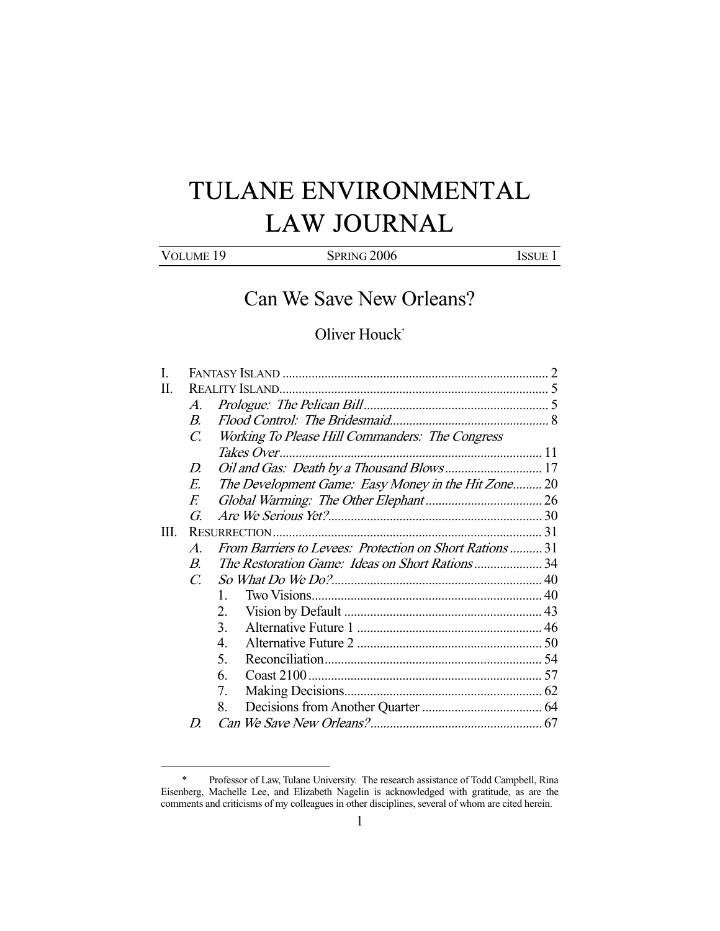# TULANE ENVIRONMENTAL LAW JOURNAL

| VOLUME <sub>19</sub><br><b>SPRING 2006</b><br><b>ISSUE 1</b> |
|--------------------------------------------------------------|
|--------------------------------------------------------------|

Can We Save New Orleans?

# Oliver Houck\*

| L    |                       |                                                        |  |
|------|-----------------------|--------------------------------------------------------|--|
| H.   |                       |                                                        |  |
|      | $\mathcal{A}_{\cdot}$ |                                                        |  |
|      | $B_{\cdot}$           |                                                        |  |
|      | $\mathcal{C}$         | Working To Please Hill Commanders: The Congress        |  |
|      |                       |                                                        |  |
|      | D                     |                                                        |  |
|      | E.                    | The Development Game: Easy Money in the Hit Zone 20    |  |
|      | F.                    |                                                        |  |
|      | G                     |                                                        |  |
| III. |                       |                                                        |  |
|      | $\mathcal{A}_{\cdot}$ | From Barriers to Levees: Protection on Short Rations31 |  |
|      | $\boldsymbol{B}$      | The Restoration Game: Ideas on Short Rations34         |  |
|      | $\mathcal{C}$         |                                                        |  |
|      |                       | $\mathbf{1}$                                           |  |
|      |                       | 2.                                                     |  |
|      |                       | 3.                                                     |  |
|      |                       | 4.                                                     |  |
|      |                       | $\mathcal{F}$                                          |  |
|      |                       | 6.                                                     |  |
|      |                       | 7.                                                     |  |
|      |                       | 8.                                                     |  |
|      | D                     |                                                        |  |
|      |                       |                                                        |  |

 <sup>\*</sup> Professor of Law, Tulane University. The research assistance of Todd Campbell, Rina Eisenberg, Machelle Lee, and Elizabeth Nagelin is acknowledged with gratitude, as are the comments and criticisms of my colleagues in other disciplines, several of whom are cited herein.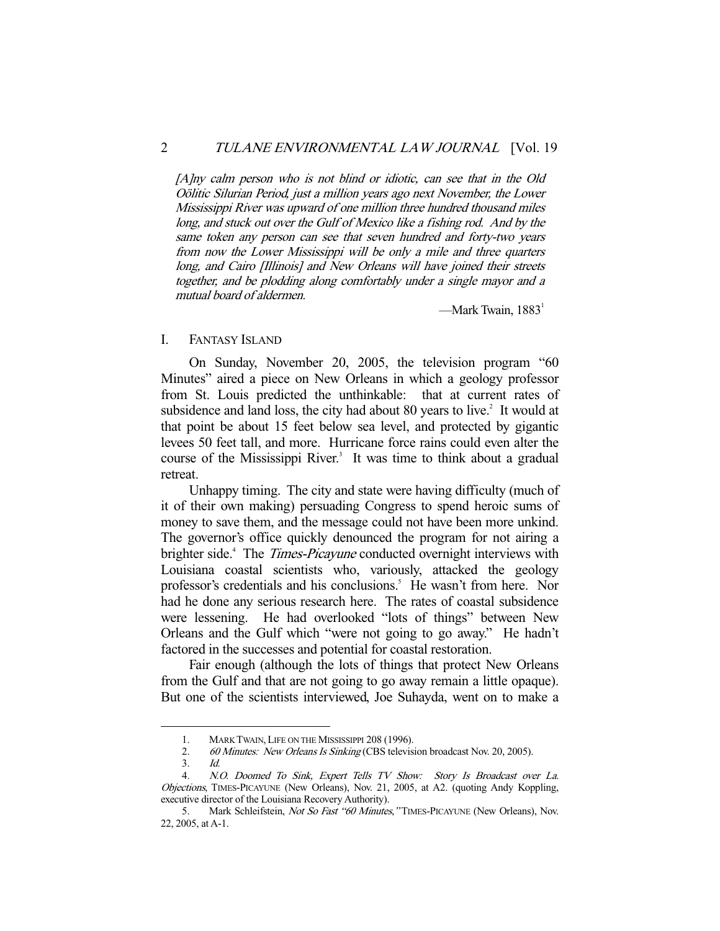[A]ny calm person who is not blind or idiotic, can see that in the Old Oölitic Silurian Period, just a million years ago next November, the Lower Mississippi River was upward of one million three hundred thousand miles long, and stuck out over the Gulf of Mexico like a fishing rod. And by the same token any person can see that seven hundred and forty-two years from now the Lower Mississippi will be only a mile and three quarters long, and Cairo [Illinois] and New Orleans will have joined their streets together, and be plodding along comfortably under a single mayor and a mutual board of aldermen.

—Mark Twain,  $1883<sup>1</sup>$ 

#### I. FANTASY ISLAND

 On Sunday, November 20, 2005, the television program "60 Minutes" aired a piece on New Orleans in which a geology professor from St. Louis predicted the unthinkable: that at current rates of subsidence and land loss, the city had about 80 years to live. $2$  It would at that point be about 15 feet below sea level, and protected by gigantic levees 50 feet tall, and more. Hurricane force rains could even alter the course of the Mississippi River.<sup>3</sup> It was time to think about a gradual retreat.

 Unhappy timing. The city and state were having difficulty (much of it of their own making) persuading Congress to spend heroic sums of money to save them, and the message could not have been more unkind. The governor's office quickly denounced the program for not airing a brighter side.<sup>4</sup> The *Times-Picayune* conducted overnight interviews with Louisiana coastal scientists who, variously, attacked the geology professor's credentials and his conclusions.<sup>5</sup> He wasn't from here. Nor had he done any serious research here. The rates of coastal subsidence were lessening. He had overlooked "lots of things" between New Orleans and the Gulf which "were not going to go away." He hadn't factored in the successes and potential for coastal restoration.

 Fair enough (although the lots of things that protect New Orleans from the Gulf and that are not going to go away remain a little opaque). But one of the scientists interviewed, Joe Suhayda, went on to make a

 <sup>1.</sup> MARK TWAIN, LIFE ON THE MISSISSIPPI 208 (1996).

<sup>2. 60</sup> Minutes: New Orleans Is Sinking (CBS television broadcast Nov. 20, 2005).

 <sup>3.</sup> Id.

 <sup>4.</sup> N.O. Doomed To Sink, Expert Tells TV Show: Story Is Broadcast over La. Objections, TIMES-PICAYUNE (New Orleans), Nov. 21, 2005, at A2. (quoting Andy Koppling, executive director of the Louisiana Recovery Authority).

<sup>5.</sup> Mark Schleifstein, Not So Fast "60 Minutes," TIMES-PICAYUNE (New Orleans), Nov. 22, 2005, at A-1.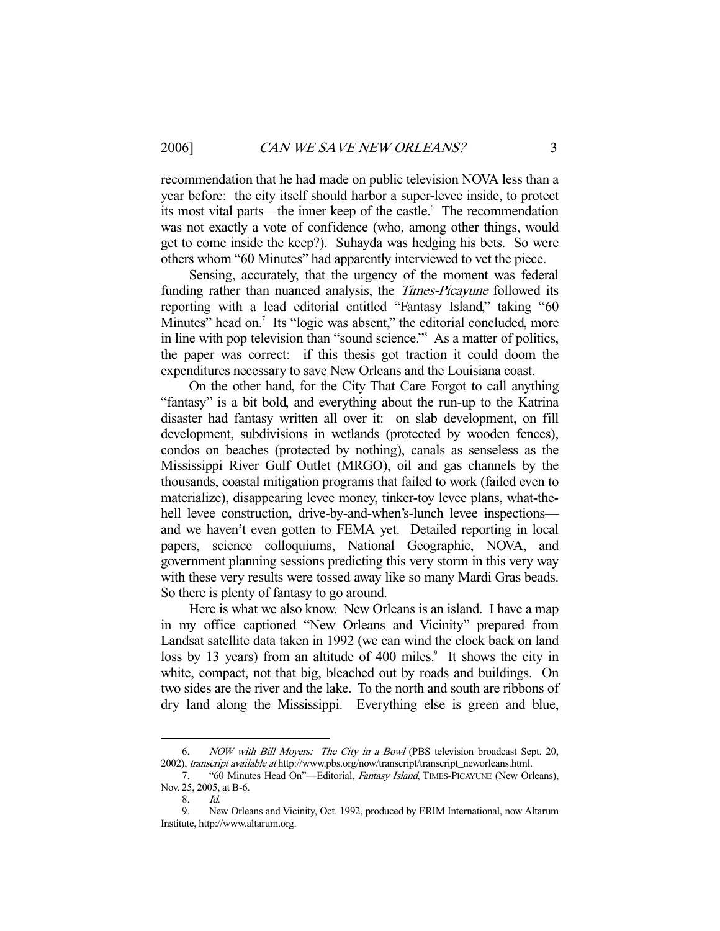recommendation that he had made on public television NOVA less than a year before: the city itself should harbor a super-levee inside, to protect its most vital parts—the inner keep of the castle.<sup>6</sup> The recommendation was not exactly a vote of confidence (who, among other things, would get to come inside the keep?). Suhayda was hedging his bets. So were others whom "60 Minutes" had apparently interviewed to vet the piece.

 Sensing, accurately, that the urgency of the moment was federal funding rather than nuanced analysis, the Times-Picayune followed its reporting with a lead editorial entitled "Fantasy Island," taking "60 Minutes" head on.<sup>7</sup> Its "logic was absent," the editorial concluded, more in line with pop television than "sound science."8 As a matter of politics, the paper was correct: if this thesis got traction it could doom the expenditures necessary to save New Orleans and the Louisiana coast.

 On the other hand, for the City That Care Forgot to call anything "fantasy" is a bit bold, and everything about the run-up to the Katrina disaster had fantasy written all over it: on slab development, on fill development, subdivisions in wetlands (protected by wooden fences), condos on beaches (protected by nothing), canals as senseless as the Mississippi River Gulf Outlet (MRGO), oil and gas channels by the thousands, coastal mitigation programs that failed to work (failed even to materialize), disappearing levee money, tinker-toy levee plans, what-thehell levee construction, drive-by-and-when's-lunch levee inspections and we haven't even gotten to FEMA yet. Detailed reporting in local papers, science colloquiums, National Geographic, NOVA, and government planning sessions predicting this very storm in this very way with these very results were tossed away like so many Mardi Gras beads. So there is plenty of fantasy to go around.

 Here is what we also know. New Orleans is an island. I have a map in my office captioned "New Orleans and Vicinity" prepared from Landsat satellite data taken in 1992 (we can wind the clock back on land loss by 13 years) from an altitude of 400 miles.<sup>9</sup> It shows the city in white, compact, not that big, bleached out by roads and buildings. On two sides are the river and the lake. To the north and south are ribbons of dry land along the Mississippi. Everything else is green and blue,

 <sup>6.</sup> NOW with Bill Moyers: The City in a Bowl (PBS television broadcast Sept. 20, 2002), transcript available at http://www.pbs.org/now/transcript/transcript\_neworleans.html.

<sup>7. &</sup>quot;60 Minutes Head On"-Editorial, Fantasy Island, TIMES-PICAYUNE (New Orleans), Nov. 25, 2005, at B-6.

<sup>8.</sup> *Id.*<br>9. Ne

 <sup>9.</sup> New Orleans and Vicinity, Oct. 1992, produced by ERIM International, now Altarum Institute, http://www.altarum.org.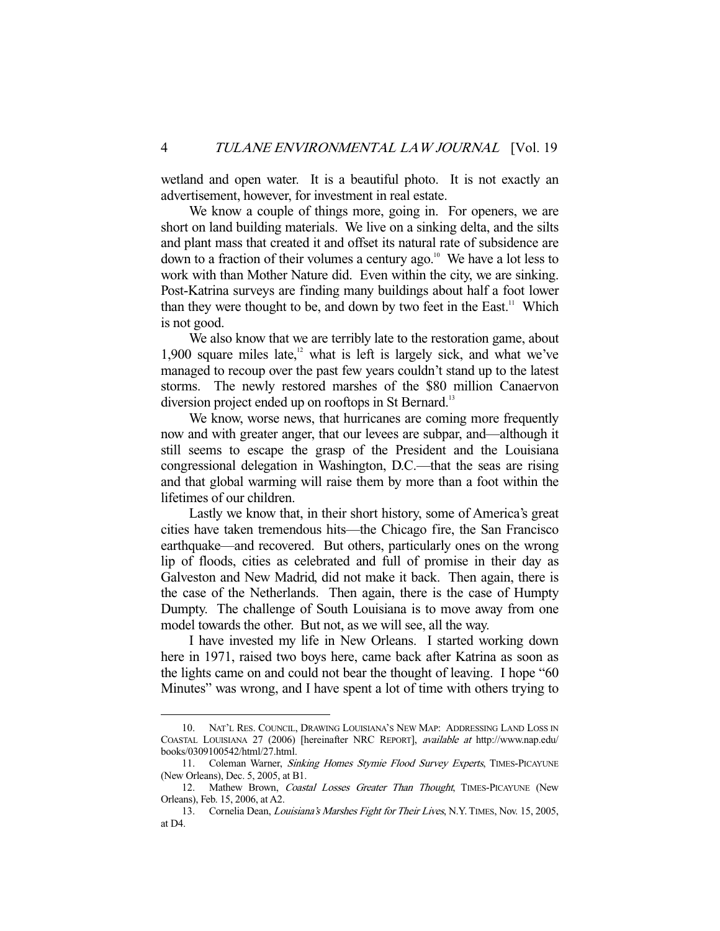wetland and open water. It is a beautiful photo. It is not exactly an advertisement, however, for investment in real estate.

 We know a couple of things more, going in. For openers, we are short on land building materials. We live on a sinking delta, and the silts and plant mass that created it and offset its natural rate of subsidence are down to a fraction of their volumes a century ago.<sup>10</sup> We have a lot less to work with than Mother Nature did. Even within the city, we are sinking. Post-Katrina surveys are finding many buildings about half a foot lower than they were thought to be, and down by two feet in the East.<sup>11</sup> Which is not good.

 We also know that we are terribly late to the restoration game, about 1,900 square miles late, $12$  what is left is largely sick, and what we've managed to recoup over the past few years couldn't stand up to the latest storms. The newly restored marshes of the \$80 million Canaervon diversion project ended up on rooftops in St Bernard.<sup>13</sup>

 We know, worse news, that hurricanes are coming more frequently now and with greater anger, that our levees are subpar, and—although it still seems to escape the grasp of the President and the Louisiana congressional delegation in Washington, D.C.—that the seas are rising and that global warming will raise them by more than a foot within the lifetimes of our children.

 Lastly we know that, in their short history, some of America's great cities have taken tremendous hits—the Chicago fire, the San Francisco earthquake—and recovered. But others, particularly ones on the wrong lip of floods, cities as celebrated and full of promise in their day as Galveston and New Madrid, did not make it back. Then again, there is the case of the Netherlands. Then again, there is the case of Humpty Dumpty. The challenge of South Louisiana is to move away from one model towards the other. But not, as we will see, all the way.

 I have invested my life in New Orleans. I started working down here in 1971, raised two boys here, came back after Katrina as soon as the lights came on and could not bear the thought of leaving. I hope "60 Minutes" was wrong, and I have spent a lot of time with others trying to

 <sup>10.</sup> NAT'L RES. COUNCIL, DRAWING LOUISIANA'S NEW MAP: ADDRESSING LAND LOSS IN COASTAL LOUISIANA 27 (2006) [hereinafter NRC REPORT], available at http://www.nap.edu/ books/0309100542/html/27.html.

<sup>11.</sup> Coleman Warner, Sinking Homes Stymie Flood Survey Experts, TIMES-PICAYUNE (New Orleans), Dec. 5, 2005, at B1.

<sup>12.</sup> Mathew Brown, Coastal Losses Greater Than Thought, TIMES-PICAYUNE (New Orleans), Feb. 15, 2006, at A2.

<sup>13.</sup> Cornelia Dean, Louisiana's Marshes Fight for Their Lives, N.Y. TIMES, Nov. 15, 2005, at D4.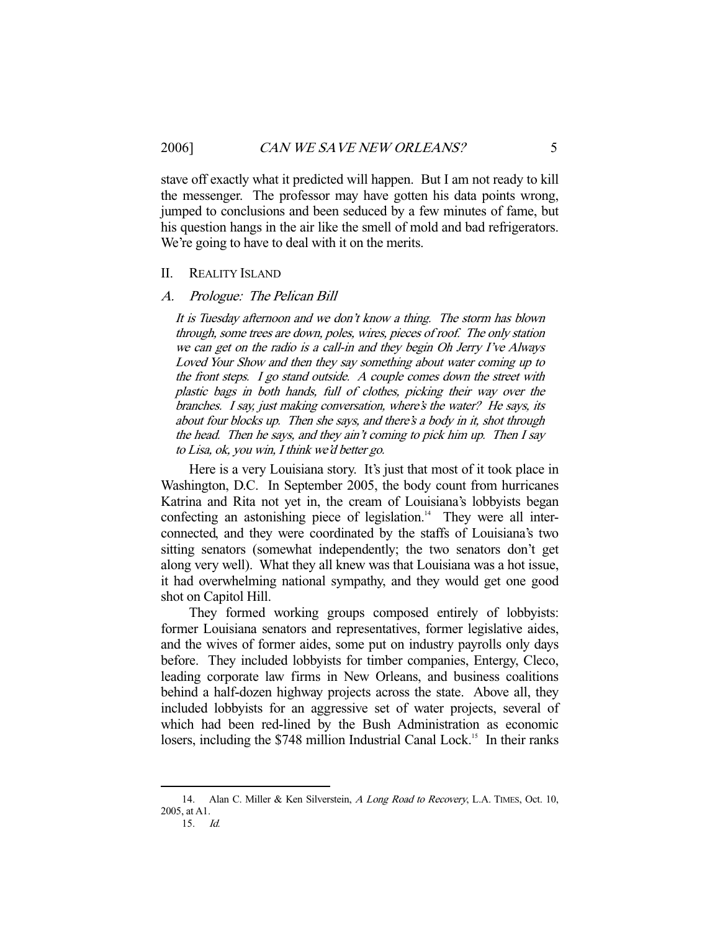stave off exactly what it predicted will happen. But I am not ready to kill the messenger. The professor may have gotten his data points wrong, jumped to conclusions and been seduced by a few minutes of fame, but his question hangs in the air like the smell of mold and bad refrigerators. We're going to have to deal with it on the merits.

#### II. REALITY ISLAND

#### A. Prologue: The Pelican Bill

It is Tuesday afternoon and we don't know a thing. The storm has blown through, some trees are down, poles, wires, pieces of roof. The only station we can get on the radio is a call-in and they begin Oh Jerry I've Always Loved Your Show and then they say something about water coming up to the front steps. I go stand outside. A couple comes down the street with plastic bags in both hands, full of clothes, picking their way over the branches. I say, just making conversation, where's the water? He says, its about four blocks up. Then she says, and there's a body in it, shot through the head. Then he says, and they ain't coming to pick him up. Then I say to Lisa, ok, you win, I think we'd better go.

 Here is a very Louisiana story. It's just that most of it took place in Washington, D.C. In September 2005, the body count from hurricanes Katrina and Rita not yet in, the cream of Louisiana's lobbyists began confecting an astonishing piece of legislation.<sup>14</sup> They were all interconnected, and they were coordinated by the staffs of Louisiana's two sitting senators (somewhat independently; the two senators don't get along very well). What they all knew was that Louisiana was a hot issue, it had overwhelming national sympathy, and they would get one good shot on Capitol Hill.

 They formed working groups composed entirely of lobbyists: former Louisiana senators and representatives, former legislative aides, and the wives of former aides, some put on industry payrolls only days before. They included lobbyists for timber companies, Entergy, Cleco, leading corporate law firms in New Orleans, and business coalitions behind a half-dozen highway projects across the state. Above all, they included lobbyists for an aggressive set of water projects, several of which had been red-lined by the Bush Administration as economic losers, including the \$748 million Industrial Canal Lock.<sup>15</sup> In their ranks

<sup>14.</sup> Alan C. Miller & Ken Silverstein, A Long Road to Recovery, L.A. TIMES, Oct. 10, 2005, at A1. 15. Id.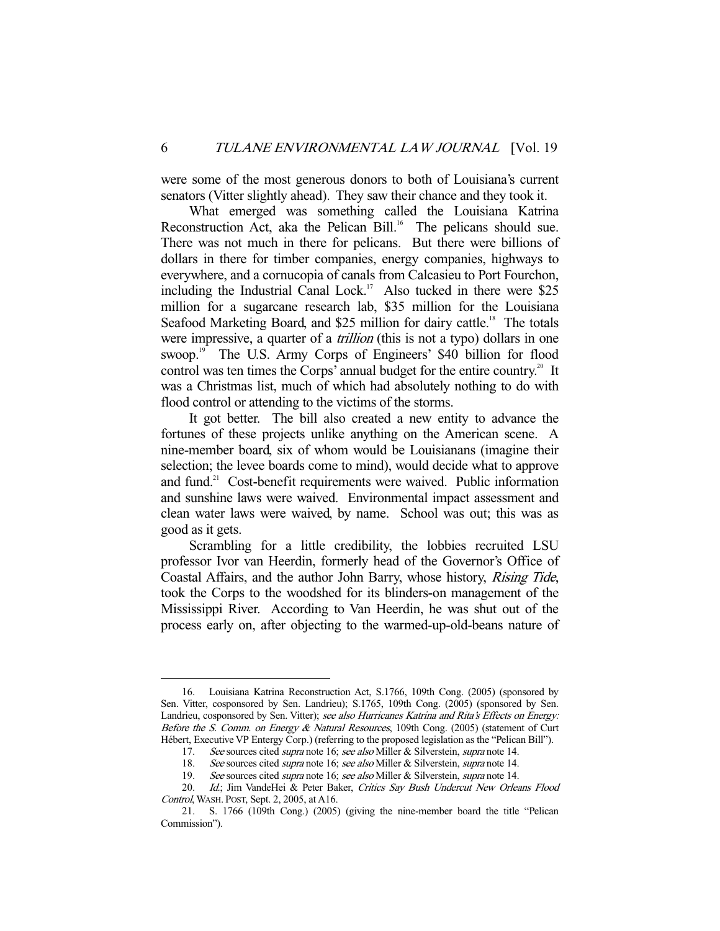were some of the most generous donors to both of Louisiana's current senators (Vitter slightly ahead). They saw their chance and they took it.

 What emerged was something called the Louisiana Katrina Reconstruction Act, aka the Pelican Bill.<sup>16</sup> The pelicans should sue. There was not much in there for pelicans. But there were billions of dollars in there for timber companies, energy companies, highways to everywhere, and a cornucopia of canals from Calcasieu to Port Fourchon, including the Industrial Canal Lock.<sup>17</sup> Also tucked in there were \$25 million for a sugarcane research lab, \$35 million for the Louisiana Seafood Marketing Board, and \$25 million for dairy cattle.<sup>18</sup> The totals were impressive, a quarter of a *trillion* (this is not a typo) dollars in one swoop.<sup>19</sup> The U.S. Army Corps of Engineers' \$40 billion for flood control was ten times the Corps' annual budget for the entire country.<sup>20</sup> It was a Christmas list, much of which had absolutely nothing to do with flood control or attending to the victims of the storms.

 It got better. The bill also created a new entity to advance the fortunes of these projects unlike anything on the American scene. A nine-member board, six of whom would be Louisianans (imagine their selection; the levee boards come to mind), would decide what to approve and fund.<sup>21</sup> Cost-benefit requirements were waived. Public information and sunshine laws were waived. Environmental impact assessment and clean water laws were waived, by name. School was out; this was as good as it gets.

 Scrambling for a little credibility, the lobbies recruited LSU professor Ivor van Heerdin, formerly head of the Governor's Office of Coastal Affairs, and the author John Barry, whose history, Rising Tide, took the Corps to the woodshed for its blinders-on management of the Mississippi River. According to Van Heerdin, he was shut out of the process early on, after objecting to the warmed-up-old-beans nature of

 <sup>16.</sup> Louisiana Katrina Reconstruction Act, S.1766, 109th Cong. (2005) (sponsored by Sen. Vitter, cosponsored by Sen. Landrieu); S.1765, 109th Cong. (2005) (sponsored by Sen. Landrieu, cosponsored by Sen. Vitter); see also Hurricanes Katrina and Rita's Effects on Energy: Before the S. Comm. on Energy & Natural Resources, 109th Cong. (2005) (statement of Curt Hébert, Executive VP Entergy Corp.) (referring to the proposed legislation as the "Pelican Bill").

<sup>17.</sup> See sources cited *supra* note 16; see also Miller & Silverstein, *supra* note 14.

<sup>18.</sup> See sources cited *supra* note 16; see also Miller & Silverstein, *supra* note 14.

<sup>19.</sup> See sources cited *supra* note 16; see also Miller & Silverstein, *supra* note 14.

<sup>20.</sup> Id.; Jim VandeHei & Peter Baker, Critics Say Bush Undercut New Orleans Flood Control, WASH. POST, Sept. 2, 2005, at A16.

 <sup>21.</sup> S. 1766 (109th Cong.) (2005) (giving the nine-member board the title "Pelican Commission").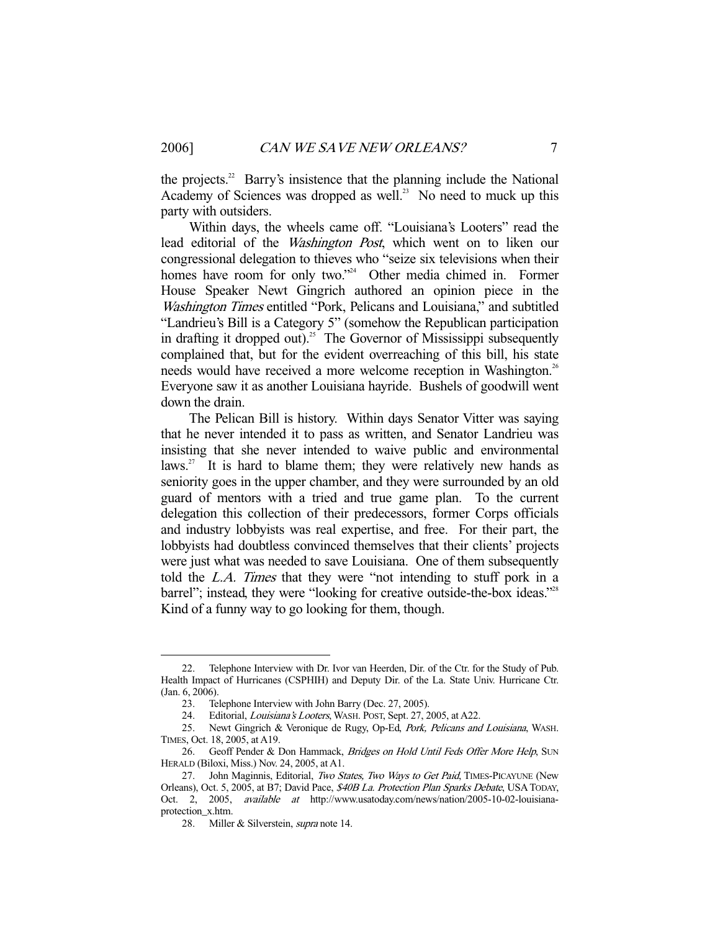the projects.<sup>22</sup> Barry's insistence that the planning include the National Academy of Sciences was dropped as well.<sup>23</sup> No need to muck up this party with outsiders.

 Within days, the wheels came off. "Louisiana's Looters" read the lead editorial of the Washington Post, which went on to liken our congressional delegation to thieves who "seize six televisions when their homes have room for only two."<sup>24</sup> Other media chimed in. Former House Speaker Newt Gingrich authored an opinion piece in the Washington Times entitled "Pork, Pelicans and Louisiana," and subtitled "Landrieu's Bill is a Category 5" (somehow the Republican participation in drafting it dropped out).<sup>25</sup> The Governor of Mississippi subsequently complained that, but for the evident overreaching of this bill, his state needs would have received a more welcome reception in Washington.<sup>26</sup> Everyone saw it as another Louisiana hayride. Bushels of goodwill went down the drain.

 The Pelican Bill is history. Within days Senator Vitter was saying that he never intended it to pass as written, and Senator Landrieu was insisting that she never intended to waive public and environmental laws.<sup>27</sup> It is hard to blame them; they were relatively new hands as seniority goes in the upper chamber, and they were surrounded by an old guard of mentors with a tried and true game plan. To the current delegation this collection of their predecessors, former Corps officials and industry lobbyists was real expertise, and free. For their part, the lobbyists had doubtless convinced themselves that their clients' projects were just what was needed to save Louisiana. One of them subsequently told the L.A. Times that they were "not intending to stuff pork in a barrel"; instead, they were "looking for creative outside-the-box ideas."<sup>28</sup> Kind of a funny way to go looking for them, though.

 <sup>22.</sup> Telephone Interview with Dr. Ivor van Heerden, Dir. of the Ctr. for the Study of Pub. Health Impact of Hurricanes (CSPHIH) and Deputy Dir. of the La. State Univ. Hurricane Ctr. (Jan. 6, 2006).

 <sup>23.</sup> Telephone Interview with John Barry (Dec. 27, 2005).

<sup>24.</sup> Editorial, Louisiana's Looters, WASH. POST, Sept. 27, 2005, at A22.

<sup>25.</sup> Newt Gingrich & Veronique de Rugy, Op-Ed, Pork, Pelicans and Louisiana, WASH. TIMES, Oct. 18, 2005, at A19.

<sup>26.</sup> Geoff Pender & Don Hammack, Bridges on Hold Until Feds Offer More Help, SUN HERALD (Biloxi, Miss.) Nov. 24, 2005, at A1.

<sup>27.</sup> John Maginnis, Editorial, Two States, Two Ways to Get Paid, TIMES-PICAYUNE (New Orleans), Oct. 5, 2005, at B7; David Pace, \$40B La. Protection Plan Sparks Debate, USA TODAY, Oct. 2, 2005, available at http://www.usatoday.com/news/nation/2005-10-02-louisianaprotection\_x.htm.

<sup>28.</sup> Miller & Silverstein, *supra* note 14.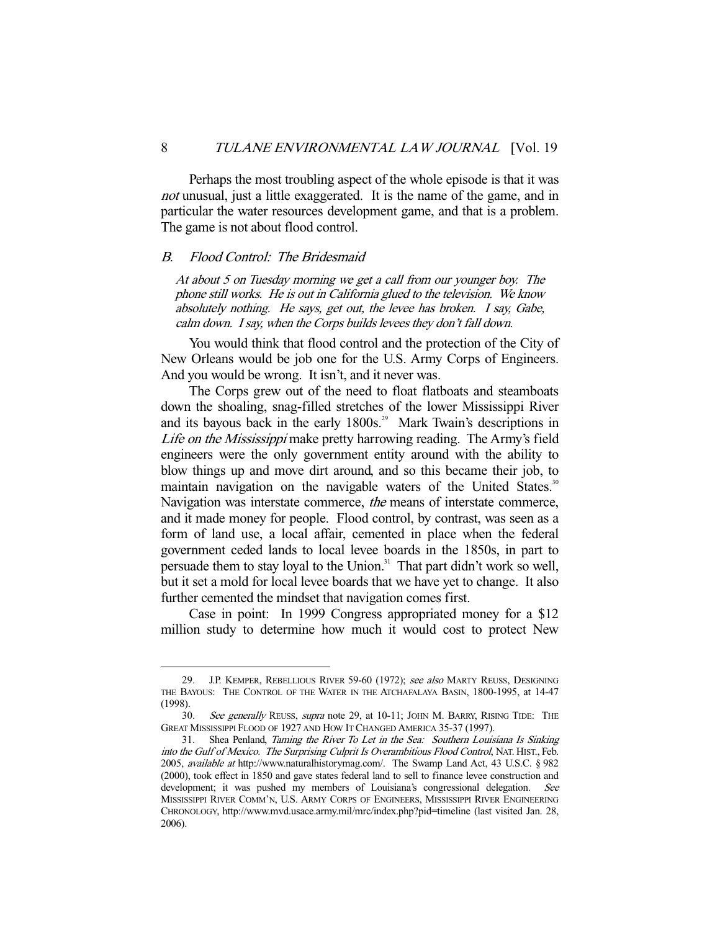Perhaps the most troubling aspect of the whole episode is that it was not unusual, just a little exaggerated. It is the name of the game, and in particular the water resources development game, and that is a problem. The game is not about flood control.

#### B. Flood Control: The Bridesmaid

-

At about 5 on Tuesday morning we get a call from our younger boy. The phone still works. He is out in California glued to the television. We know absolutely nothing. He says, get out, the levee has broken. I say, Gabe, calm down. I say, when the Corps builds levees they don't fall down.

 You would think that flood control and the protection of the City of New Orleans would be job one for the U.S. Army Corps of Engineers. And you would be wrong. It isn't, and it never was.

 The Corps grew out of the need to float flatboats and steamboats down the shoaling, snag-filled stretches of the lower Mississippi River and its bayous back in the early  $1800s^{29}$  Mark Twain's descriptions in Life on the Mississippi make pretty harrowing reading. The Army's field engineers were the only government entity around with the ability to blow things up and move dirt around, and so this became their job, to maintain navigation on the navigable waters of the United States.<sup>30</sup> Navigation was interstate commerce, the means of interstate commerce, and it made money for people. Flood control, by contrast, was seen as a form of land use, a local affair, cemented in place when the federal government ceded lands to local levee boards in the 1850s, in part to persuade them to stay loyal to the Union.<sup>31</sup> That part didn't work so well, but it set a mold for local levee boards that we have yet to change. It also further cemented the mindset that navigation comes first.

 Case in point: In 1999 Congress appropriated money for a \$12 million study to determine how much it would cost to protect New

<sup>29.</sup> J.P. KEMPER, REBELLIOUS RIVER 59-60 (1972); see also MARTY REUSS, DESIGNING THE BAYOUS: THE CONTROL OF THE WATER IN THE ATCHAFALAYA BASIN, 1800-1995, at 14-47 (1998).

<sup>30.</sup> See generally REUSS, supra note 29, at 10-11; JOHN M. BARRY, RISING TIDE: THE GREAT MISSISSIPPI FLOOD OF 1927 AND HOW IT CHANGED AMERICA 35-37 (1997).

 <sup>31.</sup> Shea Penland, Taming the River To Let in the Sea: Southern Louisiana Is Sinking into the Gulf of Mexico. The Surprising Culprit Is Overambitious Flood Control, NAT. HIST., Feb. 2005, available at http://www.naturalhistorymag.com/. The Swamp Land Act, 43 U.S.C. § 982 (2000), took effect in 1850 and gave states federal land to sell to finance levee construction and development; it was pushed my members of Louisiana's congressional delegation. See MISSISSIPPI RIVER COMM'N, U.S. ARMY CORPS OF ENGINEERS, MISSISSIPPI RIVER ENGINEERING CHRONOLOGY, http://www.mvd.usace.army.mil/mrc/index.php?pid=timeline (last visited Jan. 28, 2006).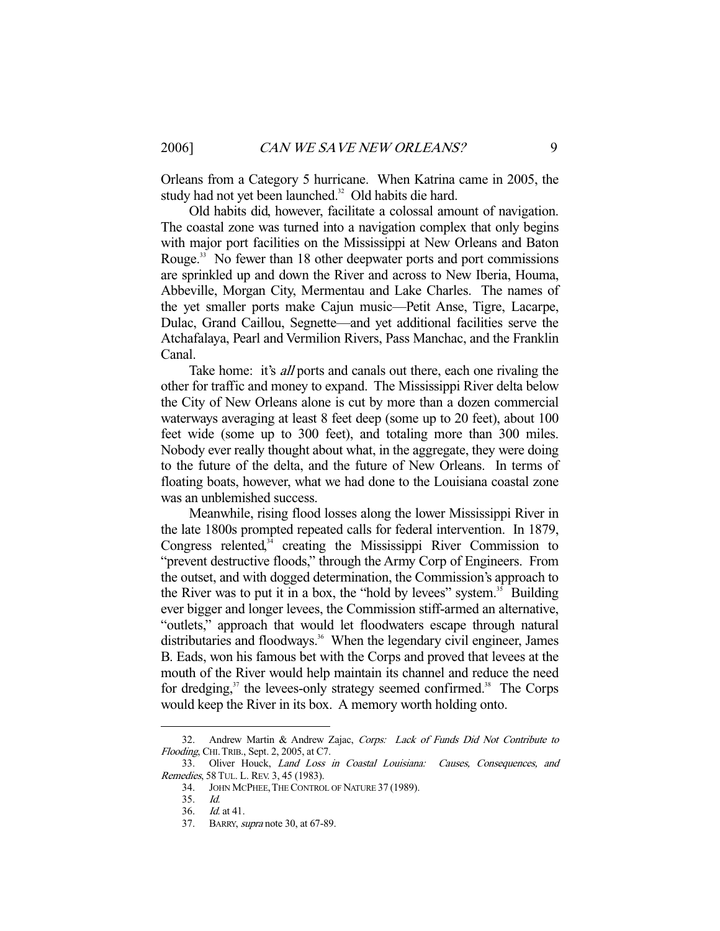Orleans from a Category 5 hurricane. When Katrina came in 2005, the study had not yet been launched.<sup>32</sup> Old habits die hard.

 Old habits did, however, facilitate a colossal amount of navigation. The coastal zone was turned into a navigation complex that only begins with major port facilities on the Mississippi at New Orleans and Baton Rouge.<sup>33</sup> No fewer than 18 other deepwater ports and port commissions are sprinkled up and down the River and across to New Iberia, Houma, Abbeville, Morgan City, Mermentau and Lake Charles. The names of the yet smaller ports make Cajun music—Petit Anse, Tigre, Lacarpe, Dulac, Grand Caillou, Segnette—and yet additional facilities serve the Atchafalaya, Pearl and Vermilion Rivers, Pass Manchac, and the Franklin Canal.

Take home: it's *all* ports and canals out there, each one rivaling the other for traffic and money to expand. The Mississippi River delta below the City of New Orleans alone is cut by more than a dozen commercial waterways averaging at least 8 feet deep (some up to 20 feet), about 100 feet wide (some up to 300 feet), and totaling more than 300 miles. Nobody ever really thought about what, in the aggregate, they were doing to the future of the delta, and the future of New Orleans. In terms of floating boats, however, what we had done to the Louisiana coastal zone was an unblemished success.

 Meanwhile, rising flood losses along the lower Mississippi River in the late 1800s prompted repeated calls for federal intervention. In 1879, Congress relented,<sup>34</sup> creating the Mississippi River Commission to "prevent destructive floods," through the Army Corp of Engineers. From the outset, and with dogged determination, the Commission's approach to the River was to put it in a box, the "hold by levees" system. $35$  Building ever bigger and longer levees, the Commission stiff-armed an alternative, "outlets," approach that would let floodwaters escape through natural distributaries and floodways.<sup>36</sup> When the legendary civil engineer, James B. Eads, won his famous bet with the Corps and proved that levees at the mouth of the River would help maintain its channel and reduce the need for dredging,<sup>37</sup> the levees-only strategy seemed confirmed.<sup>38</sup> The Corps would keep the River in its box. A memory worth holding onto.

 <sup>32.</sup> Andrew Martin & Andrew Zajac, Corps: Lack of Funds Did Not Contribute to Flooding, CHI. TRIB., Sept. 2, 2005, at C7.

 <sup>33.</sup> Oliver Houck, Land Loss in Coastal Louisiana: Causes, Consequences, and Remedies, 58 TUL. L. REV. 3, 45 (1983).

 <sup>34.</sup> JOHN MCPHEE,THE CONTROL OF NATURE 37 (1989).

 <sup>35.</sup> Id.

 <sup>36.</sup> Id. at 41.

 <sup>37.</sup> BARRY, supra note 30, at 67-89.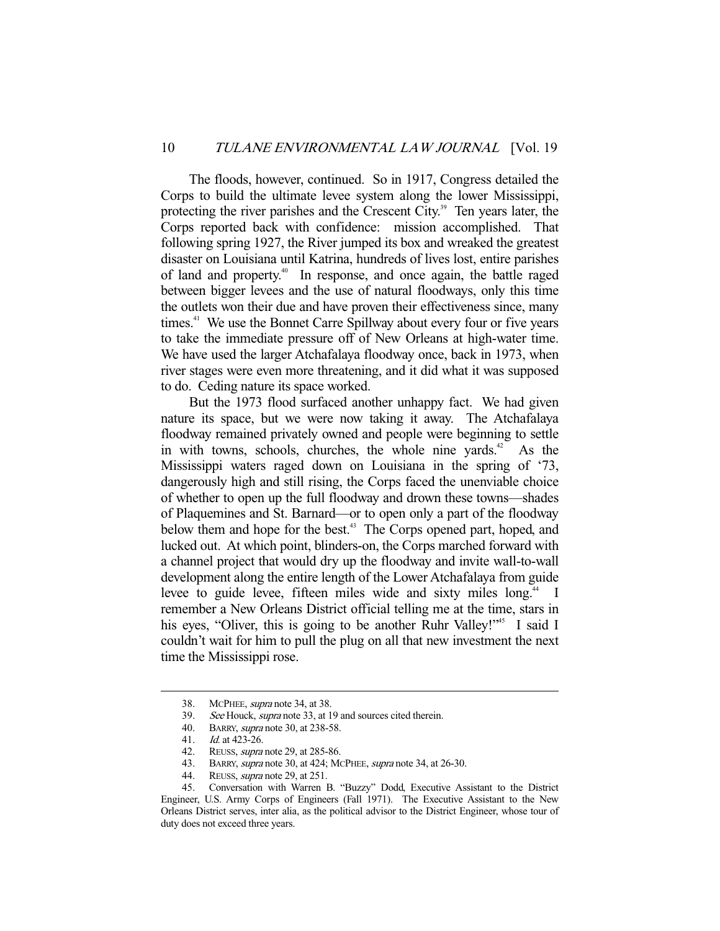The floods, however, continued. So in 1917, Congress detailed the Corps to build the ultimate levee system along the lower Mississippi, protecting the river parishes and the Crescent City.<sup>39</sup> Ten years later, the Corps reported back with confidence: mission accomplished. That following spring 1927, the River jumped its box and wreaked the greatest disaster on Louisiana until Katrina, hundreds of lives lost, entire parishes of land and property.40 In response, and once again, the battle raged between bigger levees and the use of natural floodways, only this time the outlets won their due and have proven their effectiveness since, many times.<sup>41</sup> We use the Bonnet Carre Spillway about every four or five years to take the immediate pressure off of New Orleans at high-water time. We have used the larger Atchafalaya floodway once, back in 1973, when river stages were even more threatening, and it did what it was supposed to do. Ceding nature its space worked.

 But the 1973 flood surfaced another unhappy fact. We had given nature its space, but we were now taking it away. The Atchafalaya floodway remained privately owned and people were beginning to settle in with towns, schools, churches, the whole nine yards. $42$  As the Mississippi waters raged down on Louisiana in the spring of '73, dangerously high and still rising, the Corps faced the unenviable choice of whether to open up the full floodway and drown these towns—shades of Plaquemines and St. Barnard—or to open only a part of the floodway below them and hope for the best.<sup>43</sup> The Corps opened part, hoped, and lucked out. At which point, blinders-on, the Corps marched forward with a channel project that would dry up the floodway and invite wall-to-wall development along the entire length of the Lower Atchafalaya from guide levee to guide levee, fifteen miles wide and sixty miles long.<sup>44</sup> I remember a New Orleans District official telling me at the time, stars in his eyes, "Oliver, this is going to be another Ruhr Valley!"<sup>45</sup> I said I couldn't wait for him to pull the plug on all that new investment the next time the Mississippi rose.

<sup>38.</sup> McPHEE, *supra* note 34, at 38.<br>39. See Houck, *supra* note 33, at 1

See Houck, supra note 33, at 19 and sources cited therein.

<sup>40.</sup> BARRY, *supra* note 30, at 238-58.

 <sup>41.</sup> Id. at 423-26.

 <sup>42.</sup> REUSS, supra note 29, at 285-86.

<sup>43.</sup> BARRY, *supra* note 30, at 424; MCPHEE, *supra* note 34, at 26-30.

<sup>44.</sup> REUSS, *supra* note 29, at 251.<br>45. Conversation with Warren I

 <sup>45.</sup> Conversation with Warren B. "Buzzy" Dodd, Executive Assistant to the District Engineer, U.S. Army Corps of Engineers (Fall 1971). The Executive Assistant to the New Orleans District serves, inter alia, as the political advisor to the District Engineer, whose tour of duty does not exceed three years.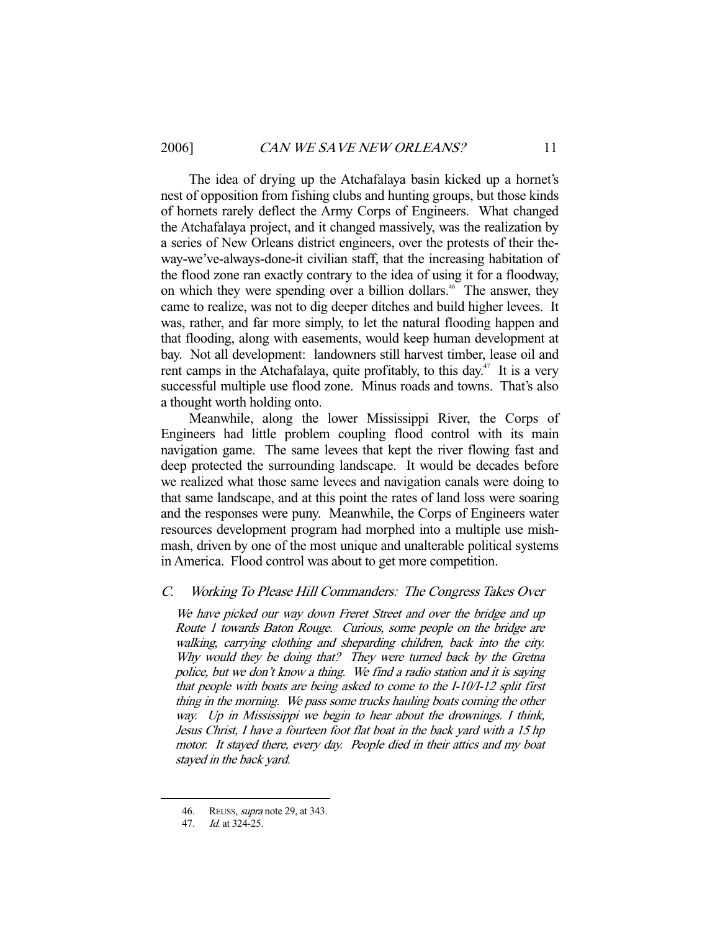The idea of drying up the Atchafalaya basin kicked up a hornet's nest of opposition from fishing clubs and hunting groups, but those kinds of hornets rarely deflect the Army Corps of Engineers. What changed the Atchafalaya project, and it changed massively, was the realization by a series of New Orleans district engineers, over the protests of their theway-we've-always-done-it civilian staff, that the increasing habitation of the flood zone ran exactly contrary to the idea of using it for a floodway, on which they were spending over a billion dollars.<sup>46</sup> The answer, they came to realize, was not to dig deeper ditches and build higher levees. It was, rather, and far more simply, to let the natural flooding happen and that flooding, along with easements, would keep human development at bay. Not all development: landowners still harvest timber, lease oil and rent camps in the Atchafalaya, quite profitably, to this day.<sup>47</sup> It is a very successful multiple use flood zone. Minus roads and towns. That's also a thought worth holding onto.

 Meanwhile, along the lower Mississippi River, the Corps of Engineers had little problem coupling flood control with its main navigation game. The same levees that kept the river flowing fast and deep protected the surrounding landscape. It would be decades before we realized what those same levees and navigation canals were doing to that same landscape, and at this point the rates of land loss were soaring and the responses were puny. Meanwhile, the Corps of Engineers water resources development program had morphed into a multiple use mishmash, driven by one of the most unique and unalterable political systems in America. Flood control was about to get more competition.

## C. Working To Please Hill Commanders: The Congress Takes Over

We have picked our way down Freret Street and over the bridge and up Route 1 towards Baton Rouge. Curious, some people on the bridge are walking, carrying clothing and sheparding children, back into the city. Why would they be doing that? They were turned back by the Gretna police, but we don't know a thing. We find a radio station and it is saying that people with boats are being asked to come to the I-10/I-12 split first thing in the morning. We pass some trucks hauling boats coming the other way. Up in Mississippi we begin to hear about the drownings. I think, Jesus Christ, I have a fourteen foot flat boat in the back yard with a 15 hp motor. It stayed there, every day. People died in their attics and my boat stayed in the back yard.

 <sup>46.</sup> REUSS, supra note 29, at 343.

 <sup>47.</sup> Id. at 324-25.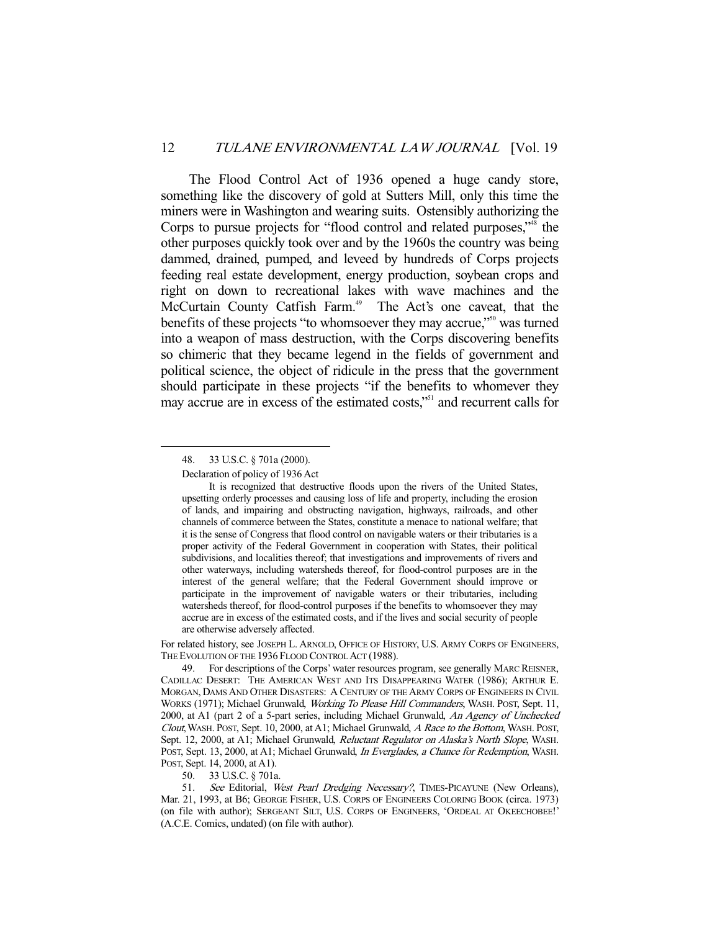The Flood Control Act of 1936 opened a huge candy store, something like the discovery of gold at Sutters Mill, only this time the miners were in Washington and wearing suits. Ostensibly authorizing the Corps to pursue projects for "flood control and related purposes,"<sup>48</sup> the other purposes quickly took over and by the 1960s the country was being dammed, drained, pumped, and leveed by hundreds of Corps projects feeding real estate development, energy production, soybean crops and right on down to recreational lakes with wave machines and the McCurtain County Catfish Farm.<sup>49</sup> The Act's one caveat, that the benefits of these projects "to whomsoever they may accrue,"<sup>50</sup> was turned into a weapon of mass destruction, with the Corps discovering benefits so chimeric that they became legend in the fields of government and political science, the object of ridicule in the press that the government should participate in these projects "if the benefits to whomever they may accrue are in excess of the estimated costs,"<sup>51</sup> and recurrent calls for

-

Declaration of policy of 1936 Act

For related history, see JOSEPH L. ARNOLD, OFFICE OF HISTORY, U.S. ARMY CORPS OF ENGINEERS, THE EVOLUTION OF THE 1936 FLOOD CONTROL ACT (1988).

 <sup>48. 33</sup> U.S.C. § 701a (2000).

It is recognized that destructive floods upon the rivers of the United States, upsetting orderly processes and causing loss of life and property, including the erosion of lands, and impairing and obstructing navigation, highways, railroads, and other channels of commerce between the States, constitute a menace to national welfare; that it is the sense of Congress that flood control on navigable waters or their tributaries is a proper activity of the Federal Government in cooperation with States, their political subdivisions, and localities thereof; that investigations and improvements of rivers and other waterways, including watersheds thereof, for flood-control purposes are in the interest of the general welfare; that the Federal Government should improve or participate in the improvement of navigable waters or their tributaries, including watersheds thereof, for flood-control purposes if the benefits to whomsoever they may accrue are in excess of the estimated costs, and if the lives and social security of people are otherwise adversely affected.

 <sup>49.</sup> For descriptions of the Corps' water resources program, see generally MARC REISNER, CADILLAC DESERT: THE AMERICAN WEST AND ITS DISAPPEARING WATER (1986); ARTHUR E. MORGAN, DAMS AND OTHER DISASTERS: A CENTURY OF THE ARMY CORPS OF ENGINEERS IN CIVIL WORKS (1971); Michael Grunwald, Working To Please Hill Commanders, WASH. POST, Sept. 11, 2000, at A1 (part 2 of a 5-part series, including Michael Grunwald, An Agency of Unchecked Clout,WASH. POST, Sept. 10, 2000, at A1; Michael Grunwald, A Race to the Bottom, WASH. POST, Sept. 12, 2000, at A1; Michael Grunwald, Reluctant Regulator on Alaska's North Slope, WASH. POST, Sept. 13, 2000, at A1; Michael Grunwald, In Everglades, a Chance for Redemption, WASH. POST, Sept. 14, 2000, at A1).

 <sup>50. 33</sup> U.S.C. § 701a.

<sup>51.</sup> See Editorial, West Pearl Dredging Necessary?, TIMES-PICAYUNE (New Orleans), Mar. 21, 1993, at B6; GEORGE FISHER, U.S. CORPS OF ENGINEERS COLORING BOOK (circa. 1973) (on file with author); SERGEANT SILT, U.S. CORPS OF ENGINEERS, 'ORDEAL AT OKEECHOBEE!' (A.C.E. Comics, undated) (on file with author).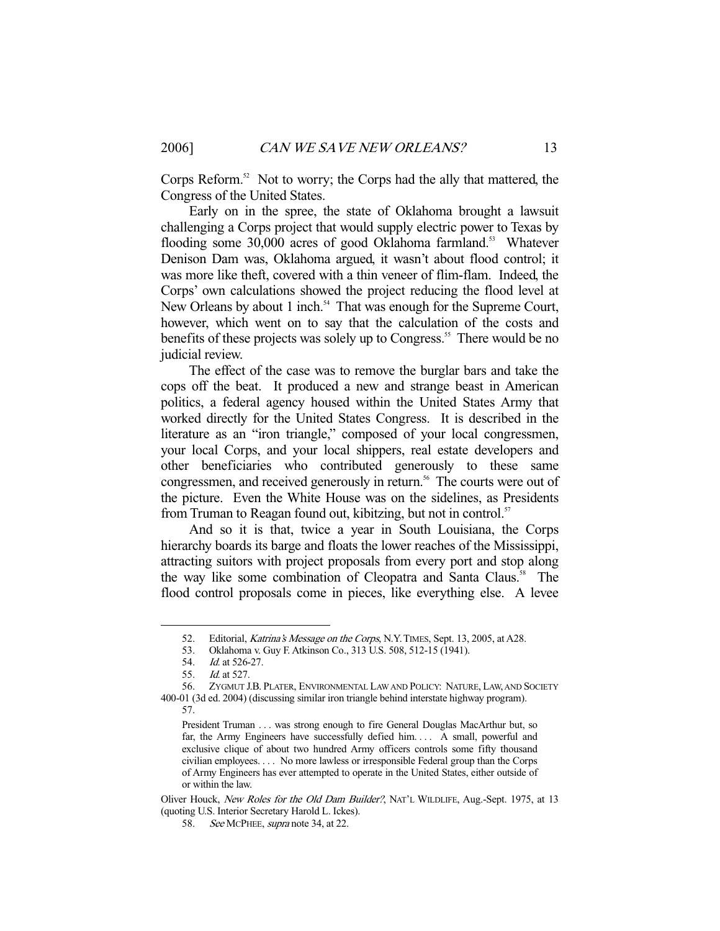Corps Reform.<sup>52</sup> Not to worry; the Corps had the ally that mattered, the Congress of the United States.

 Early on in the spree, the state of Oklahoma brought a lawsuit challenging a Corps project that would supply electric power to Texas by flooding some 30,000 acres of good Oklahoma farmland.<sup>53</sup> Whatever Denison Dam was, Oklahoma argued, it wasn't about flood control; it was more like theft, covered with a thin veneer of flim-flam. Indeed, the Corps' own calculations showed the project reducing the flood level at New Orleans by about 1 inch.<sup>54</sup> That was enough for the Supreme Court, however, which went on to say that the calculation of the costs and benefits of these projects was solely up to Congress.<sup>55</sup> There would be no judicial review.

 The effect of the case was to remove the burglar bars and take the cops off the beat. It produced a new and strange beast in American politics, a federal agency housed within the United States Army that worked directly for the United States Congress. It is described in the literature as an "iron triangle," composed of your local congressmen, your local Corps, and your local shippers, real estate developers and other beneficiaries who contributed generously to these same congressmen, and received generously in return.<sup>56</sup> The courts were out of the picture. Even the White House was on the sidelines, as Presidents from Truman to Reagan found out, kibitzing, but not in control.<sup>57</sup>

 And so it is that, twice a year in South Louisiana, the Corps hierarchy boards its barge and floats the lower reaches of the Mississippi, attracting suitors with project proposals from every port and stop along the way like some combination of Cleopatra and Santa Claus.<sup>58</sup> The flood control proposals come in pieces, like everything else. A levee

<sup>52.</sup> Editorial, Katrina's Message on the Corps, N.Y. TIMES, Sept. 13, 2005, at A28.

 <sup>53.</sup> Oklahoma v. Guy F. Atkinson Co., 313 U.S. 508, 512-15 (1941).

 <sup>54.</sup> Id. at 526-27.

 <sup>55.</sup> Id. at 527.

 <sup>56.</sup> ZYGMUT J.B. PLATER, ENVIRONMENTAL LAW AND POLICY: NATURE, LAW, AND SOCIETY 400-01 (3d ed. 2004) (discussing similar iron triangle behind interstate highway program). 57.

President Truman . . . was strong enough to fire General Douglas MacArthur but, so far, the Army Engineers have successfully defied him. . . . A small, powerful and exclusive clique of about two hundred Army officers controls some fifty thousand civilian employees. . . . No more lawless or irresponsible Federal group than the Corps of Army Engineers has ever attempted to operate in the United States, either outside of or within the law.

Oliver Houck, New Roles for the Old Dam Builder?, NAT'L WILDLIFE, Aug.-Sept. 1975, at 13 (quoting U.S. Interior Secretary Harold L. Ickes).

<sup>58.</sup> See MCPHEE, supra note 34, at 22.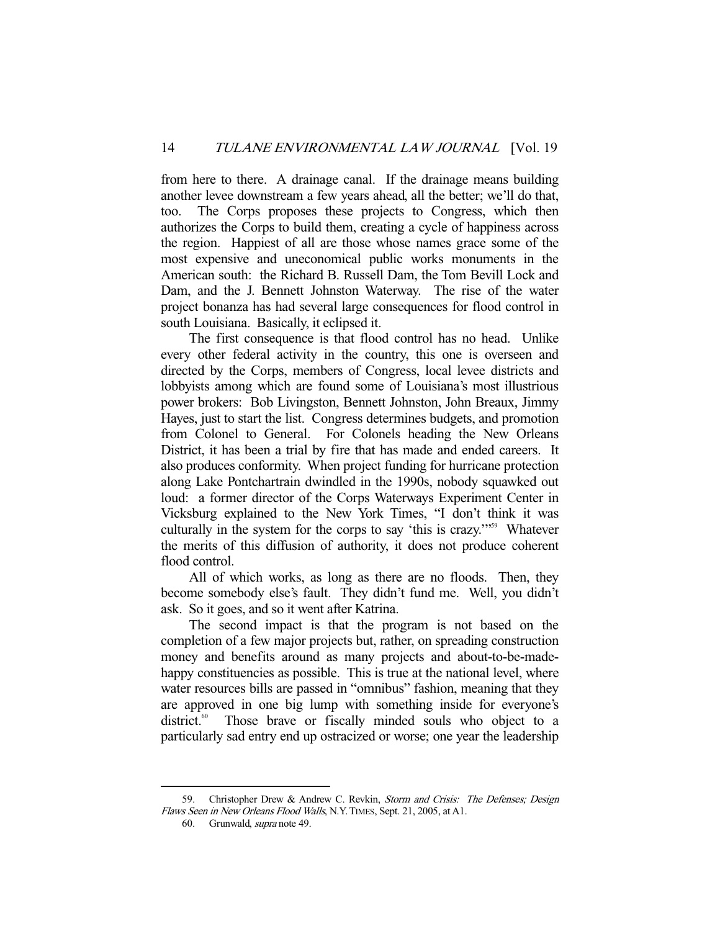from here to there. A drainage canal. If the drainage means building another levee downstream a few years ahead, all the better; we'll do that, too. The Corps proposes these projects to Congress, which then authorizes the Corps to build them, creating a cycle of happiness across the region. Happiest of all are those whose names grace some of the most expensive and uneconomical public works monuments in the American south: the Richard B. Russell Dam, the Tom Bevill Lock and Dam, and the J. Bennett Johnston Waterway. The rise of the water project bonanza has had several large consequences for flood control in south Louisiana. Basically, it eclipsed it.

 The first consequence is that flood control has no head. Unlike every other federal activity in the country, this one is overseen and directed by the Corps, members of Congress, local levee districts and lobbyists among which are found some of Louisiana's most illustrious power brokers: Bob Livingston, Bennett Johnston, John Breaux, Jimmy Hayes, just to start the list. Congress determines budgets, and promotion from Colonel to General. For Colonels heading the New Orleans District, it has been a trial by fire that has made and ended careers. It also produces conformity. When project funding for hurricane protection along Lake Pontchartrain dwindled in the 1990s, nobody squawked out loud: a former director of the Corps Waterways Experiment Center in Vicksburg explained to the New York Times, "I don't think it was culturally in the system for the corps to say 'this is crazy.'"<sup>59</sup> Whatever the merits of this diffusion of authority, it does not produce coherent flood control.

 All of which works, as long as there are no floods. Then, they become somebody else's fault. They didn't fund me. Well, you didn't ask. So it goes, and so it went after Katrina.

 The second impact is that the program is not based on the completion of a few major projects but, rather, on spreading construction money and benefits around as many projects and about-to-be-madehappy constituencies as possible. This is true at the national level, where water resources bills are passed in "omnibus" fashion, meaning that they are approved in one big lump with something inside for everyone's district.<sup>60</sup> Those brave or fiscally minded souls who object to a particularly sad entry end up ostracized or worse; one year the leadership

 <sup>59.</sup> Christopher Drew & Andrew C. Revkin, Storm and Crisis: The Defenses; Design Flaws Seen in New Orleans Flood Walls, N.Y.TIMES, Sept. 21, 2005, at A1.

 <sup>60.</sup> Grunwald, supra note 49.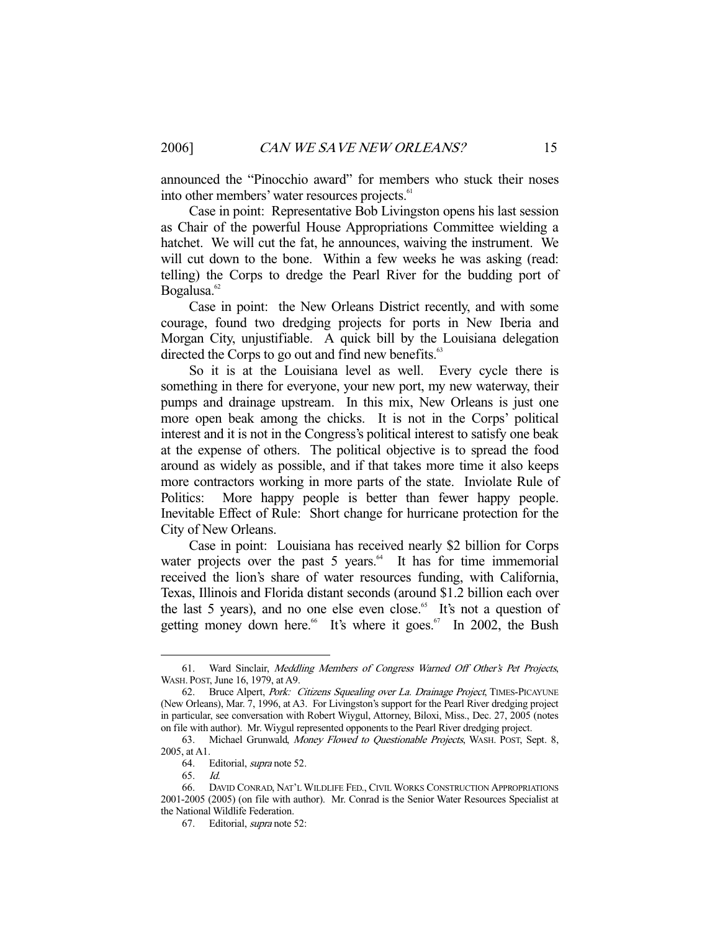announced the "Pinocchio award" for members who stuck their noses into other members' water resources projects.<sup>61</sup>

 Case in point: Representative Bob Livingston opens his last session as Chair of the powerful House Appropriations Committee wielding a hatchet. We will cut the fat, he announces, waiving the instrument. We will cut down to the bone. Within a few weeks he was asking (read: telling) the Corps to dredge the Pearl River for the budding port of Bogalusa.<sup>62</sup>

 Case in point: the New Orleans District recently, and with some courage, found two dredging projects for ports in New Iberia and Morgan City, unjustifiable. A quick bill by the Louisiana delegation directed the Corps to go out and find new benefits.<sup>63</sup>

 So it is at the Louisiana level as well. Every cycle there is something in there for everyone, your new port, my new waterway, their pumps and drainage upstream. In this mix, New Orleans is just one more open beak among the chicks. It is not in the Corps' political interest and it is not in the Congress's political interest to satisfy one beak at the expense of others. The political objective is to spread the food around as widely as possible, and if that takes more time it also keeps more contractors working in more parts of the state. Inviolate Rule of Politics: More happy people is better than fewer happy people. Inevitable Effect of Rule: Short change for hurricane protection for the City of New Orleans.

 Case in point: Louisiana has received nearly \$2 billion for Corps water projects over the past  $5$  years.<sup> $64$ </sup> It has for time immemorial received the lion's share of water resources funding, with California, Texas, Illinois and Florida distant seconds (around \$1.2 billion each over the last 5 years), and no one else even close.<sup>65</sup> It's not a question of getting money down here.<sup>66</sup> It's where it goes.<sup>67</sup> In 2002, the Bush

 <sup>61.</sup> Ward Sinclair, Meddling Members of Congress Warned Off Other's Pet Projects, WASH. POST, June 16, 1979, at A9.

<sup>62.</sup> Bruce Alpert, Pork: Citizens Squealing over La. Drainage Project, TIMES-PICAYUNE (New Orleans), Mar. 7, 1996, at A3. For Livingston's support for the Pearl River dredging project in particular, see conversation with Robert Wiygul, Attorney, Biloxi, Miss., Dec. 27, 2005 (notes on file with author). Mr. Wiygul represented opponents to the Pearl River dredging project.

 <sup>63.</sup> Michael Grunwald, Money Flowed to Questionable Projects, WASH. POST, Sept. 8, 2005, at A1.

 <sup>64.</sup> Editorial, supra note 52.

 <sup>65.</sup> Id.

 <sup>66.</sup> DAVID CONRAD, NAT'L WILDLIFE FED., CIVIL WORKS CONSTRUCTION APPROPRIATIONS 2001-2005 (2005) (on file with author). Mr. Conrad is the Senior Water Resources Specialist at the National Wildlife Federation.

 <sup>67.</sup> Editorial, supra note 52: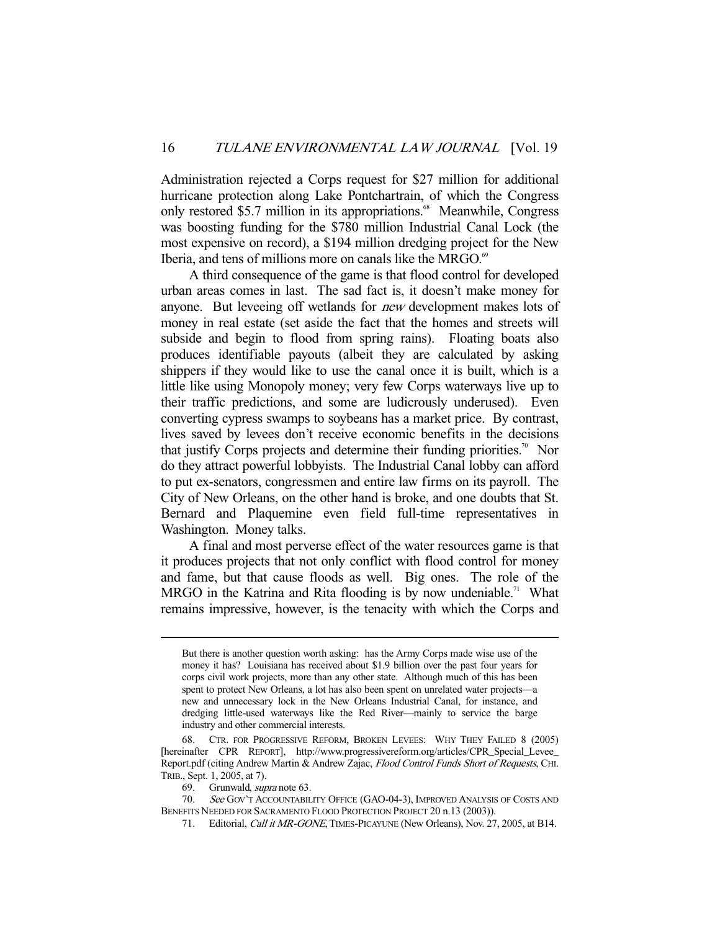Administration rejected a Corps request for \$27 million for additional hurricane protection along Lake Pontchartrain, of which the Congress only restored \$5.7 million in its appropriations.<sup>68</sup> Meanwhile, Congress was boosting funding for the \$780 million Industrial Canal Lock (the most expensive on record), a \$194 million dredging project for the New Iberia, and tens of millions more on canals like the MRGO.<sup>69</sup>

 A third consequence of the game is that flood control for developed urban areas comes in last. The sad fact is, it doesn't make money for anyone. But leveeing off wetlands for new development makes lots of money in real estate (set aside the fact that the homes and streets will subside and begin to flood from spring rains). Floating boats also produces identifiable payouts (albeit they are calculated by asking shippers if they would like to use the canal once it is built, which is a little like using Monopoly money; very few Corps waterways live up to their traffic predictions, and some are ludicrously underused). Even converting cypress swamps to soybeans has a market price. By contrast, lives saved by levees don't receive economic benefits in the decisions that justify Corps projects and determine their funding priorities.<sup>70</sup> Nor do they attract powerful lobbyists. The Industrial Canal lobby can afford to put ex-senators, congressmen and entire law firms on its payroll. The City of New Orleans, on the other hand is broke, and one doubts that St. Bernard and Plaquemine even field full-time representatives in Washington. Money talks.

 A final and most perverse effect of the water resources game is that it produces projects that not only conflict with flood control for money and fame, but that cause floods as well. Big ones. The role of the MRGO in the Katrina and Rita flooding is by now undeniable.<sup>71</sup> What remains impressive, however, is the tenacity with which the Corps and

But there is another question worth asking: has the Army Corps made wise use of the money it has? Louisiana has received about \$1.9 billion over the past four years for corps civil work projects, more than any other state. Although much of this has been spent to protect New Orleans, a lot has also been spent on unrelated water projects—a new and unnecessary lock in the New Orleans Industrial Canal, for instance, and dredging little-used waterways like the Red River—mainly to service the barge industry and other commercial interests.

 <sup>68.</sup> CTR. FOR PROGRESSIVE REFORM, BROKEN LEVEES: WHY THEY FAILED 8 (2005) [hereinafter CPR REPORT], http://www.progressivereform.org/articles/CPR\_Special\_Levee\_ Report.pdf (citing Andrew Martin & Andrew Zajac, Flood Control Funds Short of Requests, CHI. TRIB., Sept. 1, 2005, at 7).

 <sup>69.</sup> Grunwald, supra note 63.

<sup>70.</sup> See Gov't Accountability Office (GAO-04-3), Improved Analysis of Costs and BENEFITS NEEDED FOR SACRAMENTO FLOOD PROTECTION PROJECT 20 n.13 (2003)).

<sup>71.</sup> Editorial, *Call it MR-GONE*, TIMES-PICAYUNE (New Orleans), Nov. 27, 2005, at B14.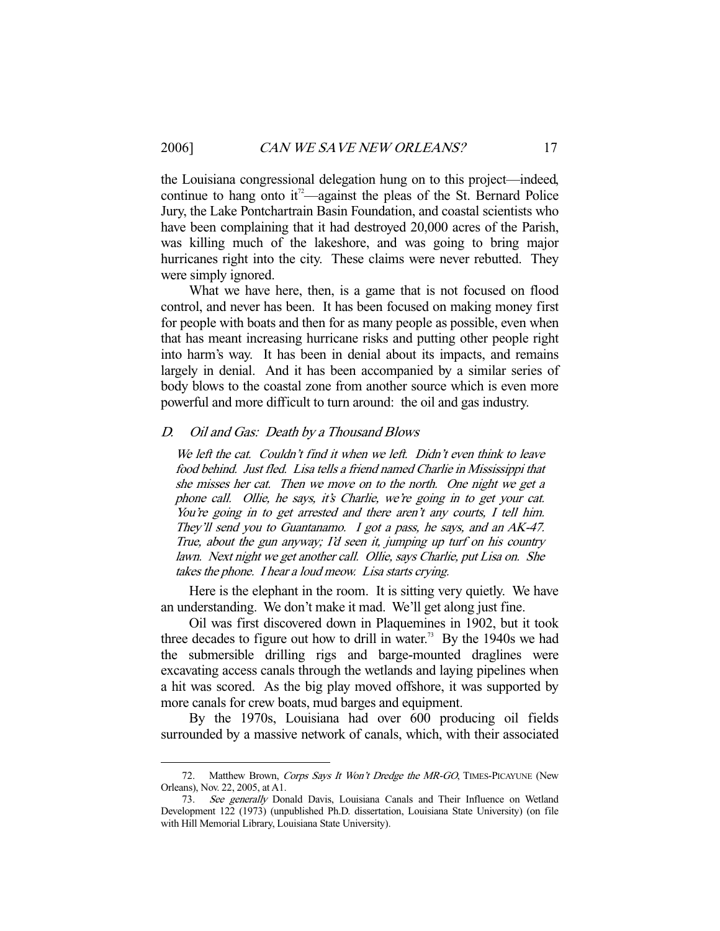the Louisiana congressional delegation hung on to this project—indeed, continue to hang onto it<sup> $2$ </sup>—against the pleas of the St. Bernard Police Jury, the Lake Pontchartrain Basin Foundation, and coastal scientists who have been complaining that it had destroyed 20,000 acres of the Parish, was killing much of the lakeshore, and was going to bring major hurricanes right into the city. These claims were never rebutted. They were simply ignored.

 What we have here, then, is a game that is not focused on flood control, and never has been. It has been focused on making money first for people with boats and then for as many people as possible, even when that has meant increasing hurricane risks and putting other people right into harm's way. It has been in denial about its impacts, and remains largely in denial. And it has been accompanied by a similar series of body blows to the coastal zone from another source which is even more powerful and more difficult to turn around: the oil and gas industry.

#### D. Oil and Gas: Death by a Thousand Blows

We left the cat. Couldn't find it when we left. Didn't even think to leave food behind. Just fled. Lisa tells a friend named Charlie in Mississippi that she misses her cat. Then we move on to the north. One night we get a phone call. Ollie, he says, it's Charlie, we're going in to get your cat. You're going in to get arrested and there aren't any courts, I tell him. They'll send you to Guantanamo. I got a pass, he says, and an AK-47. True, about the gun anyway; I'd seen it, jumping up turf on his country lawn. Next night we get another call. Ollie, says Charlie, put Lisa on. She takes the phone. I hear a loud meow. Lisa starts crying.

 Here is the elephant in the room. It is sitting very quietly. We have an understanding. We don't make it mad. We'll get along just fine.

 Oil was first discovered down in Plaquemines in 1902, but it took three decades to figure out how to drill in water.<sup>73</sup> By the 1940s we had the submersible drilling rigs and barge-mounted draglines were excavating access canals through the wetlands and laying pipelines when a hit was scored. As the big play moved offshore, it was supported by more canals for crew boats, mud barges and equipment.

 By the 1970s, Louisiana had over 600 producing oil fields surrounded by a massive network of canals, which, with their associated

<sup>72.</sup> Matthew Brown, Corps Says It Won't Dredge the MR-GO, TIMES-PICAYUNE (New Orleans), Nov. 22, 2005, at A1.

<sup>73.</sup> See generally Donald Davis, Louisiana Canals and Their Influence on Wetland Development 122 (1973) (unpublished Ph.D. dissertation, Louisiana State University) (on file with Hill Memorial Library, Louisiana State University).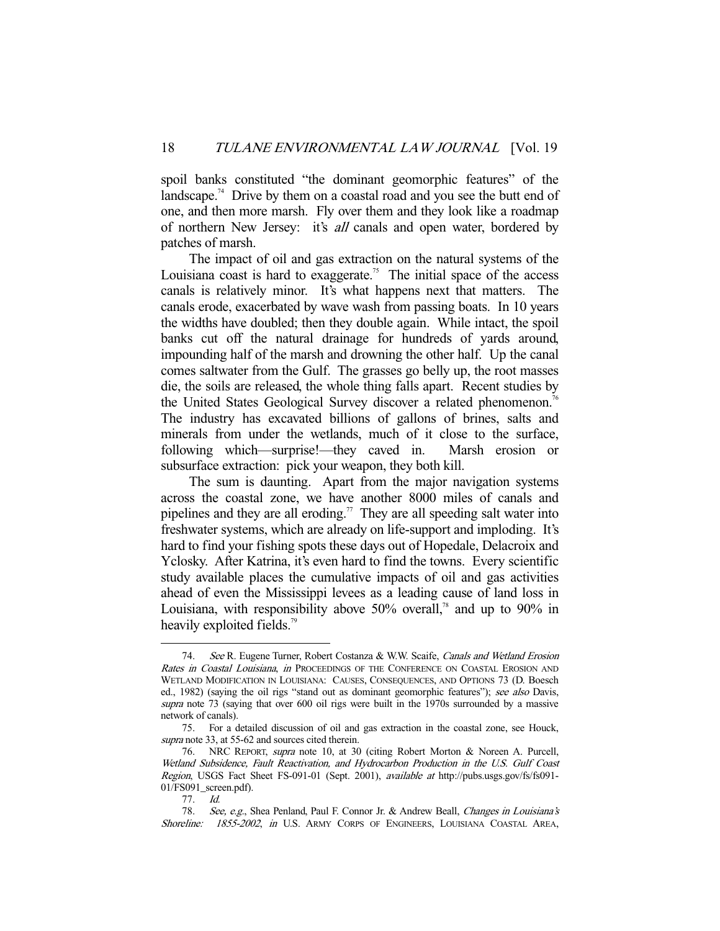spoil banks constituted "the dominant geomorphic features" of the landscape.<sup>74</sup> Drive by them on a coastal road and you see the butt end of one, and then more marsh. Fly over them and they look like a roadmap of northern New Jersey: it's *all* canals and open water, bordered by patches of marsh.

 The impact of oil and gas extraction on the natural systems of the Louisiana coast is hard to exaggerate.<sup>75</sup> The initial space of the access canals is relatively minor. It's what happens next that matters. The canals erode, exacerbated by wave wash from passing boats. In 10 years the widths have doubled; then they double again. While intact, the spoil banks cut off the natural drainage for hundreds of yards around, impounding half of the marsh and drowning the other half. Up the canal comes saltwater from the Gulf. The grasses go belly up, the root masses die, the soils are released, the whole thing falls apart. Recent studies by the United States Geological Survey discover a related phenomenon.<sup>76</sup> The industry has excavated billions of gallons of brines, salts and minerals from under the wetlands, much of it close to the surface, following which—surprise!—they caved in. Marsh erosion or subsurface extraction: pick your weapon, they both kill.

 The sum is daunting. Apart from the major navigation systems across the coastal zone, we have another 8000 miles of canals and pipelines and they are all eroding.<sup>77</sup> They are all speeding salt water into freshwater systems, which are already on life-support and imploding. It's hard to find your fishing spots these days out of Hopedale, Delacroix and Yclosky. After Katrina, it's even hard to find the towns. Every scientific study available places the cumulative impacts of oil and gas activities ahead of even the Mississippi levees as a leading cause of land loss in Louisiana, with responsibility above  $50\%$  overall,<sup>78</sup> and up to 90% in heavily exploited fields.<sup>79</sup>

<sup>74.</sup> See R. Eugene Turner, Robert Costanza & W.W. Scaife, Canals and Wetland Erosion Rates in Coastal Louisiana, in PROCEEDINGS OF THE CONFERENCE ON COASTAL EROSION AND WETLAND MODIFICATION IN LOUISIANA: CAUSES, CONSEQUENCES, AND OPTIONS 73 (D. Boesch ed., 1982) (saying the oil rigs "stand out as dominant geomorphic features"); see also Davis, supra note 73 (saying that over 600 oil rigs were built in the 1970s surrounded by a massive network of canals).

 <sup>75.</sup> For a detailed discussion of oil and gas extraction in the coastal zone, see Houck, supra note 33, at 55-62 and sources cited therein.

 <sup>76.</sup> NRC REPORT, supra note 10, at 30 (citing Robert Morton & Noreen A. Purcell, Wetland Subsidence, Fault Reactivation, and Hydrocarbon Production in the U.S. Gulf Coast Region, USGS Fact Sheet FS-091-01 (Sept. 2001), available at http://pubs.usgs.gov/fs/fs091-01/FS091\_screen.pdf).

 <sup>77.</sup> Id.

 <sup>78.</sup> See, e.g., Shea Penland, Paul F. Connor Jr. & Andrew Beall, Changes in Louisiana's Shoreline: 1855-2002, in U.S. ARMY CORPS OF ENGINEERS, LOUISIANA COASTAL AREA,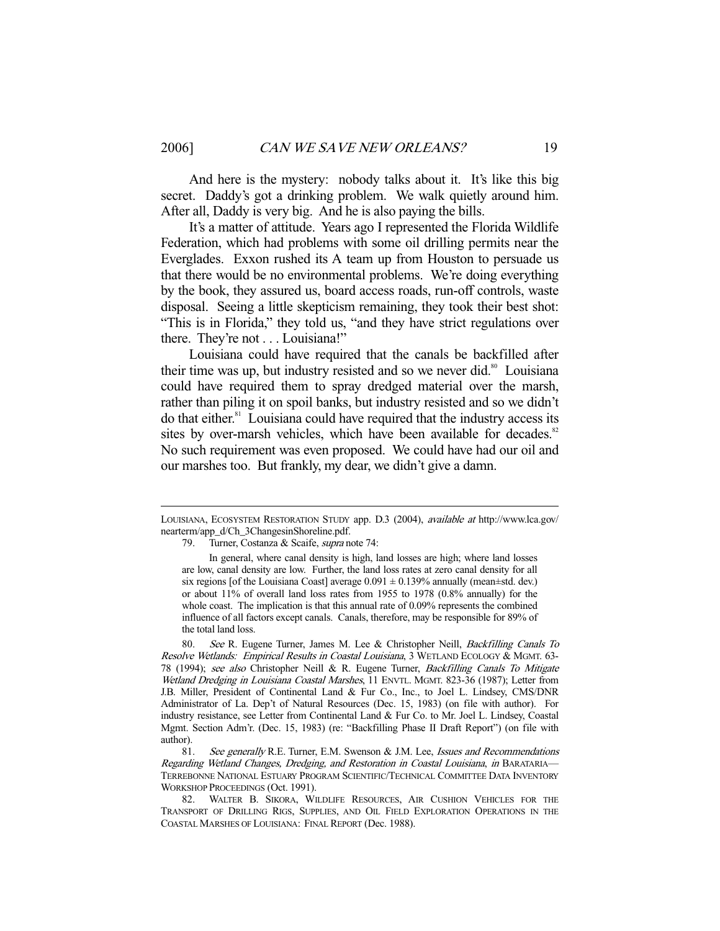-

 And here is the mystery: nobody talks about it. It's like this big secret. Daddy's got a drinking problem. We walk quietly around him. After all, Daddy is very big. And he is also paying the bills.

 It's a matter of attitude. Years ago I represented the Florida Wildlife Federation, which had problems with some oil drilling permits near the Everglades. Exxon rushed its A team up from Houston to persuade us that there would be no environmental problems. We're doing everything by the book, they assured us, board access roads, run-off controls, waste disposal. Seeing a little skepticism remaining, they took their best shot: "This is in Florida," they told us, "and they have strict regulations over there. They're not . . . Louisiana!"

 Louisiana could have required that the canals be backfilled after their time was up, but industry resisted and so we never did. $\frac{80}{10}$  Louisiana could have required them to spray dredged material over the marsh, rather than piling it on spoil banks, but industry resisted and so we didn't do that either.81 Louisiana could have required that the industry access its sites by over-marsh vehicles, which have been available for decades.<sup>82</sup> No such requirement was even proposed. We could have had our oil and our marshes too. But frankly, my dear, we didn't give a damn.

80. See R. Eugene Turner, James M. Lee & Christopher Neill, Backfilling Canals To Resolve Wetlands: Empirical Results in Coastal Louisiana, 3 WETLAND ECOLOGY & MGMT. 63- 78 (1994); see also Christopher Neill & R. Eugene Turner, Backfilling Canals To Mitigate Wetland Dredging in Louisiana Coastal Marshes, 11 ENVTL. MGMT. 823-36 (1987); Letter from J.B. Miller, President of Continental Land & Fur Co., Inc., to Joel L. Lindsey, CMS/DNR Administrator of La. Dep't of Natural Resources (Dec. 15, 1983) (on file with author). For industry resistance, see Letter from Continental Land & Fur Co. to Mr. Joel L. Lindsey, Coastal Mgmt. Section Adm'r. (Dec. 15, 1983) (re: "Backfilling Phase II Draft Report") (on file with author).

81. See generally R.E. Turner, E.M. Swenson & J.M. Lee, Issues and Recommendations Regarding Wetland Changes, Dredging, and Restoration in Coastal Louisiana, in BARATARIA— TERREBONNE NATIONAL ESTUARY PROGRAM SCIENTIFIC/TECHNICAL COMMITTEE DATA INVENTORY WORKSHOP PROCEEDINGS (Oct. 1991).

 82. WALTER B. SIKORA, WILDLIFE RESOURCES, AIR CUSHION VEHICLES FOR THE TRANSPORT OF DRILLING RIGS, SUPPLIES, AND OIL FIELD EXPLORATION OPERATIONS IN THE COASTAL MARSHES OF LOUISIANA: FINAL REPORT (Dec. 1988).

LOUISIANA, ECOSYSTEM RESTORATION STUDY app. D.3 (2004), available at http://www.lca.gov/ nearterm/app\_d/Ch\_3ChangesinShoreline.pdf.

<sup>79.</sup> Turner, Costanza & Scaife, *supra* note 74:

In general, where canal density is high, land losses are high; where land losses are low, canal density are low. Further, the land loss rates at zero canal density for all six regions [of the Louisiana Coast] average  $0.091 \pm 0.139\%$  annually (mean $\pm$ std. dev.) or about 11% of overall land loss rates from 1955 to 1978 (0.8% annually) for the whole coast. The implication is that this annual rate of 0.09% represents the combined influence of all factors except canals. Canals, therefore, may be responsible for 89% of the total land loss.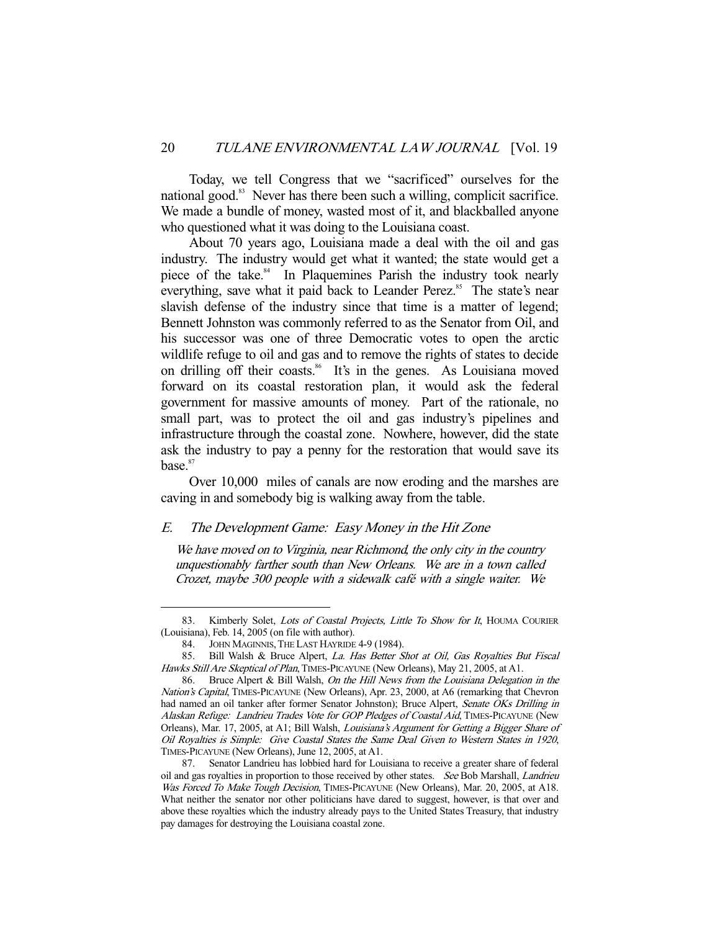Today, we tell Congress that we "sacrificed" ourselves for the national good.<sup>83</sup> Never has there been such a willing, complicit sacrifice. We made a bundle of money, wasted most of it, and blackballed anyone who questioned what it was doing to the Louisiana coast.

 About 70 years ago, Louisiana made a deal with the oil and gas industry. The industry would get what it wanted; the state would get a piece of the take.<sup>84</sup> In Plaquemines Parish the industry took nearly everything, save what it paid back to Leander Perez.<sup>85</sup> The state's near slavish defense of the industry since that time is a matter of legend; Bennett Johnston was commonly referred to as the Senator from Oil, and his successor was one of three Democratic votes to open the arctic wildlife refuge to oil and gas and to remove the rights of states to decide on drilling off their coasts.<sup>86</sup> It's in the genes. As Louisiana moved forward on its coastal restoration plan, it would ask the federal government for massive amounts of money. Part of the rationale, no small part, was to protect the oil and gas industry's pipelines and infrastructure through the coastal zone. Nowhere, however, did the state ask the industry to pay a penny for the restoration that would save its base.<sup>87</sup>

 Over 10,000 miles of canals are now eroding and the marshes are caving in and somebody big is walking away from the table.

# E. The Development Game: Easy Money in the Hit Zone

We have moved on to Virginia, near Richmond, the only city in the country unquestionably farther south than New Orleans. We are in a town called Crozet, maybe 300 people with a sidewalk café with a single waiter. We

<sup>83.</sup> Kimberly Solet, Lots of Coastal Projects, Little To Show for It, HOUMA COURIER (Louisiana), Feb. 14, 2005 (on file with author).

 <sup>84.</sup> JOHN MAGINNIS,THE LAST HAYRIDE 4-9 (1984).

<sup>85.</sup> Bill Walsh & Bruce Alpert, La. Has Better Shot at Oil, Gas Royalties But Fiscal Hawks Still Are Skeptical of Plan, TIMES-PICAYUNE (New Orleans), May 21, 2005, at A1.

 <sup>86.</sup> Bruce Alpert & Bill Walsh, On the Hill News from the Louisiana Delegation in the Nation's Capital, TIMES-PICAYUNE (New Orleans), Apr. 23, 2000, at A6 (remarking that Chevron had named an oil tanker after former Senator Johnston); Bruce Alpert, Senate OKs Drilling in Alaskan Refuge: Landrieu Trades Vote for GOP Pledges of Coastal Aid, TIMES-PICAYUNE (New Orleans), Mar. 17, 2005, at A1; Bill Walsh, Louisiana's Argument for Getting a Bigger Share of Oil Royalties is Simple: Give Coastal States the Same Deal Given to Western States in 1920, TIMES-PICAYUNE (New Orleans), June 12, 2005, at A1.

 <sup>87.</sup> Senator Landrieu has lobbied hard for Louisiana to receive a greater share of federal oil and gas royalties in proportion to those received by other states. See Bob Marshall, Landrieu Was Forced To Make Tough Decision, TIMES-PICAYUNE (New Orleans), Mar. 20, 2005, at A18. What neither the senator nor other politicians have dared to suggest, however, is that over and above these royalties which the industry already pays to the United States Treasury, that industry pay damages for destroying the Louisiana coastal zone.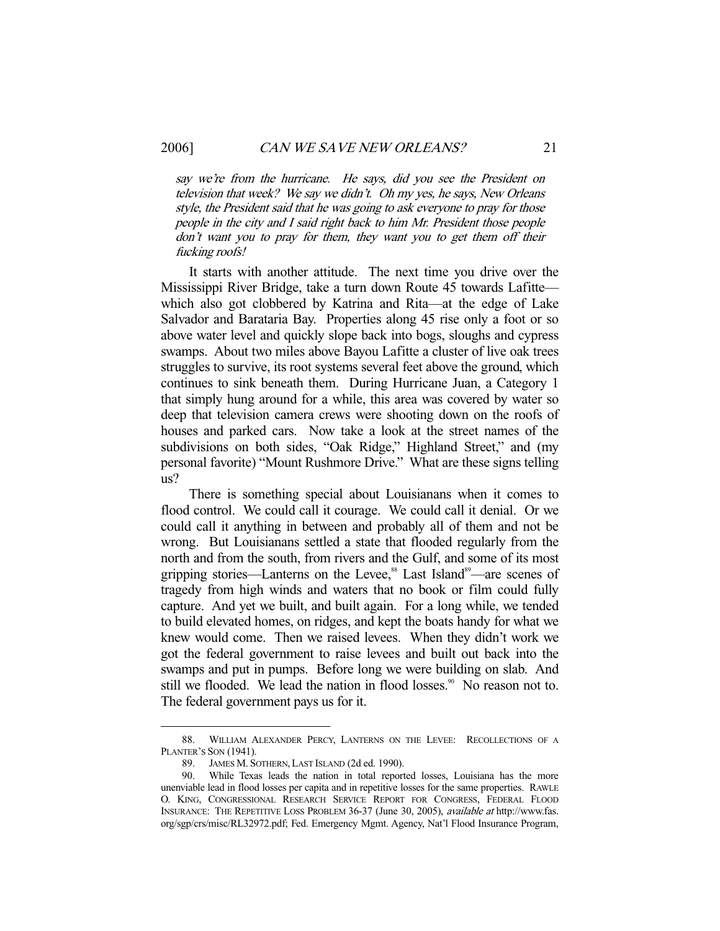-

say we're from the hurricane. He says, did you see the President on television that week? We say we didn't. Oh my yes, he says, New Orleans style, the President said that he was going to ask everyone to pray for those people in the city and I said right back to him Mr. President those people don't want you to pray for them, they want you to get them off their fucking roofs!

 It starts with another attitude. The next time you drive over the Mississippi River Bridge, take a turn down Route 45 towards Lafitte which also got clobbered by Katrina and Rita—at the edge of Lake Salvador and Barataria Bay. Properties along 45 rise only a foot or so above water level and quickly slope back into bogs, sloughs and cypress swamps. About two miles above Bayou Lafitte a cluster of live oak trees struggles to survive, its root systems several feet above the ground, which continues to sink beneath them. During Hurricane Juan, a Category 1 that simply hung around for a while, this area was covered by water so deep that television camera crews were shooting down on the roofs of houses and parked cars. Now take a look at the street names of the subdivisions on both sides, "Oak Ridge," Highland Street," and (my personal favorite) "Mount Rushmore Drive." What are these signs telling us?

 There is something special about Louisianans when it comes to flood control. We could call it courage. We could call it denial. Or we could call it anything in between and probably all of them and not be wrong. But Louisianans settled a state that flooded regularly from the north and from the south, from rivers and the Gulf, and some of its most gripping stories—Lanterns on the Levee,<sup>88</sup> Last Island<sup>89</sup>—are scenes of tragedy from high winds and waters that no book or film could fully capture. And yet we built, and built again. For a long while, we tended to build elevated homes, on ridges, and kept the boats handy for what we knew would come. Then we raised levees. When they didn't work we got the federal government to raise levees and built out back into the swamps and put in pumps. Before long we were building on slab. And still we flooded. We lead the nation in flood losses.<sup>90</sup> No reason not to. The federal government pays us for it.

 <sup>88.</sup> WILLIAM ALEXANDER PERCY, LANTERNS ON THE LEVEE: RECOLLECTIONS OF A PLANTER'S SON (1941).

 <sup>89.</sup> JAMES M. SOTHERN, LAST ISLAND (2d ed. 1990).

 <sup>90.</sup> While Texas leads the nation in total reported losses, Louisiana has the more unenviable lead in flood losses per capita and in repetitive losses for the same properties. RAWLE O. KING, CONGRESSIONAL RESEARCH SERVICE REPORT FOR CONGRESS, FEDERAL FLOOD INSURANCE: THE REPETITIVE LOSS PROBLEM 36-37 (June 30, 2005), available at http://www.fas. org/sgp/crs/misc/RL32972.pdf; Fed. Emergency Mgmt. Agency, Nat'l Flood Insurance Program,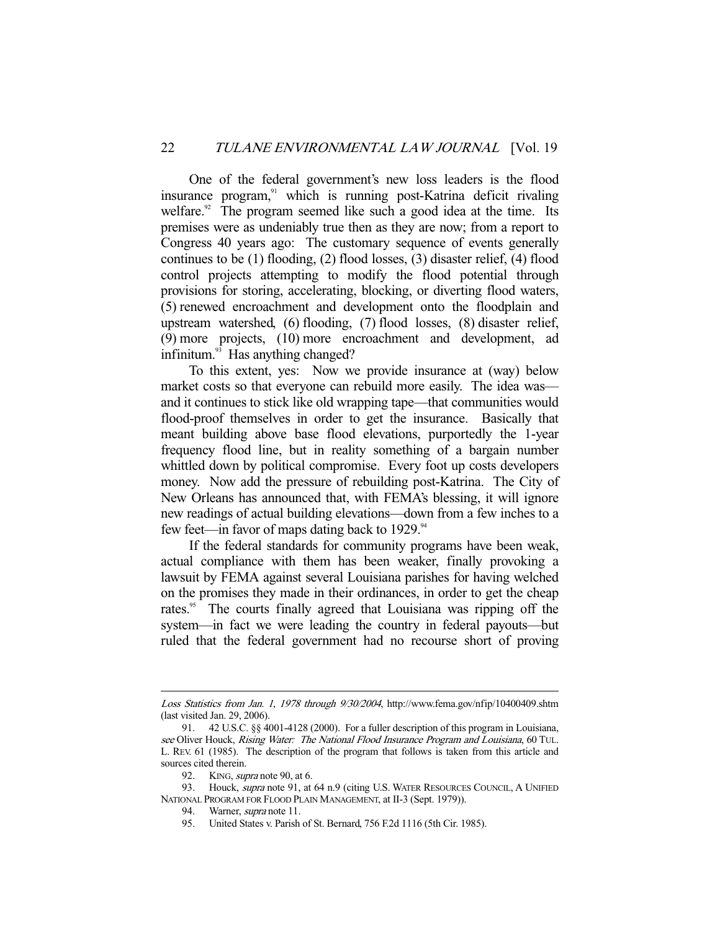One of the federal government's new loss leaders is the flood insurance program,<sup>91</sup> which is running post-Katrina deficit rivaling welfare.<sup>92</sup> The program seemed like such a good idea at the time. Its premises were as undeniably true then as they are now; from a report to Congress 40 years ago: The customary sequence of events generally continues to be (1) flooding, (2) flood losses, (3) disaster relief, (4) flood control projects attempting to modify the flood potential through provisions for storing, accelerating, blocking, or diverting flood waters, (5) renewed encroachment and development onto the floodplain and upstream watershed, (6) flooding, (7) flood losses, (8) disaster relief, (9) more projects, (10) more encroachment and development, ad infinitum.<sup>93</sup> Has anything changed?

 To this extent, yes: Now we provide insurance at (way) below market costs so that everyone can rebuild more easily. The idea was and it continues to stick like old wrapping tape—that communities would flood-proof themselves in order to get the insurance. Basically that meant building above base flood elevations, purportedly the 1-year frequency flood line, but in reality something of a bargain number whittled down by political compromise. Every foot up costs developers money. Now add the pressure of rebuilding post-Katrina. The City of New Orleans has announced that, with FEMA's blessing, it will ignore new readings of actual building elevations—down from a few inches to a few feet—in favor of maps dating back to  $1929$ .<sup>94</sup>

 If the federal standards for community programs have been weak, actual compliance with them has been weaker, finally provoking a lawsuit by FEMA against several Louisiana parishes for having welched on the promises they made in their ordinances, in order to get the cheap rates.<sup>95</sup> The courts finally agreed that Louisiana was ripping off the system—in fact we were leading the country in federal payouts—but ruled that the federal government had no recourse short of proving

Loss Statistics from Jan. 1, 1978 through 9/30/2004, http://www.fema.gov/nfip/10400409.shtm (last visited Jan. 29, 2006).

 <sup>91. 42</sup> U.S.C. §§ 4001-4128 (2000). For a fuller description of this program in Louisiana, see Oliver Houck, Rising Water: The National Flood Insurance Program and Louisiana, 60 TUL. L. REV. 61 (1985). The description of the program that follows is taken from this article and sources cited therein.

<sup>92.</sup> KING, *supra* note 90, at 6.

<sup>93.</sup> Houck, *supra* note 91, at 64 n.9 (citing U.S. WATER RESOURCES COUNCIL, A UNIFIED NATIONAL PROGRAM FOR FLOOD PLAIN MANAGEMENT, at II-3 (Sept. 1979)).

<sup>94.</sup> Warner, *supra* note 11.

 <sup>95.</sup> United States v. Parish of St. Bernard, 756 F.2d 1116 (5th Cir. 1985).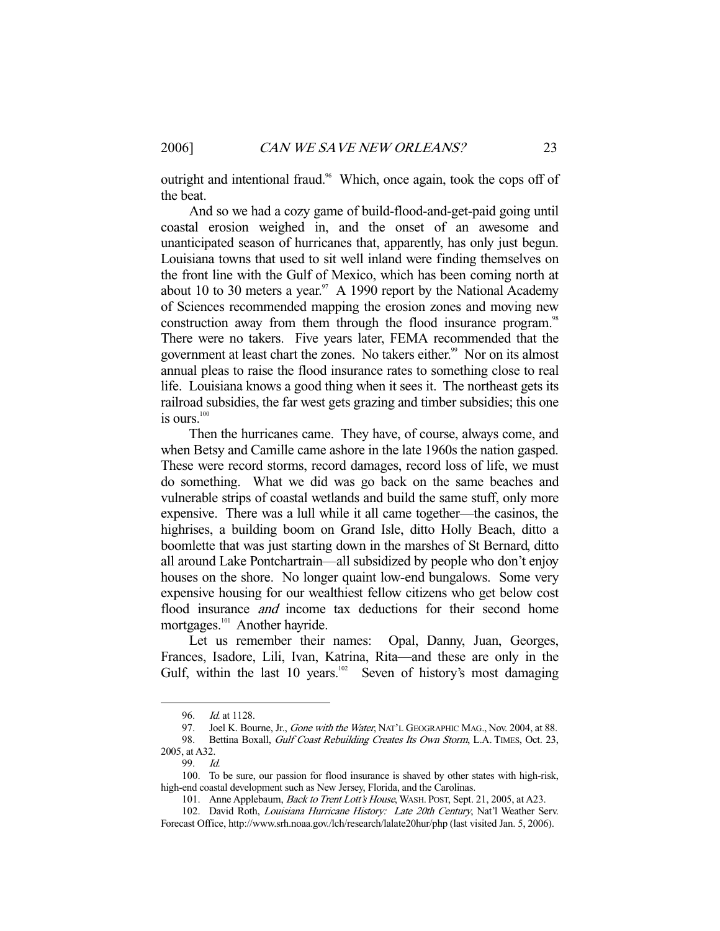outright and intentional fraud.<sup>96</sup> Which, once again, took the cops off of the beat.

 And so we had a cozy game of build-flood-and-get-paid going until coastal erosion weighed in, and the onset of an awesome and unanticipated season of hurricanes that, apparently, has only just begun. Louisiana towns that used to sit well inland were finding themselves on the front line with the Gulf of Mexico, which has been coming north at about 10 to 30 meters a year.<sup>97</sup> A 1990 report by the National Academy of Sciences recommended mapping the erosion zones and moving new construction away from them through the flood insurance program.<sup>98</sup> There were no takers. Five years later, FEMA recommended that the government at least chart the zones. No takers either.<sup>99</sup> Nor on its almost annual pleas to raise the flood insurance rates to something close to real life. Louisiana knows a good thing when it sees it. The northeast gets its railroad subsidies, the far west gets grazing and timber subsidies; this one is ours. $100$ 

 Then the hurricanes came. They have, of course, always come, and when Betsy and Camille came ashore in the late 1960s the nation gasped. These were record storms, record damages, record loss of life, we must do something. What we did was go back on the same beaches and vulnerable strips of coastal wetlands and build the same stuff, only more expensive. There was a lull while it all came together—the casinos, the highrises, a building boom on Grand Isle, ditto Holly Beach, ditto a boomlette that was just starting down in the marshes of St Bernard, ditto all around Lake Pontchartrain—all subsidized by people who don't enjoy houses on the shore. No longer quaint low-end bungalows. Some very expensive housing for our wealthiest fellow citizens who get below cost flood insurance *and* income tax deductions for their second home mortgages.<sup>101</sup> Another hayride.

Let us remember their names: Opal, Danny, Juan, Georges, Frances, Isadore, Lili, Ivan, Katrina, Rita—and these are only in the Gulf, within the last 10 years.<sup>102</sup> Seven of history's most damaging

 <sup>96.</sup> Id. at 1128.

<sup>97.</sup> Joel K. Bourne, Jr., *Gone with the Water*, NAT'L GEOGRAPHIC MAG., Nov. 2004, at 88.

<sup>98.</sup> Bettina Boxall, Gulf Coast Rebuilding Creates Its Own Storm, L.A. TIMES, Oct. 23, 2005, at A32.

 <sup>99.</sup> Id.

 <sup>100.</sup> To be sure, our passion for flood insurance is shaved by other states with high-risk, high-end coastal development such as New Jersey, Florida, and the Carolinas.

<sup>101.</sup> Anne Applebaum, Back to Trent Lott's House, WASH. POST, Sept. 21, 2005, at A23.

<sup>102.</sup> David Roth, Louisiana Hurricane History: Late 20th Century, Nat'l Weather Serv. Forecast Office, http://www.srh.noaa.gov./lch/research/lalate20hur/php (last visited Jan. 5, 2006).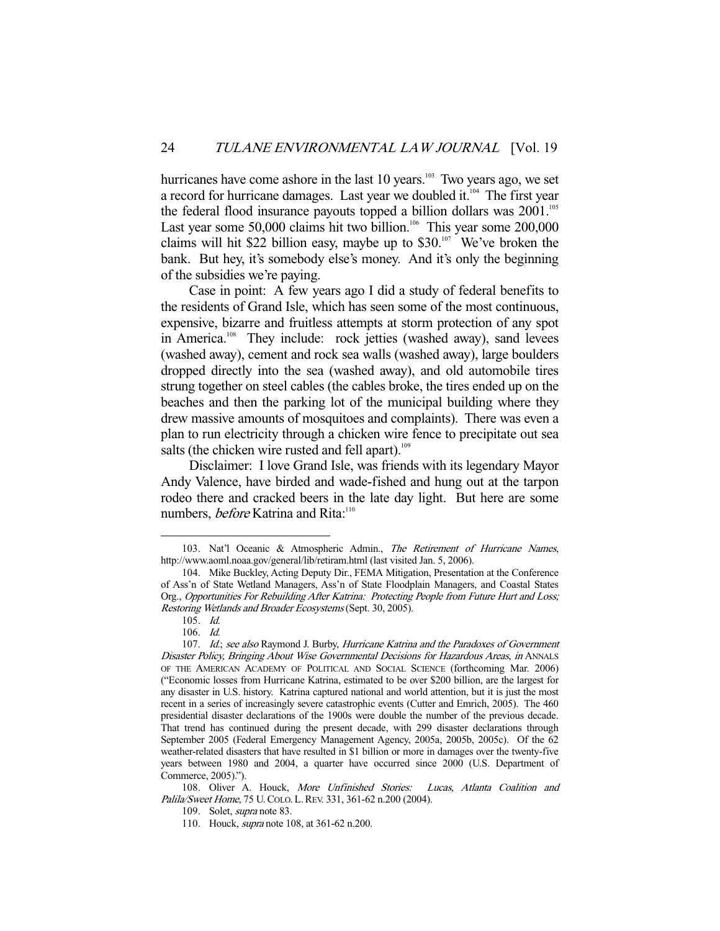hurricanes have come ashore in the last 10 years.<sup>103</sup> Two years ago, we set a record for hurricane damages. Last year we doubled it.<sup>104</sup> The first year the federal flood insurance payouts topped a billion dollars was  $2001$ .<sup>105</sup> Last year some 50,000 claims hit two billion.<sup>106</sup> This year some 200,000 claims will hit \$22 billion easy, maybe up to  $$30.^{107}$  We've broken the bank. But hey, it's somebody else's money. And it's only the beginning of the subsidies we're paying.

 Case in point: A few years ago I did a study of federal benefits to the residents of Grand Isle, which has seen some of the most continuous, expensive, bizarre and fruitless attempts at storm protection of any spot in America.<sup>108</sup> They include: rock jetties (washed away), sand levees (washed away), cement and rock sea walls (washed away), large boulders dropped directly into the sea (washed away), and old automobile tires strung together on steel cables (the cables broke, the tires ended up on the beaches and then the parking lot of the municipal building where they drew massive amounts of mosquitoes and complaints). There was even a plan to run electricity through a chicken wire fence to precipitate out sea salts (the chicken wire rusted and fell apart). $109$ 

 Disclaimer: I love Grand Isle, was friends with its legendary Mayor Andy Valence, have birded and wade-fished and hung out at the tarpon rodeo there and cracked beers in the late day light. But here are some numbers, *before* Katrina and Rita:<sup>110</sup>

-

108. Oliver A. Houck, More Unfinished Stories: Lucas, Atlanta Coalition and Palila/Sweet Home, 75 U. COLO. L. REV. 331, 361-62 n.200 (2004).

109. Solet, supra note 83.

<sup>103.</sup> Nat'l Oceanic & Atmospheric Admin., The Retirement of Hurricane Names, http://www.aoml.noaa.gov/general/lib/retiram.html (last visited Jan. 5, 2006).

 <sup>104.</sup> Mike Buckley, Acting Deputy Dir., FEMA Mitigation, Presentation at the Conference of Ass'n of State Wetland Managers, Ass'n of State Floodplain Managers, and Coastal States Org., Opportunities For Rebuilding After Katrina: Protecting People from Future Hurt and Loss; Restoring Wetlands and Broader Ecosystems (Sept. 30, 2005).

 <sup>105.</sup> Id.

 <sup>106.</sup> Id.

<sup>107.</sup> Id.; see also Raymond J. Burby, Hurricane Katrina and the Paradoxes of Government Disaster Policy, Bringing About Wise Governmental Decisions for Hazardous Areas, in ANNALS OF THE AMERICAN ACADEMY OF POLITICAL AND SOCIAL SCIENCE (forthcoming Mar. 2006) ("Economic losses from Hurricane Katrina, estimated to be over \$200 billion, are the largest for any disaster in U.S. history. Katrina captured national and world attention, but it is just the most recent in a series of increasingly severe catastrophic events (Cutter and Emrich, 2005). The 460 presidential disaster declarations of the 1900s were double the number of the previous decade. That trend has continued during the present decade, with 299 disaster declarations through September 2005 (Federal Emergency Management Agency, 2005a, 2005b, 2005c). Of the 62 weather-related disasters that have resulted in \$1 billion or more in damages over the twenty-five years between 1980 and 2004, a quarter have occurred since 2000 (U.S. Department of Commerce, 2005).").

 <sup>110.</sup> Houck, supra note 108, at 361-62 n.200.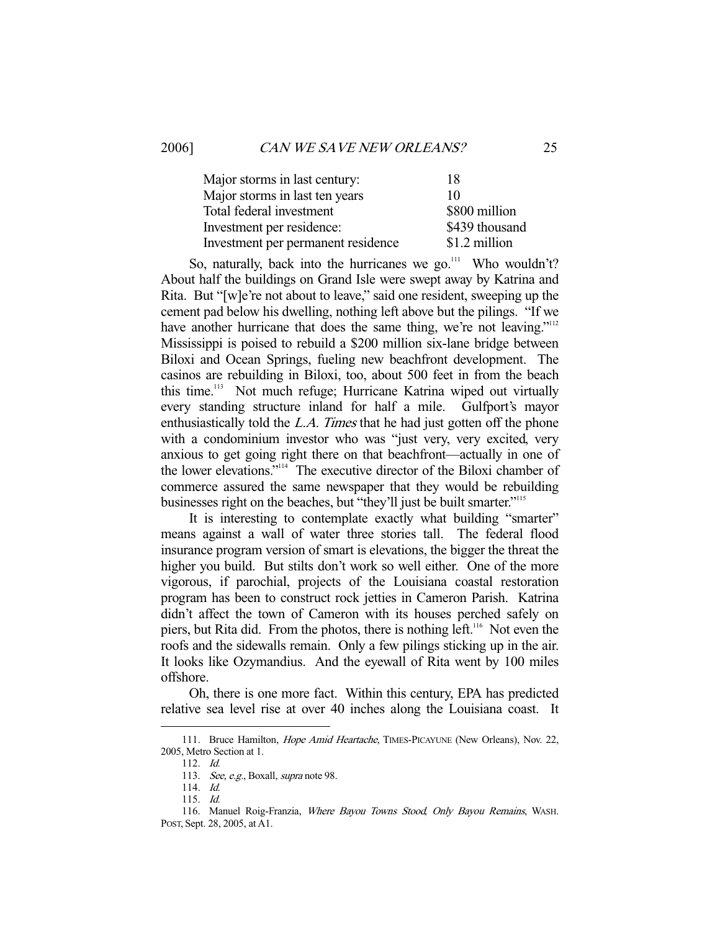| Major storms in last century:      | 18             |
|------------------------------------|----------------|
| Major storms in last ten years     | 10             |
| Total federal investment           | \$800 million  |
| Investment per residence:          | \$439 thousand |
| Investment per permanent residence | \$1.2 million  |

So, naturally, back into the hurricanes we go. $111$  Who wouldn't? About half the buildings on Grand Isle were swept away by Katrina and Rita. But "[w]e're not about to leave," said one resident, sweeping up the cement pad below his dwelling, nothing left above but the pilings. "If we have another hurricane that does the same thing, we're not leaving."<sup>112</sup> Mississippi is poised to rebuild a \$200 million six-lane bridge between Biloxi and Ocean Springs, fueling new beachfront development. The casinos are rebuilding in Biloxi, too, about 500 feet in from the beach this time.113 Not much refuge; Hurricane Katrina wiped out virtually every standing structure inland for half a mile. Gulfport's mayor enthusiastically told the L.A. Times that he had just gotten off the phone with a condominium investor who was "just very, very excited, very anxious to get going right there on that beachfront—actually in one of the lower elevations."114 The executive director of the Biloxi chamber of commerce assured the same newspaper that they would be rebuilding businesses right on the beaches, but "they'll just be built smarter."115

 It is interesting to contemplate exactly what building "smarter" means against a wall of water three stories tall. The federal flood insurance program version of smart is elevations, the bigger the threat the higher you build. But stilts don't work so well either. One of the more vigorous, if parochial, projects of the Louisiana coastal restoration program has been to construct rock jetties in Cameron Parish. Katrina didn't affect the town of Cameron with its houses perched safely on piers, but Rita did. From the photos, there is nothing left.<sup>116</sup> Not even the roofs and the sidewalls remain. Only a few pilings sticking up in the air. It looks like Ozymandius. And the eyewall of Rita went by 100 miles offshore.

 Oh, there is one more fact. Within this century, EPA has predicted relative sea level rise at over 40 inches along the Louisiana coast. It

<sup>111.</sup> Bruce Hamilton, *Hope Amid Heartache*, TIMES-PICAYUNE (New Orleans), Nov. 22, 2005, Metro Section at 1.

 <sup>112.</sup> Id.

<sup>113.</sup> See, e.g., Boxall, supra note 98.

 <sup>114.</sup> Id.

 <sup>115.</sup> Id.

<sup>116.</sup> Manuel Roig-Franzia, Where Bayou Towns Stood, Only Bayou Remains, WASH. POST, Sept. 28, 2005, at A1.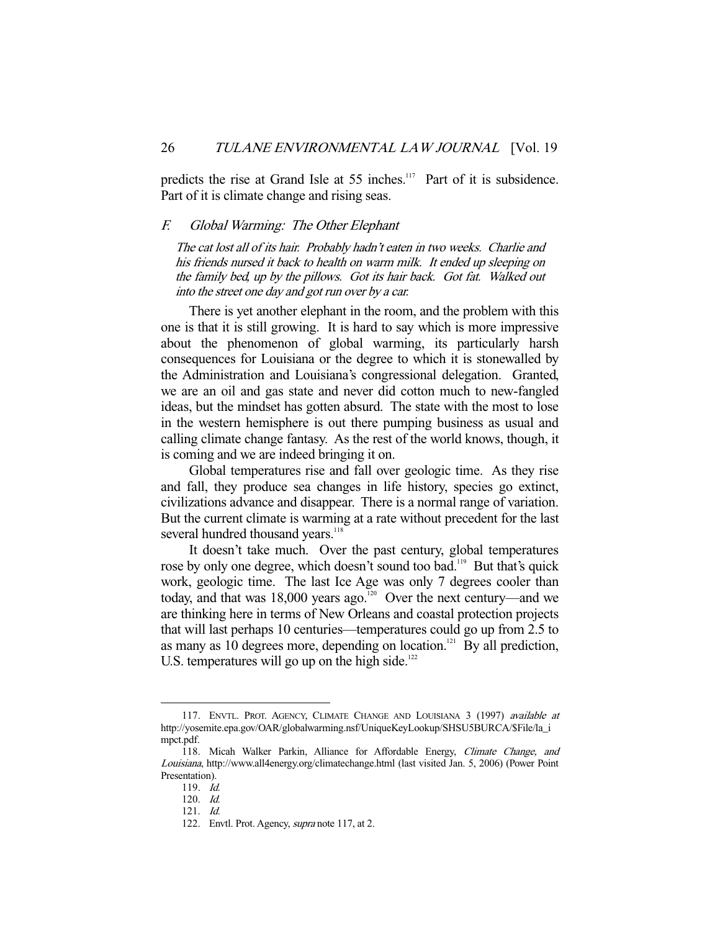predicts the rise at Grand Isle at 55 inches.<sup>117</sup> Part of it is subsidence. Part of it is climate change and rising seas.

# F. Global Warming: The Other Elephant

The cat lost all of its hair. Probably hadn't eaten in two weeks. Charlie and his friends nursed it back to health on warm milk. It ended up sleeping on the family bed, up by the pillows. Got its hair back. Got fat. Walked out into the street one day and got run over by a car.

 There is yet another elephant in the room, and the problem with this one is that it is still growing. It is hard to say which is more impressive about the phenomenon of global warming, its particularly harsh consequences for Louisiana or the degree to which it is stonewalled by the Administration and Louisiana's congressional delegation. Granted, we are an oil and gas state and never did cotton much to new-fangled ideas, but the mindset has gotten absurd. The state with the most to lose in the western hemisphere is out there pumping business as usual and calling climate change fantasy. As the rest of the world knows, though, it is coming and we are indeed bringing it on.

 Global temperatures rise and fall over geologic time. As they rise and fall, they produce sea changes in life history, species go extinct, civilizations advance and disappear. There is a normal range of variation. But the current climate is warming at a rate without precedent for the last several hundred thousand years.<sup>118</sup>

 It doesn't take much. Over the past century, global temperatures rose by only one degree, which doesn't sound too bad.<sup>119</sup> But that's quick work, geologic time. The last Ice Age was only 7 degrees cooler than today, and that was  $18,000$  years ago.<sup>120</sup> Over the next century—and we are thinking here in terms of New Orleans and coastal protection projects that will last perhaps 10 centuries—temperatures could go up from 2.5 to as many as 10 degrees more, depending on location.<sup>121</sup> By all prediction, U.S. temperatures will go up on the high side. $122$ 

<sup>117.</sup> ENVTL. PROT. AGENCY, CLIMATE CHANGE AND LOUISIANA 3 (1997) available at http://yosemite.epa.gov/OAR/globalwarming.nsf/UniqueKeyLookup/SHSU5BURCA/\$File/la\_i mpct.pdf.

 <sup>118.</sup> Micah Walker Parkin, Alliance for Affordable Energy, Climate Change, and Louisiana, http://www.all4energy.org/climatechange.html (last visited Jan. 5, 2006) (Power Point Presentation).

 <sup>119.</sup> Id.

 <sup>120.</sup> Id.

 <sup>121.</sup> Id.

<sup>122.</sup> Envtl. Prot. Agency, *supra* note 117, at 2.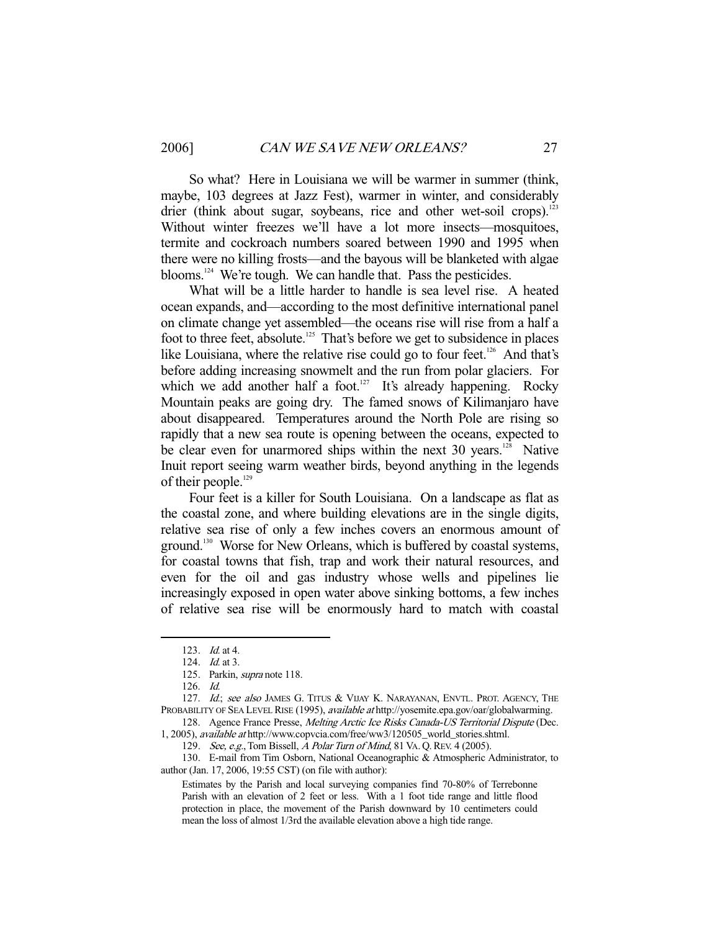So what? Here in Louisiana we will be warmer in summer (think, maybe, 103 degrees at Jazz Fest), warmer in winter, and considerably drier (think about sugar, soybeans, rice and other wet-soil crops).<sup>123</sup> Without winter freezes we'll have a lot more insects—mosquitoes, termite and cockroach numbers soared between 1990 and 1995 when there were no killing frosts—and the bayous will be blanketed with algae blooms.<sup>124</sup> We're tough. We can handle that. Pass the pesticides.

 What will be a little harder to handle is sea level rise. A heated ocean expands, and—according to the most definitive international panel on climate change yet assembled—the oceans rise will rise from a half a foot to three feet, absolute.125 That's before we get to subsidence in places like Louisiana, where the relative rise could go to four feet.<sup>126</sup> And that's before adding increasing snowmelt and the run from polar glaciers. For which we add another half a foot. $127$  It's already happening. Rocky Mountain peaks are going dry. The famed snows of Kilimanjaro have about disappeared. Temperatures around the North Pole are rising so rapidly that a new sea route is opening between the oceans, expected to be clear even for unarmored ships within the next  $30$  years.<sup>128</sup> Native Inuit report seeing warm weather birds, beyond anything in the legends of their people.<sup>129</sup>

 Four feet is a killer for South Louisiana. On a landscape as flat as the coastal zone, and where building elevations are in the single digits, relative sea rise of only a few inches covers an enormous amount of ground.<sup>130</sup> Worse for New Orleans, which is buffered by coastal systems, for coastal towns that fish, trap and work their natural resources, and even for the oil and gas industry whose wells and pipelines lie increasingly exposed in open water above sinking bottoms, a few inches of relative sea rise will be enormously hard to match with coastal

 <sup>123.</sup> Id. at 4.

 <sup>124.</sup> Id. at 3.

 <sup>125.</sup> Parkin, supra note 118.

 <sup>126.</sup> Id.

<sup>127.</sup> Id.; see also JAMES G. TITUS & VIJAY K. NARAYANAN, ENVTL. PROT. AGENCY, THE PROBABILITY OF SEA LEVEL RISE (1995), *available at* http://yosemite.epa.gov/oar/globalwarming.

<sup>128.</sup> Agence France Presse, Melting Arctic Ice Risks Canada-US Territorial Dispute (Dec. 1, 2005), available at http://www.copvcia.com/free/ww3/120505\_world\_stories.shtml.

<sup>129.</sup> See, e.g., Tom Bissell, A Polar Turn of Mind, 81 VA. Q. REV. 4 (2005).

 <sup>130.</sup> E-mail from Tim Osborn, National Oceanographic & Atmospheric Administrator, to author (Jan. 17, 2006, 19:55 CST) (on file with author):

Estimates by the Parish and local surveying companies find 70-80% of Terrebonne Parish with an elevation of 2 feet or less. With a 1 foot tide range and little flood protection in place, the movement of the Parish downward by 10 centimeters could mean the loss of almost 1/3rd the available elevation above a high tide range.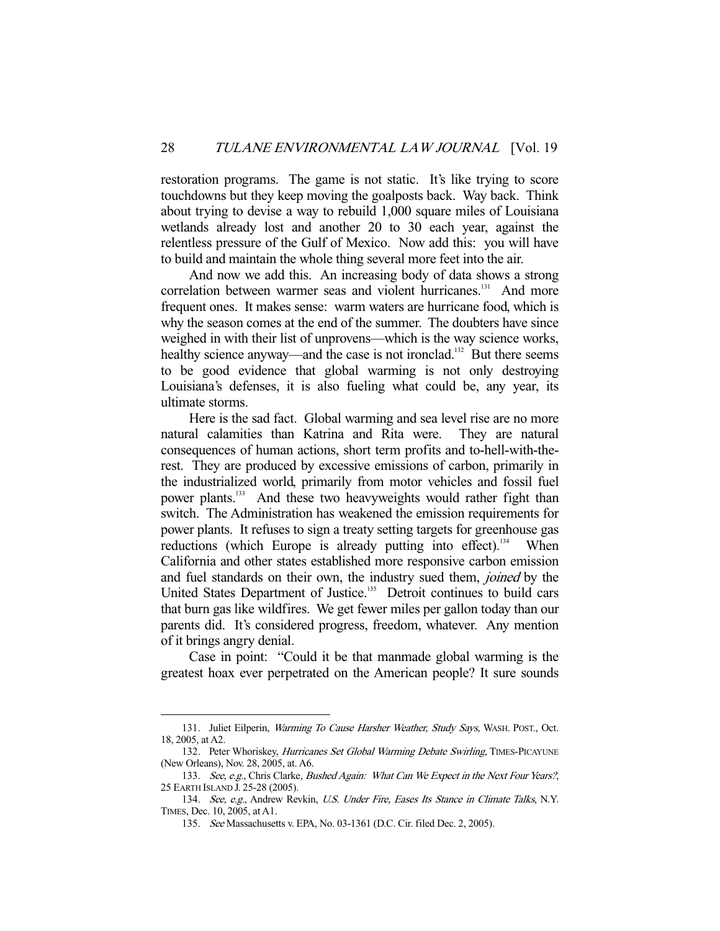restoration programs. The game is not static. It's like trying to score touchdowns but they keep moving the goalposts back. Way back. Think about trying to devise a way to rebuild 1,000 square miles of Louisiana wetlands already lost and another 20 to 30 each year, against the relentless pressure of the Gulf of Mexico. Now add this: you will have to build and maintain the whole thing several more feet into the air.

 And now we add this. An increasing body of data shows a strong correlation between warmer seas and violent hurricanes.<sup>131</sup> And more frequent ones. It makes sense: warm waters are hurricane food, which is why the season comes at the end of the summer. The doubters have since weighed in with their list of unprovens—which is the way science works, healthy science anyway—and the case is not ironclad.<sup>132</sup> But there seems to be good evidence that global warming is not only destroying Louisiana's defenses, it is also fueling what could be, any year, its ultimate storms.

 Here is the sad fact. Global warming and sea level rise are no more natural calamities than Katrina and Rita were. They are natural consequences of human actions, short term profits and to-hell-with-therest. They are produced by excessive emissions of carbon, primarily in the industrialized world, primarily from motor vehicles and fossil fuel power plants.<sup>133</sup> And these two heavyweights would rather fight than switch. The Administration has weakened the emission requirements for power plants. It refuses to sign a treaty setting targets for greenhouse gas reductions (which Europe is already putting into effect).<sup>134</sup> When California and other states established more responsive carbon emission and fuel standards on their own, the industry sued them, joined by the United States Department of Justice.<sup>135</sup> Detroit continues to build cars that burn gas like wildfires. We get fewer miles per gallon today than our parents did. It's considered progress, freedom, whatever. Any mention of it brings angry denial.

 Case in point: "Could it be that manmade global warming is the greatest hoax ever perpetrated on the American people? It sure sounds

<sup>131.</sup> Juliet Eilperin, Warming To Cause Harsher Weather, Study Says, WASH. POST., Oct. 18, 2005, at A2.

<sup>132.</sup> Peter Whoriskey, Hurricanes Set Global Warming Debate Swirling, TIMES-PICAYUNE (New Orleans), Nov. 28, 2005, at. A6.

<sup>133.</sup> See, e.g., Chris Clarke, Bushed Again: What Can We Expect in the Next Four Years?, 25 EARTH ISLAND J. 25-28 (2005).

<sup>134.</sup> See, e.g., Andrew Revkin, U.S. Under Fire, Eases Its Stance in Climate Talks, N.Y. TIMES, Dec. 10, 2005, at A1.

 <sup>135.</sup> See Massachusetts v. EPA, No. 03-1361 (D.C. Cir. filed Dec. 2, 2005).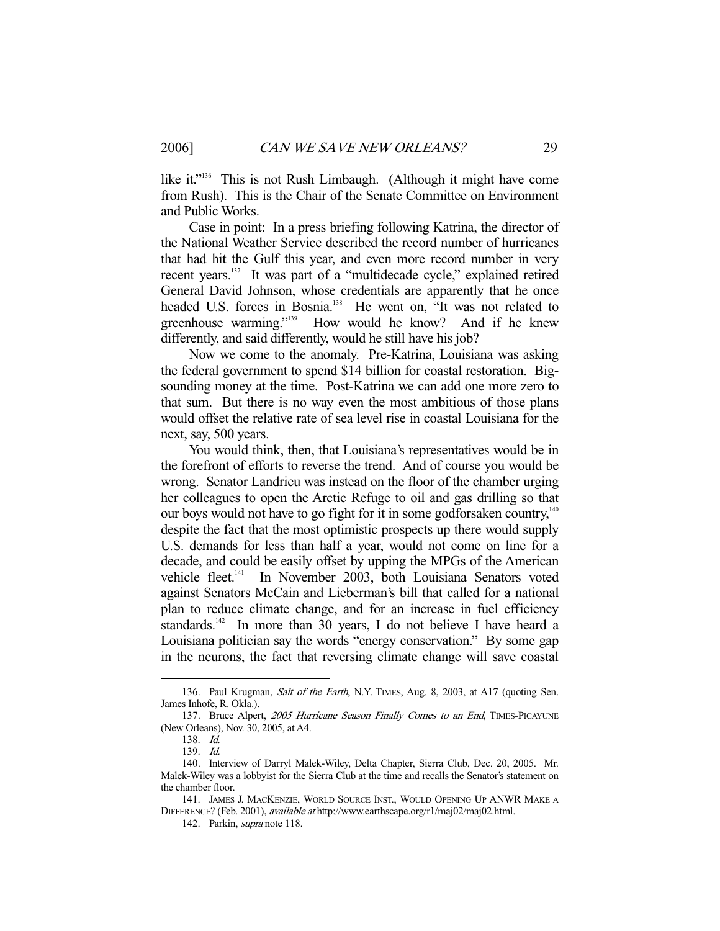like it."<sup>136</sup> This is not Rush Limbaugh. (Although it might have come from Rush). This is the Chair of the Senate Committee on Environment and Public Works.

 Case in point: In a press briefing following Katrina, the director of the National Weather Service described the record number of hurricanes that had hit the Gulf this year, and even more record number in very recent years.137 It was part of a "multidecade cycle," explained retired General David Johnson, whose credentials are apparently that he once headed U.S. forces in Bosnia.<sup>138</sup> He went on, "It was not related to greenhouse warming."139 How would he know? And if he knew differently, and said differently, would he still have his job?

 Now we come to the anomaly. Pre-Katrina, Louisiana was asking the federal government to spend \$14 billion for coastal restoration. Bigsounding money at the time. Post-Katrina we can add one more zero to that sum. But there is no way even the most ambitious of those plans would offset the relative rate of sea level rise in coastal Louisiana for the next, say, 500 years.

 You would think, then, that Louisiana's representatives would be in the forefront of efforts to reverse the trend. And of course you would be wrong. Senator Landrieu was instead on the floor of the chamber urging her colleagues to open the Arctic Refuge to oil and gas drilling so that our boys would not have to go fight for it in some godforsaken country,<sup>140</sup> despite the fact that the most optimistic prospects up there would supply U.S. demands for less than half a year, would not come on line for a decade, and could be easily offset by upping the MPGs of the American vehicle fleet.<sup>141</sup> In November 2003, both Louisiana Senators voted against Senators McCain and Lieberman's bill that called for a national plan to reduce climate change, and for an increase in fuel efficiency standards.<sup>142</sup> In more than 30 years, I do not believe I have heard a Louisiana politician say the words "energy conservation." By some gap in the neurons, the fact that reversing climate change will save coastal

<sup>136.</sup> Paul Krugman, Salt of the Earth, N.Y. TIMES, Aug. 8, 2003, at A17 (quoting Sen. James Inhofe, R. Okla.).

<sup>137.</sup> Bruce Alpert, 2005 Hurricane Season Finally Comes to an End, TIMES-PICAYUNE (New Orleans), Nov. 30, 2005, at A4.

 <sup>138.</sup> Id.

 <sup>139.</sup> Id.

 <sup>140.</sup> Interview of Darryl Malek-Wiley, Delta Chapter, Sierra Club, Dec. 20, 2005. Mr. Malek-Wiley was a lobbyist for the Sierra Club at the time and recalls the Senator's statement on the chamber floor.

 <sup>141.</sup> JAMES J. MACKENZIE, WORLD SOURCE INST., WOULD OPENING UP ANWR MAKE A DIFFERENCE? (Feb. 2001), available at http://www.earthscape.org/r1/maj02/maj02.html.

 <sup>142.</sup> Parkin, supra note 118.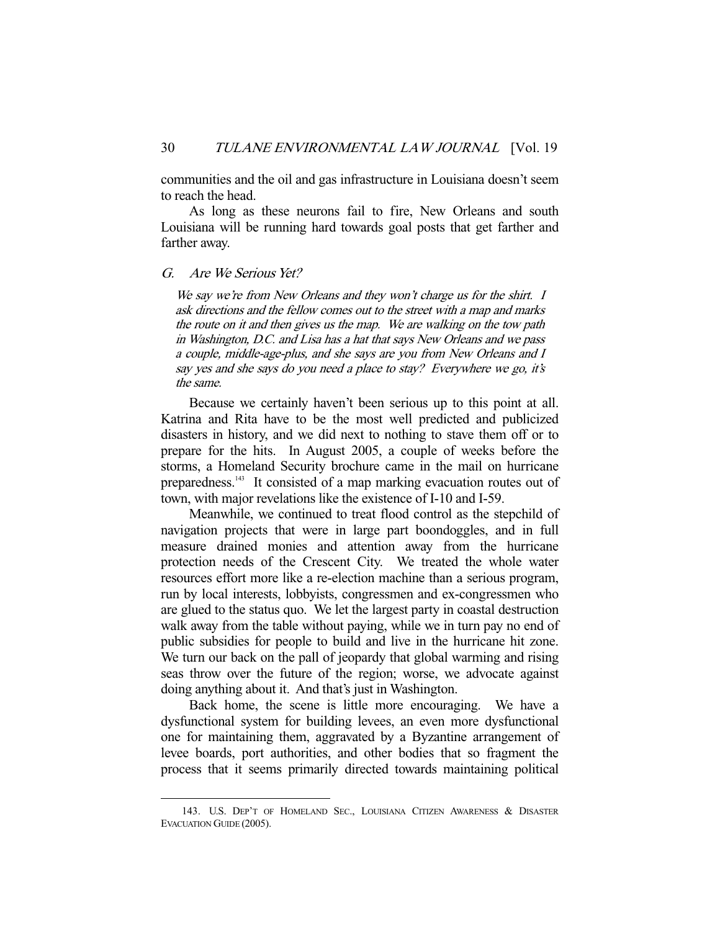communities and the oil and gas infrastructure in Louisiana doesn't seem to reach the head.

 As long as these neurons fail to fire, New Orleans and south Louisiana will be running hard towards goal posts that get farther and farther away.

## G. Are We Serious Yet?

-

We say we're from New Orleans and they won't charge us for the shirt. I ask directions and the fellow comes out to the street with a map and marks the route on it and then gives us the map. We are walking on the tow path in Washington, D.C. and Lisa has a hat that says New Orleans and we pass a couple, middle-age-plus, and she says are you from New Orleans and I say yes and she says do you need a place to stay? Everywhere we go, it's the same.

 Because we certainly haven't been serious up to this point at all. Katrina and Rita have to be the most well predicted and publicized disasters in history, and we did next to nothing to stave them off or to prepare for the hits. In August 2005, a couple of weeks before the storms, a Homeland Security brochure came in the mail on hurricane preparedness.143 It consisted of a map marking evacuation routes out of town, with major revelations like the existence of I-10 and I-59.

 Meanwhile, we continued to treat flood control as the stepchild of navigation projects that were in large part boondoggles, and in full measure drained monies and attention away from the hurricane protection needs of the Crescent City. We treated the whole water resources effort more like a re-election machine than a serious program, run by local interests, lobbyists, congressmen and ex-congressmen who are glued to the status quo. We let the largest party in coastal destruction walk away from the table without paying, while we in turn pay no end of public subsidies for people to build and live in the hurricane hit zone. We turn our back on the pall of jeopardy that global warming and rising seas throw over the future of the region; worse, we advocate against doing anything about it. And that's just in Washington.

 Back home, the scene is little more encouraging. We have a dysfunctional system for building levees, an even more dysfunctional one for maintaining them, aggravated by a Byzantine arrangement of levee boards, port authorities, and other bodies that so fragment the process that it seems primarily directed towards maintaining political

 <sup>143.</sup> U.S. DEP'T OF HOMELAND SEC., LOUISIANA CITIZEN AWARENESS & DISASTER EVACUATION GUIDE (2005).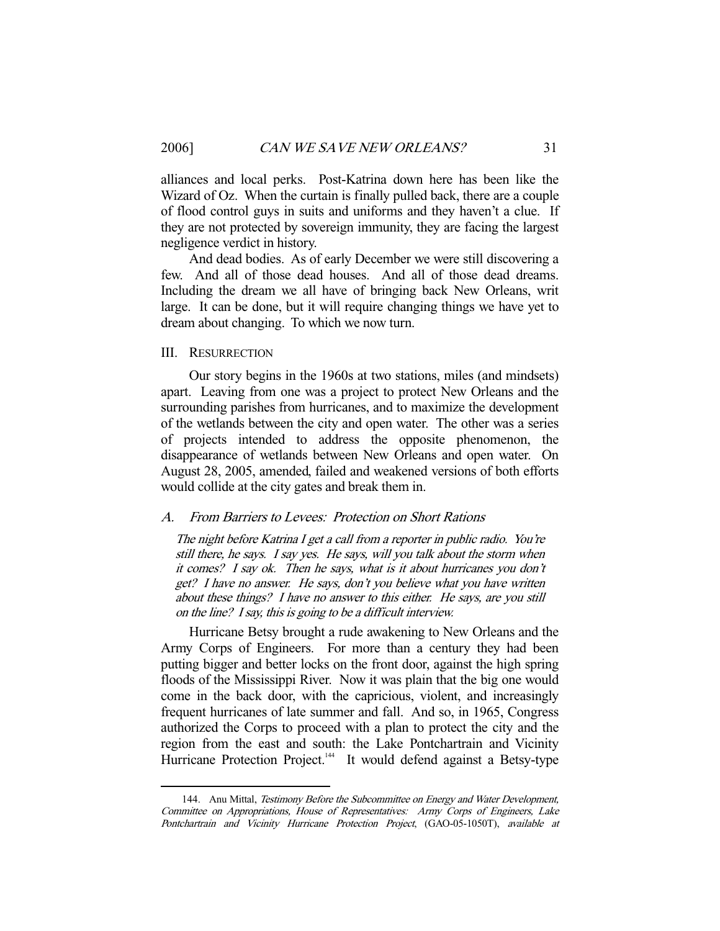alliances and local perks. Post-Katrina down here has been like the Wizard of Oz. When the curtain is finally pulled back, there are a couple of flood control guys in suits and uniforms and they haven't a clue. If they are not protected by sovereign immunity, they are facing the largest negligence verdict in history.

 And dead bodies. As of early December we were still discovering a few. And all of those dead houses. And all of those dead dreams. Including the dream we all have of bringing back New Orleans, writ large. It can be done, but it will require changing things we have yet to dream about changing. To which we now turn.

# III. RESURRECTION

-

 Our story begins in the 1960s at two stations, miles (and mindsets) apart. Leaving from one was a project to protect New Orleans and the surrounding parishes from hurricanes, and to maximize the development of the wetlands between the city and open water. The other was a series of projects intended to address the opposite phenomenon, the disappearance of wetlands between New Orleans and open water. On August 28, 2005, amended, failed and weakened versions of both efforts would collide at the city gates and break them in.

# A. From Barriers to Levees: Protection on Short Rations

The night before Katrina I get a call from a reporter in public radio. You're still there, he says. I say yes. He says, will you talk about the storm when it comes? I say ok. Then he says, what is it about hurricanes you don't get? I have no answer. He says, don't you believe what you have written about these things? I have no answer to this either. He says, are you still on the line? I say, this is going to be a difficult interview.

 Hurricane Betsy brought a rude awakening to New Orleans and the Army Corps of Engineers. For more than a century they had been putting bigger and better locks on the front door, against the high spring floods of the Mississippi River. Now it was plain that the big one would come in the back door, with the capricious, violent, and increasingly frequent hurricanes of late summer and fall. And so, in 1965, Congress authorized the Corps to proceed with a plan to protect the city and the region from the east and south: the Lake Pontchartrain and Vicinity Hurricane Protection Project.<sup>144</sup> It would defend against a Betsy-type

<sup>144.</sup> Anu Mittal, Testimony Before the Subcommittee on Energy and Water Development, Committee on Appropriations, House of Representatives: Army Corps of Engineers, Lake Pontchartrain and Vicinity Hurricane Protection Project, (GAO-05-1050T), available at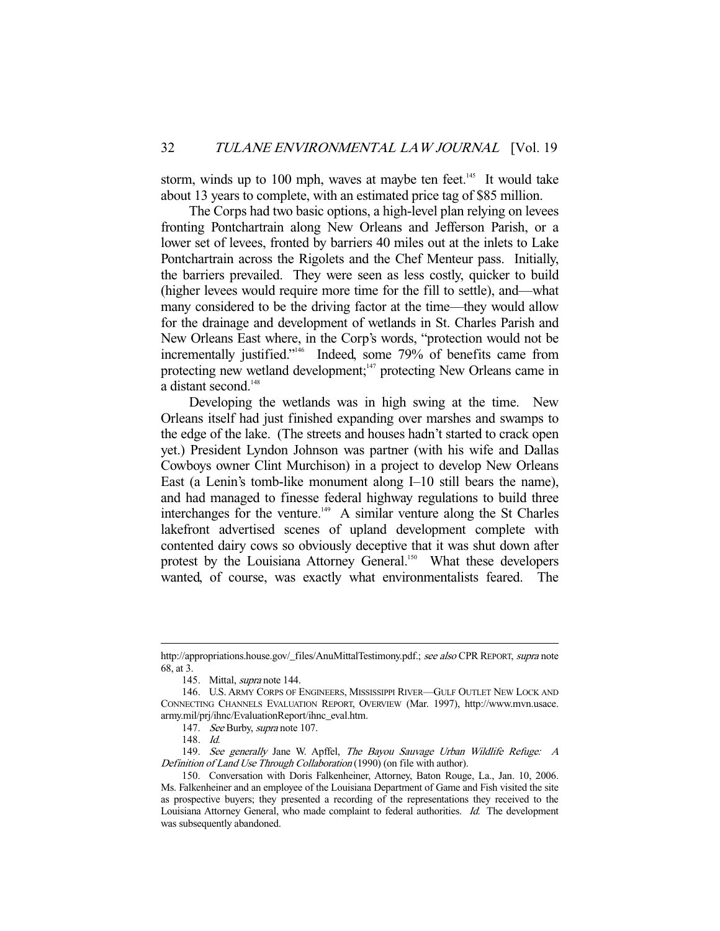storm, winds up to 100 mph, waves at maybe ten feet. $145$  It would take about 13 years to complete, with an estimated price tag of \$85 million.

 The Corps had two basic options, a high-level plan relying on levees fronting Pontchartrain along New Orleans and Jefferson Parish, or a lower set of levees, fronted by barriers 40 miles out at the inlets to Lake Pontchartrain across the Rigolets and the Chef Menteur pass. Initially, the barriers prevailed. They were seen as less costly, quicker to build (higher levees would require more time for the fill to settle), and—what many considered to be the driving factor at the time—they would allow for the drainage and development of wetlands in St. Charles Parish and New Orleans East where, in the Corp's words, "protection would not be incrementally justified."<sup>146</sup> Indeed, some 79% of benefits came from protecting new wetland development;<sup>147</sup> protecting New Orleans came in a distant second.<sup>148</sup>

 Developing the wetlands was in high swing at the time. New Orleans itself had just finished expanding over marshes and swamps to the edge of the lake. (The streets and houses hadn't started to crack open yet.) President Lyndon Johnson was partner (with his wife and Dallas Cowboys owner Clint Murchison) in a project to develop New Orleans East (a Lenin's tomb-like monument along I–10 still bears the name), and had managed to finesse federal highway regulations to build three interchanges for the venture.<sup>149</sup> A similar venture along the St Charles lakefront advertised scenes of upland development complete with contented dairy cows so obviously deceptive that it was shut down after protest by the Louisiana Attorney General.<sup>150</sup> What these developers wanted, of course, was exactly what environmentalists feared. The

http://appropriations.house.gov/\_files/AnuMittalTestimony.pdf.; see also CPR REPORT, supra note 68, at 3.

 <sup>145.</sup> Mittal, supra note 144.

 <sup>146.</sup> U.S. ARMY CORPS OF ENGINEERS, MISSISSIPPI RIVER—GULF OUTLET NEW LOCK AND CONNECTING CHANNELS EVALUATION REPORT, OVERVIEW (Mar. 1997), http://www.mvn.usace. army.mil/prj/ihnc/EvaluationReport/ihnc\_eval.htm.

 <sup>147.</sup> See Burby, supra note 107.

 <sup>148.</sup> Id.

<sup>149.</sup> See generally Jane W. Apffel, The Bayou Sauvage Urban Wildlife Refuge: A Definition of Land Use Through Collaboration (1990) (on file with author).

 <sup>150.</sup> Conversation with Doris Falkenheiner, Attorney, Baton Rouge, La., Jan. 10, 2006. Ms. Falkenheiner and an employee of the Louisiana Department of Game and Fish visited the site as prospective buyers; they presented a recording of the representations they received to the Louisiana Attorney General, who made complaint to federal authorities. Id. The development was subsequently abandoned.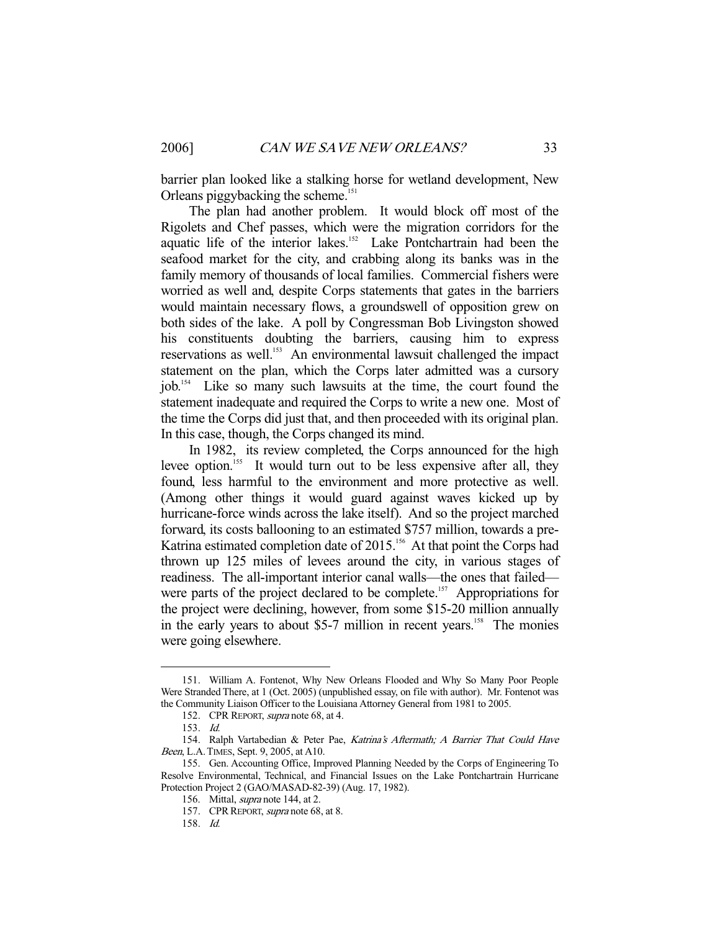barrier plan looked like a stalking horse for wetland development, New Orleans piggybacking the scheme.<sup>151</sup>

 The plan had another problem. It would block off most of the Rigolets and Chef passes, which were the migration corridors for the aquatic life of the interior lakes.152 Lake Pontchartrain had been the seafood market for the city, and crabbing along its banks was in the family memory of thousands of local families. Commercial fishers were worried as well and, despite Corps statements that gates in the barriers would maintain necessary flows, a groundswell of opposition grew on both sides of the lake. A poll by Congressman Bob Livingston showed his constituents doubting the barriers, causing him to express reservations as well.<sup>153</sup> An environmental lawsuit challenged the impact statement on the plan, which the Corps later admitted was a cursory job.154 Like so many such lawsuits at the time, the court found the statement inadequate and required the Corps to write a new one. Most of the time the Corps did just that, and then proceeded with its original plan. In this case, though, the Corps changed its mind.

 In 1982, its review completed, the Corps announced for the high levee option.<sup>155</sup> It would turn out to be less expensive after all, they found, less harmful to the environment and more protective as well. (Among other things it would guard against waves kicked up by hurricane-force winds across the lake itself). And so the project marched forward, its costs ballooning to an estimated \$757 million, towards a pre-Katrina estimated completion date of 2015.<sup>156</sup> At that point the Corps had thrown up 125 miles of levees around the city, in various stages of readiness. The all-important interior canal walls—the ones that failed were parts of the project declared to be complete.<sup>157</sup> Appropriations for the project were declining, however, from some \$15-20 million annually in the early years to about \$5-7 million in recent years.<sup>158</sup> The monies were going elsewhere.

 <sup>151.</sup> William A. Fontenot, Why New Orleans Flooded and Why So Many Poor People Were Stranded There, at 1 (Oct. 2005) (unpublished essay, on file with author). Mr. Fontenot was the Community Liaison Officer to the Louisiana Attorney General from 1981 to 2005.

<sup>152.</sup> CPR REPORT, supra note 68, at 4.

 <sup>153.</sup> Id.

 <sup>154.</sup> Ralph Vartabedian & Peter Pae, Katrina's Aftermath; A Barrier That Could Have Been, L.A.TIMES, Sept. 9, 2005, at A10.

 <sup>155.</sup> Gen. Accounting Office, Improved Planning Needed by the Corps of Engineering To Resolve Environmental, Technical, and Financial Issues on the Lake Pontchartrain Hurricane Protection Project 2 (GAO/MASAD-82-39) (Aug. 17, 1982).

<sup>156.</sup> Mittal, *supra* note 144, at 2.

<sup>157.</sup> CPR REPORT, supra note 68, at 8.

 <sup>158.</sup> Id.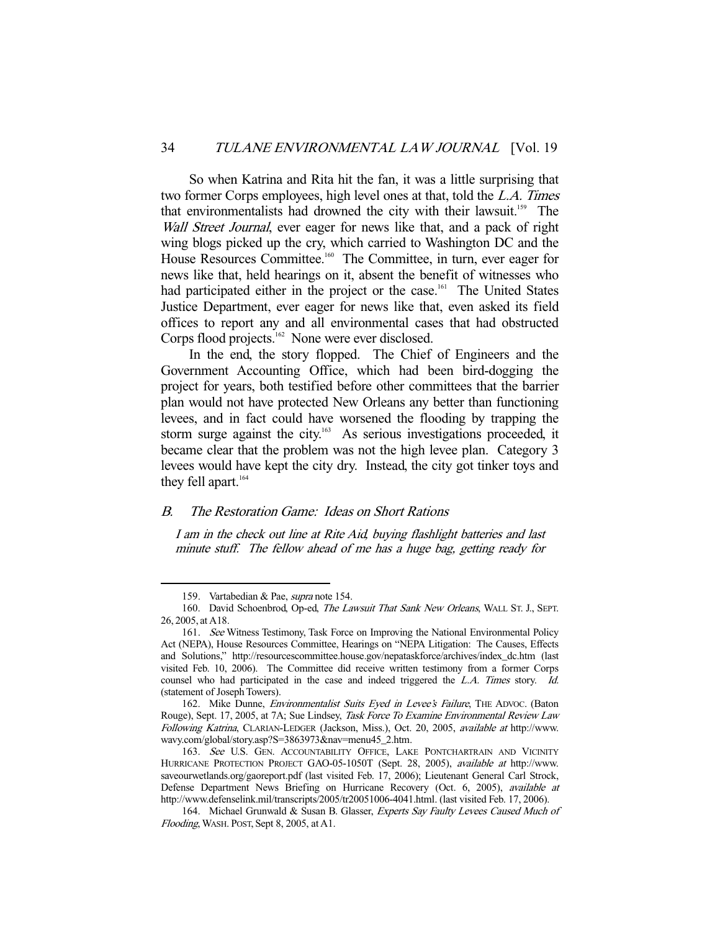So when Katrina and Rita hit the fan, it was a little surprising that two former Corps employees, high level ones at that, told the L.A. Times that environmentalists had drowned the city with their lawsuit.<sup>159</sup> The Wall Street Journal, ever eager for news like that, and a pack of right wing blogs picked up the cry, which carried to Washington DC and the House Resources Committee.<sup>160</sup> The Committee, in turn, ever eager for news like that, held hearings on it, absent the benefit of witnesses who had participated either in the project or the case.<sup>161</sup> The United States Justice Department, ever eager for news like that, even asked its field offices to report any and all environmental cases that had obstructed Corps flood projects. $162$  None were ever disclosed.

 In the end, the story flopped. The Chief of Engineers and the Government Accounting Office, which had been bird-dogging the project for years, both testified before other committees that the barrier plan would not have protected New Orleans any better than functioning levees, and in fact could have worsened the flooding by trapping the storm surge against the city.<sup>163</sup> As serious investigations proceeded, it became clear that the problem was not the high levee plan. Category 3 levees would have kept the city dry. Instead, the city got tinker toys and they fell apart. $164$ 

# B. The Restoration Game: Ideas on Short Rations

I am in the check out line at Rite Aid, buying flashlight batteries and last minute stuff. The fellow ahead of me has a huge bag, getting ready for

 <sup>159.</sup> Vartabedian & Pae, supra note 154.

<sup>160.</sup> David Schoenbrod, Op-ed, The Lawsuit That Sank New Orleans, WALL ST. J., SEPT. 26, 2005, at A18.

<sup>161.</sup> See Witness Testimony, Task Force on Improving the National Environmental Policy Act (NEPA), House Resources Committee, Hearings on "NEPA Litigation: The Causes, Effects and Solutions," http://resourcescommittee.house.gov/nepataskforce/archives/index\_dc.htm (last visited Feb. 10, 2006). The Committee did receive written testimony from a former Corps counsel who had participated in the case and indeed triggered the L.A. Times story. Id. (statement of Joseph Towers).

<sup>162.</sup> Mike Dunne, Environmentalist Suits Eyed in Levee's Failure, THE ADVOC. (Baton Rouge), Sept. 17, 2005, at 7A; Sue Lindsey, Task Force To Examine Environmental Review Law Following Katrina, CLARIAN-LEDGER (Jackson, Miss.), Oct. 20, 2005, available at http://www. wavy.com/global/story.asp?S=3863973&nav=menu45\_2.htm.

<sup>163.</sup> See U.S. GEN. ACCOUNTABILITY OFFICE, LAKE PONTCHARTRAIN AND VICINITY HURRICANE PROTECTION PROJECT GAO-05-1050T (Sept. 28, 2005), available at http://www. saveourwetlands.org/gaoreport.pdf (last visited Feb. 17, 2006); Lieutenant General Carl Strock, Defense Department News Briefing on Hurricane Recovery (Oct. 6, 2005), available at http://www.defenselink.mil/transcripts/2005/tr20051006-4041.html. (last visited Feb. 17, 2006).

<sup>164.</sup> Michael Grunwald & Susan B. Glasser, Experts Say Faulty Levees Caused Much of Flooding, WASH. POST, Sept 8, 2005, at A1.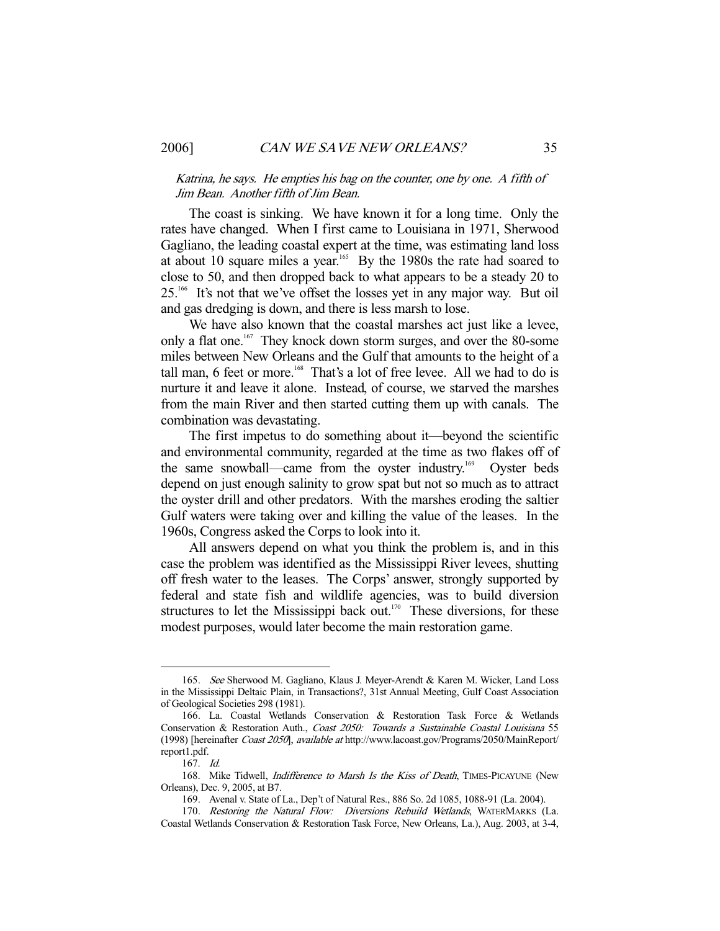Katrina, he says. He empties his bag on the counter, one by one. A fifth of Jim Bean. Another fifth of Jim Bean.

 The coast is sinking. We have known it for a long time. Only the rates have changed. When I first came to Louisiana in 1971, Sherwood Gagliano, the leading coastal expert at the time, was estimating land loss at about 10 square miles a year.<sup>165</sup> By the 1980s the rate had soared to close to 50, and then dropped back to what appears to be a steady 20 to 25.<sup>166</sup> It's not that we've offset the losses yet in any major way. But oil and gas dredging is down, and there is less marsh to lose.

 We have also known that the coastal marshes act just like a levee, only a flat one.<sup>167</sup> They knock down storm surges, and over the 80-some miles between New Orleans and the Gulf that amounts to the height of a tall man, 6 feet or more.<sup>168</sup> That's a lot of free levee. All we had to do is nurture it and leave it alone. Instead, of course, we starved the marshes from the main River and then started cutting them up with canals. The combination was devastating.

 The first impetus to do something about it—beyond the scientific and environmental community, regarded at the time as two flakes off of the same snowball—came from the oyster industry.<sup>169</sup> Oyster beds depend on just enough salinity to grow spat but not so much as to attract the oyster drill and other predators. With the marshes eroding the saltier Gulf waters were taking over and killing the value of the leases. In the 1960s, Congress asked the Corps to look into it.

 All answers depend on what you think the problem is, and in this case the problem was identified as the Mississippi River levees, shutting off fresh water to the leases. The Corps' answer, strongly supported by federal and state fish and wildlife agencies, was to build diversion structures to let the Mississippi back out.<sup>170</sup> These diversions, for these modest purposes, would later become the main restoration game.

 <sup>165.</sup> See Sherwood M. Gagliano, Klaus J. Meyer-Arendt & Karen M. Wicker, Land Loss in the Mississippi Deltaic Plain, in Transactions?, 31st Annual Meeting, Gulf Coast Association of Geological Societies 298 (1981).

 <sup>166.</sup> La. Coastal Wetlands Conservation & Restoration Task Force & Wetlands Conservation & Restoration Auth., Coast 2050: Towards a Sustainable Coastal Louisiana 55 (1998) [hereinafter Coast 2050], available at http://www.lacoast.gov/Programs/2050/MainReport/ report1.pdf.

 <sup>167.</sup> Id.

<sup>168.</sup> Mike Tidwell, Indifference to Marsh Is the Kiss of Death, TIMES-PICAYUNE (New Orleans), Dec. 9, 2005, at B7.

 <sup>169.</sup> Avenal v. State of La., Dep't of Natural Res., 886 So. 2d 1085, 1088-91 (La. 2004).

<sup>170.</sup> Restoring the Natural Flow: Diversions Rebuild Wetlands, WATERMARKS (La. Coastal Wetlands Conservation & Restoration Task Force, New Orleans, La.), Aug. 2003, at 3-4,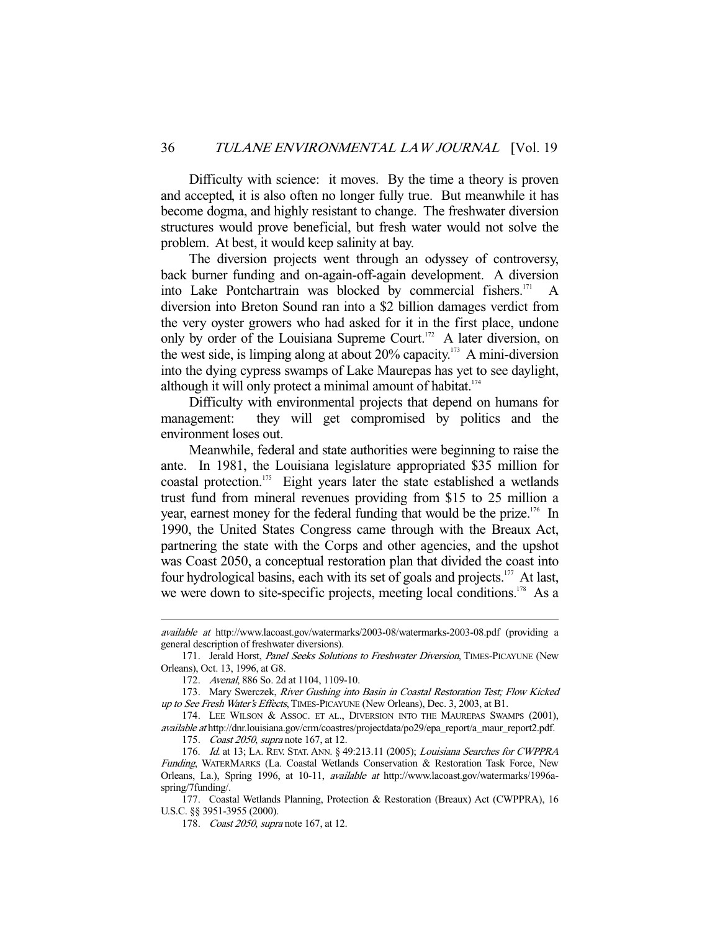Difficulty with science: it moves. By the time a theory is proven and accepted, it is also often no longer fully true. But meanwhile it has become dogma, and highly resistant to change. The freshwater diversion structures would prove beneficial, but fresh water would not solve the problem. At best, it would keep salinity at bay.

 The diversion projects went through an odyssey of controversy, back burner funding and on-again-off-again development. A diversion into Lake Pontchartrain was blocked by commercial fishers. $171$ diversion into Breton Sound ran into a \$2 billion damages verdict from the very oyster growers who had asked for it in the first place, undone only by order of the Louisiana Supreme Court.<sup>172</sup> A later diversion, on the west side, is limping along at about  $20\%$  capacity.<sup>173</sup> A mini-diversion into the dying cypress swamps of Lake Maurepas has yet to see daylight, although it will only protect a minimal amount of habitat. $174$ 

 Difficulty with environmental projects that depend on humans for management: they will get compromised by politics and the environment loses out.

 Meanwhile, federal and state authorities were beginning to raise the ante. In 1981, the Louisiana legislature appropriated \$35 million for coastal protection.<sup>175</sup> Eight years later the state established a wetlands trust fund from mineral revenues providing from \$15 to 25 million a year, earnest money for the federal funding that would be the prize.<sup>176</sup> In 1990, the United States Congress came through with the Breaux Act, partnering the state with the Corps and other agencies, and the upshot was Coast 2050, a conceptual restoration plan that divided the coast into four hydrological basins, each with its set of goals and projects.<sup>177</sup> At last, we were down to site-specific projects, meeting local conditions.<sup>178</sup> As a

available at http://www.lacoast.gov/watermarks/2003-08/watermarks-2003-08.pdf (providing a general description of freshwater diversions).

<sup>171.</sup> Jerald Horst, Panel Seeks Solutions to Freshwater Diversion, TIMES-PICAYUNE (New Orleans), Oct. 13, 1996, at G8.

 <sup>172.</sup> Avenal, 886 So. 2d at 1104, 1109-10.

<sup>173.</sup> Mary Swerczek, River Gushing into Basin in Coastal Restoration Test; Flow Kicked up to See Fresh Water's Effects, TIMES-PICAYUNE (New Orleans), Dec. 3, 2003, at B1.

<sup>174.</sup> LEE WILSON & ASSOC. ET AL., DIVERSION INTO THE MAUREPAS SWAMPS (2001), available at http://dnr.louisiana.gov/crm/coastres/projectdata/po29/epa\_report/a\_maur\_report2.pdf.

<sup>175.</sup> Coast 2050, supra note 167, at 12.

<sup>176.</sup> Id. at 13; LA. REV. STAT. ANN. § 49:213.11 (2005); Louisiana Searches for CWPPRA Funding, WATERMARKS (La. Coastal Wetlands Conservation & Restoration Task Force, New Orleans, La.), Spring 1996, at 10-11, available at http://www.lacoast.gov/watermarks/1996aspring/7funding/.

 <sup>177.</sup> Coastal Wetlands Planning, Protection & Restoration (Breaux) Act (CWPPRA), 16 U.S.C. §§ 3951-3955 (2000).

<sup>178.</sup> Coast 2050, supra note 167, at 12.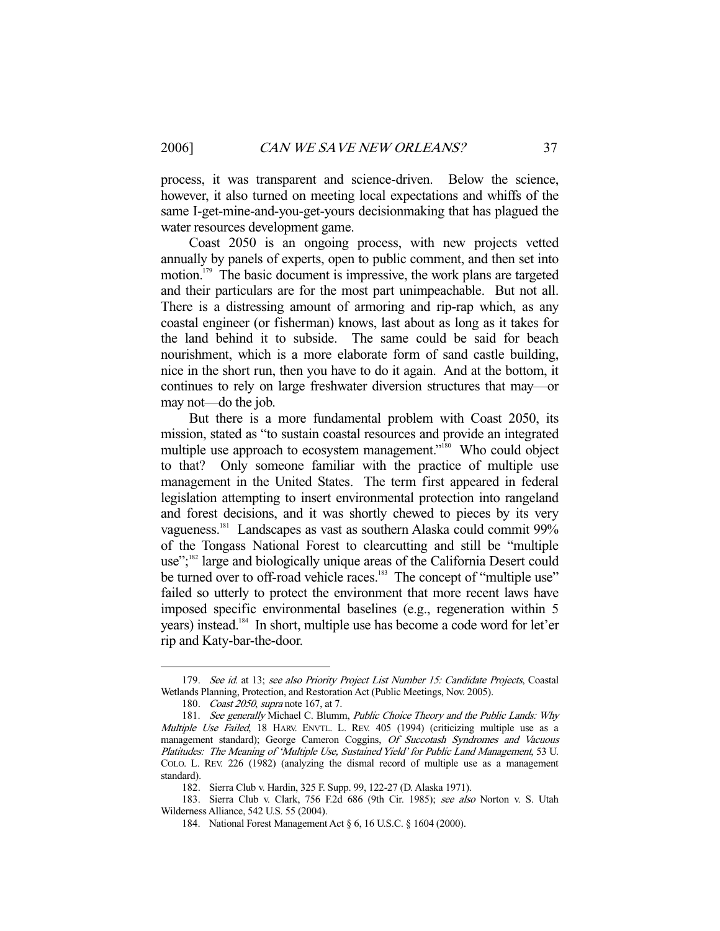process, it was transparent and science-driven. Below the science, however, it also turned on meeting local expectations and whiffs of the same I-get-mine-and-you-get-yours decisionmaking that has plagued the water resources development game.

 Coast 2050 is an ongoing process, with new projects vetted annually by panels of experts, open to public comment, and then set into motion.<sup>179</sup> The basic document is impressive, the work plans are targeted and their particulars are for the most part unimpeachable. But not all. There is a distressing amount of armoring and rip-rap which, as any coastal engineer (or fisherman) knows, last about as long as it takes for the land behind it to subside. The same could be said for beach nourishment, which is a more elaborate form of sand castle building, nice in the short run, then you have to do it again. And at the bottom, it continues to rely on large freshwater diversion structures that may—or may not—do the job.

 But there is a more fundamental problem with Coast 2050, its mission, stated as "to sustain coastal resources and provide an integrated multiple use approach to ecosystem management."<sup>180</sup> Who could object to that? Only someone familiar with the practice of multiple use management in the United States. The term first appeared in federal legislation attempting to insert environmental protection into rangeland and forest decisions, and it was shortly chewed to pieces by its very vagueness.181 Landscapes as vast as southern Alaska could commit 99% of the Tongass National Forest to clearcutting and still be "multiple use";<sup>182</sup> large and biologically unique areas of the California Desert could be turned over to off-road vehicle races.<sup>183</sup> The concept of "multiple use" failed so utterly to protect the environment that more recent laws have imposed specific environmental baselines (e.g., regeneration within 5 years) instead.<sup>184</sup> In short, multiple use has become a code word for let'er rip and Katy-bar-the-door.

<sup>179.</sup> See id. at 13; see also Priority Project List Number 15: Candidate Projects, Coastal Wetlands Planning, Protection, and Restoration Act (Public Meetings, Nov. 2005).

<sup>180.</sup> Coast 2050, supra note 167, at 7.

<sup>181.</sup> See generally Michael C. Blumm, Public Choice Theory and the Public Lands: Why Multiple Use Failed, 18 HARV. ENVTL. L. REV. 405 (1994) (criticizing multiple use as a management standard); George Cameron Coggins, Of Succotash Syndromes and Vacuous Platitudes: The Meaning of 'Multiple Use, Sustained Yield' for Public Land Management, 53 U. COLO. L. REV. 226 (1982) (analyzing the dismal record of multiple use as a management standard).

 <sup>182.</sup> Sierra Club v. Hardin, 325 F. Supp. 99, 122-27 (D. Alaska 1971).

 <sup>183.</sup> Sierra Club v. Clark, 756 F.2d 686 (9th Cir. 1985); see also Norton v. S. Utah Wilderness Alliance, 542 U.S. 55 (2004).

 <sup>184.</sup> National Forest Management Act § 6, 16 U.S.C. § 1604 (2000).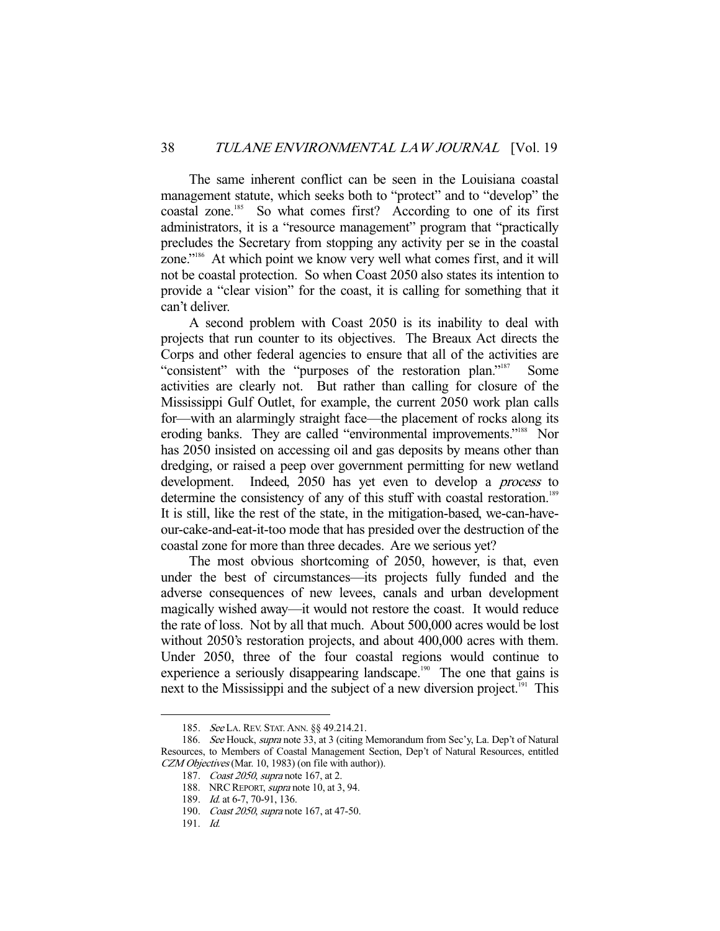The same inherent conflict can be seen in the Louisiana coastal management statute, which seeks both to "protect" and to "develop" the coastal zone.<sup>185</sup> So what comes first? According to one of its first administrators, it is a "resource management" program that "practically precludes the Secretary from stopping any activity per se in the coastal zone."186 At which point we know very well what comes first, and it will not be coastal protection. So when Coast 2050 also states its intention to provide a "clear vision" for the coast, it is calling for something that it can't deliver.

 A second problem with Coast 2050 is its inability to deal with projects that run counter to its objectives. The Breaux Act directs the Corps and other federal agencies to ensure that all of the activities are "consistent" with the "purposes of the restoration plan."<sup>187</sup> Some activities are clearly not. But rather than calling for closure of the Mississippi Gulf Outlet, for example, the current 2050 work plan calls for—with an alarmingly straight face—the placement of rocks along its eroding banks. They are called "environmental improvements."<sup>188</sup> Nor has 2050 insisted on accessing oil and gas deposits by means other than dredging, or raised a peep over government permitting for new wetland development. Indeed, 2050 has yet even to develop a process to determine the consistency of any of this stuff with coastal restoration.<sup>189</sup> It is still, like the rest of the state, in the mitigation-based, we-can-haveour-cake-and-eat-it-too mode that has presided over the destruction of the coastal zone for more than three decades. Are we serious yet?

 The most obvious shortcoming of 2050, however, is that, even under the best of circumstances—its projects fully funded and the adverse consequences of new levees, canals and urban development magically wished away—it would not restore the coast. It would reduce the rate of loss. Not by all that much. About 500,000 acres would be lost without 2050's restoration projects, and about 400,000 acres with them. Under 2050, three of the four coastal regions would continue to experience a seriously disappearing landscape.<sup>190</sup> The one that gains is next to the Mississippi and the subject of a new diversion project.<sup>191</sup> This

<sup>185.</sup> See LA. REV. STAT. ANN. §§ 49.214.21.

<sup>186.</sup> See Houck, supra note 33, at 3 (citing Memorandum from Sec'y, La. Dep't of Natural Resources, to Members of Coastal Management Section, Dep't of Natural Resources, entitled CZM Objectives (Mar. 10, 1983) (on file with author)).

<sup>187.</sup> Coast 2050, supra note 167, at 2.

<sup>188.</sup> NRC REPORT, *supra* note 10, at 3, 94.

<sup>189.</sup> *Id.* at 6-7, 70-91, 136.

<sup>190.</sup> Coast 2050, supra note 167, at 47-50.

 <sup>191.</sup> Id.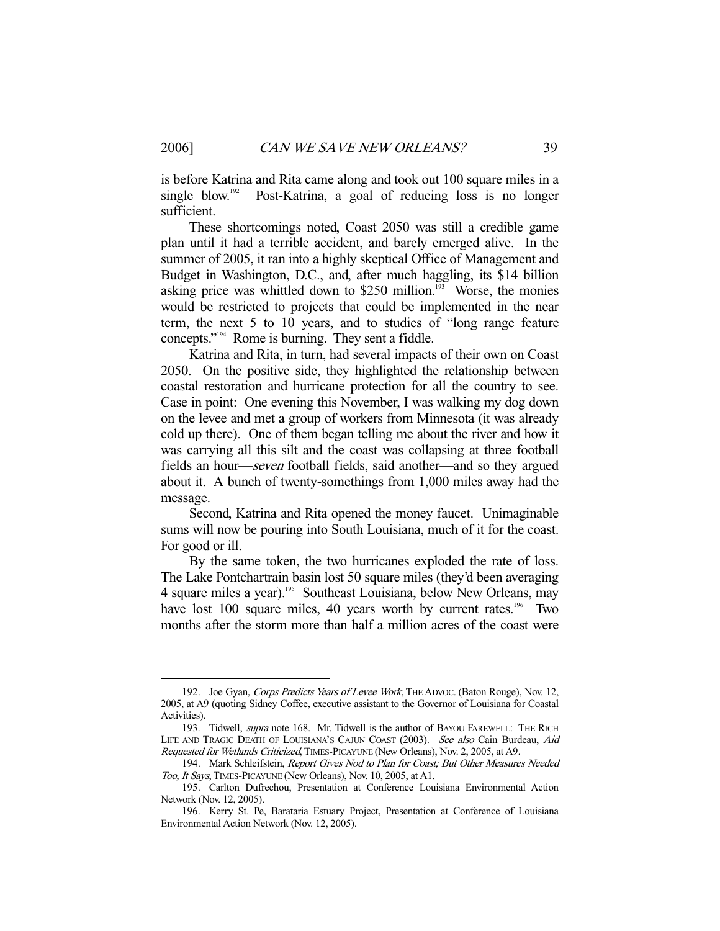is before Katrina and Rita came along and took out 100 square miles in a single blow.<sup>192</sup> Post-Katrina, a goal of reducing loss is no longer sufficient.

 These shortcomings noted, Coast 2050 was still a credible game plan until it had a terrible accident, and barely emerged alive. In the summer of 2005, it ran into a highly skeptical Office of Management and Budget in Washington, D.C., and, after much haggling, its \$14 billion asking price was whittled down to  $$250$  million.<sup>193</sup> Worse, the monies would be restricted to projects that could be implemented in the near term, the next 5 to 10 years, and to studies of "long range feature concepts."194 Rome is burning. They sent a fiddle.

 Katrina and Rita, in turn, had several impacts of their own on Coast 2050. On the positive side, they highlighted the relationship between coastal restoration and hurricane protection for all the country to see. Case in point: One evening this November, I was walking my dog down on the levee and met a group of workers from Minnesota (it was already cold up there). One of them began telling me about the river and how it was carrying all this silt and the coast was collapsing at three football fields an hour—seven football fields, said another—and so they argued about it. A bunch of twenty-somethings from 1,000 miles away had the message.

 Second, Katrina and Rita opened the money faucet. Unimaginable sums will now be pouring into South Louisiana, much of it for the coast. For good or ill.

 By the same token, the two hurricanes exploded the rate of loss. The Lake Pontchartrain basin lost 50 square miles (they'd been averaging 4 square miles a year).<sup>195</sup> Southeast Louisiana, below New Orleans, may have lost 100 square miles, 40 years worth by current rates.<sup>196</sup> Two months after the storm more than half a million acres of the coast were

<sup>192.</sup> Joe Gyan, Corps Predicts Years of Levee Work, THE ADVOC. (Baton Rouge), Nov. 12, 2005, at A9 (quoting Sidney Coffee, executive assistant to the Governor of Louisiana for Coastal Activities).

<sup>193.</sup> Tidwell, *supra* note 168. Mr. Tidwell is the author of BAYOU FAREWELL: THE RICH LIFE AND TRAGIC DEATH OF LOUISIANA'S CAJUN COAST (2003). See also Cain Burdeau, Aid Requested for Wetlands Criticized, TIMES-PICAYUNE (New Orleans), Nov. 2, 2005, at A9.

<sup>194.</sup> Mark Schleifstein, Report Gives Nod to Plan for Coast; But Other Measures Needed Too, It Says, TIMES-PICAYUNE (New Orleans), Nov. 10, 2005, at A1.

 <sup>195.</sup> Carlton Dufrechou, Presentation at Conference Louisiana Environmental Action Network (Nov. 12, 2005).

 <sup>196.</sup> Kerry St. Pe, Barataria Estuary Project, Presentation at Conference of Louisiana Environmental Action Network (Nov. 12, 2005).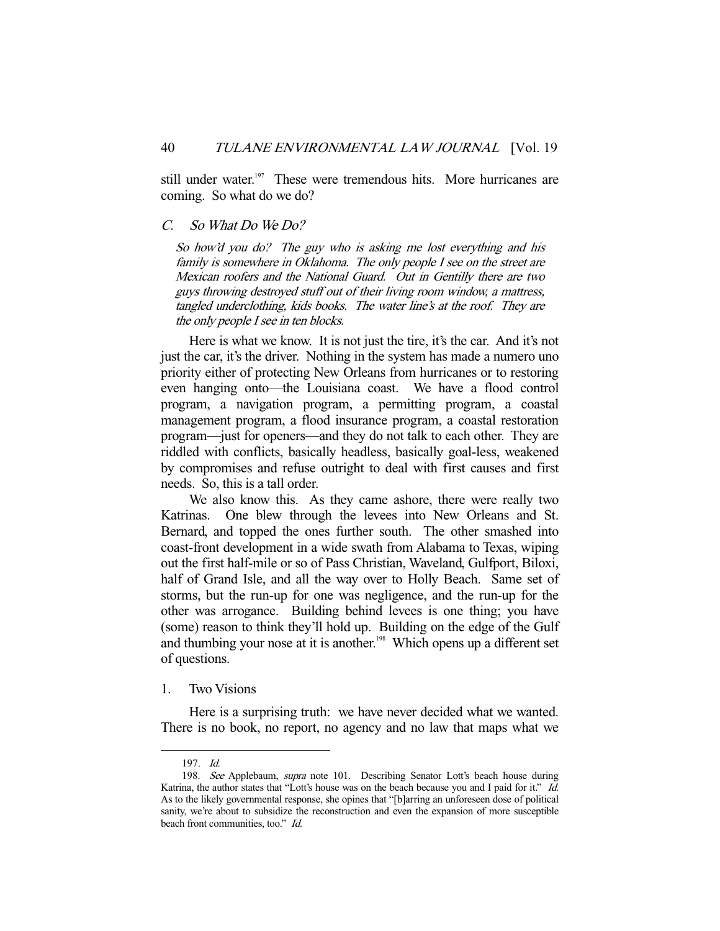still under water.<sup>197</sup> These were tremendous hits. More hurricanes are coming. So what do we do?

# C. So What Do We Do?

So how'd you do? The guy who is asking me lost everything and his family is somewhere in Oklahoma. The only people I see on the street are Mexican roofers and the National Guard. Out in Gentilly there are two guys throwing destroyed stuff out of their living room window, a mattress, tangled underclothing, kids books. The water line's at the roof. They are the only people I see in ten blocks.

 Here is what we know. It is not just the tire, it's the car. And it's not just the car, it's the driver. Nothing in the system has made a numero uno priority either of protecting New Orleans from hurricanes or to restoring even hanging onto—the Louisiana coast. We have a flood control program, a navigation program, a permitting program, a coastal management program, a flood insurance program, a coastal restoration program—just for openers—and they do not talk to each other. They are riddled with conflicts, basically headless, basically goal-less, weakened by compromises and refuse outright to deal with first causes and first needs. So, this is a tall order.

 We also know this. As they came ashore, there were really two Katrinas. One blew through the levees into New Orleans and St. Bernard, and topped the ones further south. The other smashed into coast-front development in a wide swath from Alabama to Texas, wiping out the first half-mile or so of Pass Christian, Waveland, Gulfport, Biloxi, half of Grand Isle, and all the way over to Holly Beach. Same set of storms, but the run-up for one was negligence, and the run-up for the other was arrogance. Building behind levees is one thing; you have (some) reason to think they'll hold up. Building on the edge of the Gulf and thumbing your nose at it is another.<sup>198</sup> Which opens up a different set of questions.

#### 1. Two Visions

 Here is a surprising truth: we have never decided what we wanted. There is no book, no report, no agency and no law that maps what we

 <sup>197.</sup> Id.

<sup>198.</sup> See Applebaum, supra note 101. Describing Senator Lott's beach house during Katrina, the author states that "Lott's house was on the beach because you and I paid for it." Id. As to the likely governmental response, she opines that "[b]arring an unforeseen dose of political sanity, we're about to subsidize the reconstruction and even the expansion of more susceptible beach front communities, too." Id.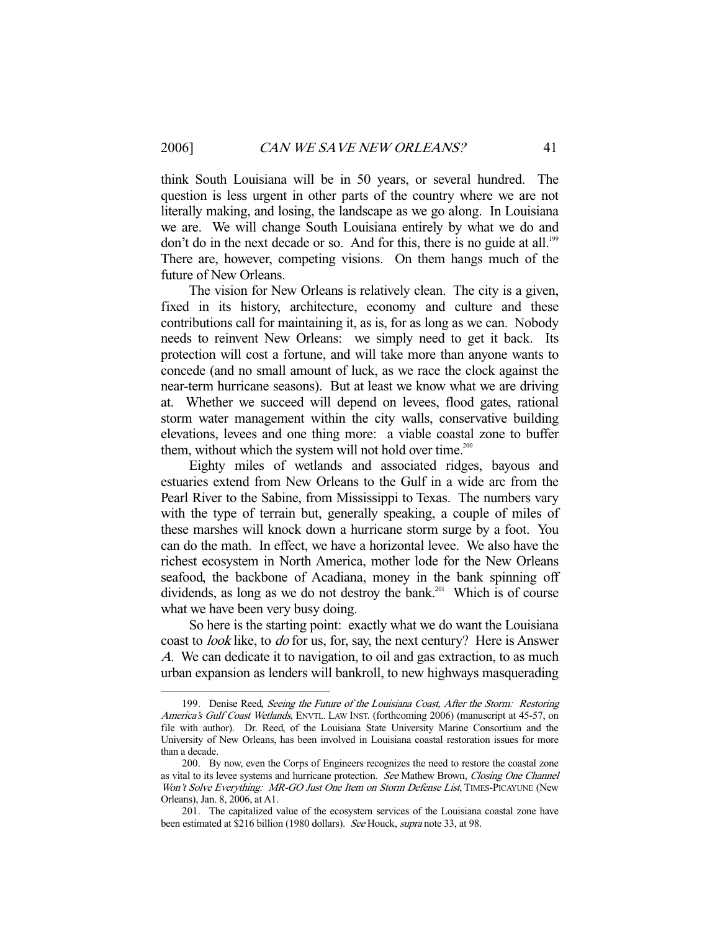think South Louisiana will be in 50 years, or several hundred. The question is less urgent in other parts of the country where we are not literally making, and losing, the landscape as we go along. In Louisiana we are. We will change South Louisiana entirely by what we do and don't do in the next decade or so. And for this, there is no guide at all.<sup>199</sup> There are, however, competing visions. On them hangs much of the future of New Orleans.

 The vision for New Orleans is relatively clean. The city is a given, fixed in its history, architecture, economy and culture and these contributions call for maintaining it, as is, for as long as we can. Nobody needs to reinvent New Orleans: we simply need to get it back. Its protection will cost a fortune, and will take more than anyone wants to concede (and no small amount of luck, as we race the clock against the near-term hurricane seasons). But at least we know what we are driving at. Whether we succeed will depend on levees, flood gates, rational storm water management within the city walls, conservative building elevations, levees and one thing more: a viable coastal zone to buffer them, without which the system will not hold over time. $200$ 

 Eighty miles of wetlands and associated ridges, bayous and estuaries extend from New Orleans to the Gulf in a wide arc from the Pearl River to the Sabine, from Mississippi to Texas. The numbers vary with the type of terrain but, generally speaking, a couple of miles of these marshes will knock down a hurricane storm surge by a foot. You can do the math. In effect, we have a horizontal levee. We also have the richest ecosystem in North America, mother lode for the New Orleans seafood, the backbone of Acadiana, money in the bank spinning off dividends, as long as we do not destroy the bank.<sup>201</sup> Which is of course what we have been very busy doing.

 So here is the starting point: exactly what we do want the Louisiana coast to look like, to do for us, for, say, the next century? Here is Answer <sup>A</sup>. We can dedicate it to navigation, to oil and gas extraction, to as much urban expansion as lenders will bankroll, to new highways masquerading

<sup>199.</sup> Denise Reed, Seeing the Future of the Louisiana Coast, After the Storm: Restoring America's Gulf Coast Wetlands, ENVTL. LAW INST. (forthcoming 2006) (manuscript at 45-57, on file with author). Dr. Reed, of the Louisiana State University Marine Consortium and the University of New Orleans, has been involved in Louisiana coastal restoration issues for more than a decade.

 <sup>200.</sup> By now, even the Corps of Engineers recognizes the need to restore the coastal zone as vital to its levee systems and hurricane protection. See Mathew Brown, Closing One Channel Won't Solve Everything: MR-GO Just One Item on Storm Defense List, TIMES-PICAYUNE (New Orleans), Jan. 8, 2006, at A1.

 <sup>201.</sup> The capitalized value of the ecosystem services of the Louisiana coastal zone have been estimated at \$216 billion (1980 dollars). See Houck, supra note 33, at 98.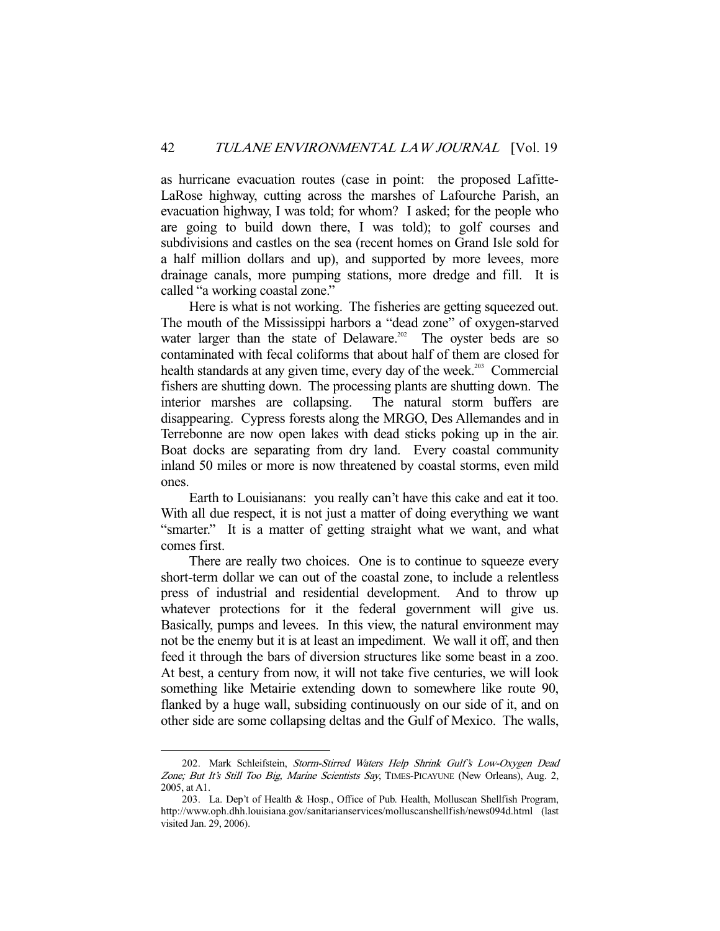as hurricane evacuation routes (case in point: the proposed Lafitte-LaRose highway, cutting across the marshes of Lafourche Parish, an evacuation highway, I was told; for whom? I asked; for the people who are going to build down there, I was told); to golf courses and subdivisions and castles on the sea (recent homes on Grand Isle sold for a half million dollars and up), and supported by more levees, more drainage canals, more pumping stations, more dredge and fill. It is called "a working coastal zone."

 Here is what is not working. The fisheries are getting squeezed out. The mouth of the Mississippi harbors a "dead zone" of oxygen-starved water larger than the state of Delaware.<sup>202</sup> The oyster beds are so contaminated with fecal coliforms that about half of them are closed for health standards at any given time, every day of the week.<sup>203</sup> Commercial fishers are shutting down. The processing plants are shutting down. The interior marshes are collapsing. The natural storm buffers are disappearing. Cypress forests along the MRGO, Des Allemandes and in Terrebonne are now open lakes with dead sticks poking up in the air. Boat docks are separating from dry land. Every coastal community inland 50 miles or more is now threatened by coastal storms, even mild ones.

 Earth to Louisianans: you really can't have this cake and eat it too. With all due respect, it is not just a matter of doing everything we want "smarter." It is a matter of getting straight what we want, and what comes first.

 There are really two choices. One is to continue to squeeze every short-term dollar we can out of the coastal zone, to include a relentless press of industrial and residential development. And to throw up whatever protections for it the federal government will give us. Basically, pumps and levees. In this view, the natural environment may not be the enemy but it is at least an impediment. We wall it off, and then feed it through the bars of diversion structures like some beast in a zoo. At best, a century from now, it will not take five centuries, we will look something like Metairie extending down to somewhere like route 90, flanked by a huge wall, subsiding continuously on our side of it, and on other side are some collapsing deltas and the Gulf of Mexico. The walls,

<sup>202.</sup> Mark Schleifstein, Storm-Stirred Waters Help Shrink Gulf's Low-Oxygen Dead Zone; But It's Still Too Big, Marine Scientists Say, TIMES-PICAYUNE (New Orleans), Aug. 2, 2005, at A1.

 <sup>203.</sup> La. Dep't of Health & Hosp., Office of Pub. Health, Molluscan Shellfish Program, http://www.oph.dhh.louisiana.gov/sanitarianservices/molluscanshellfish/news094d.html (last visited Jan. 29, 2006).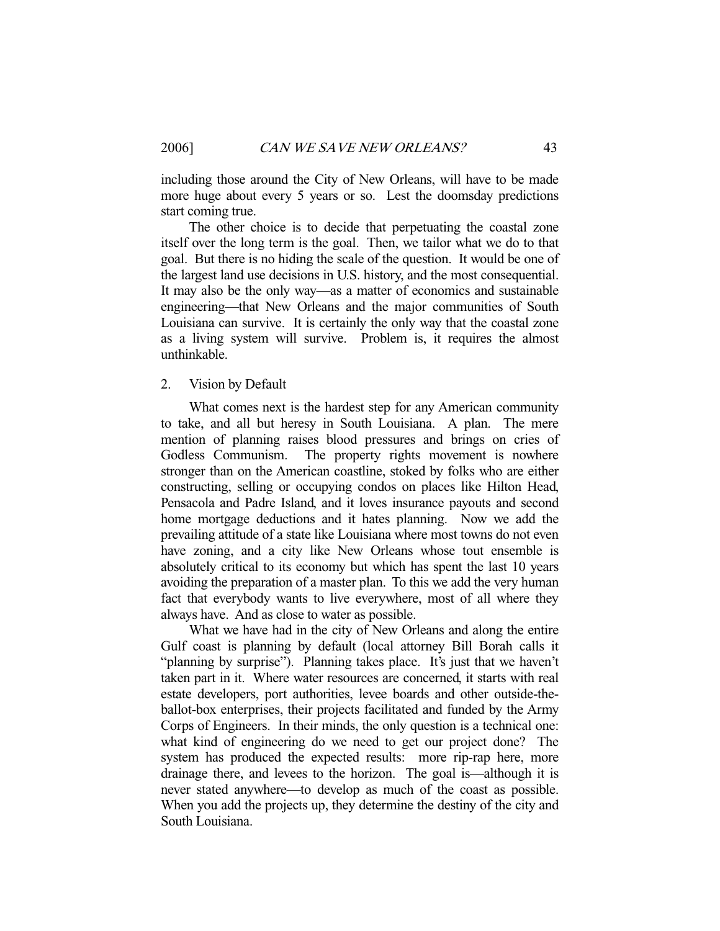including those around the City of New Orleans, will have to be made more huge about every 5 years or so. Lest the doomsday predictions start coming true.

 The other choice is to decide that perpetuating the coastal zone itself over the long term is the goal. Then, we tailor what we do to that goal. But there is no hiding the scale of the question. It would be one of the largest land use decisions in U.S. history, and the most consequential. It may also be the only way—as a matter of economics and sustainable engineering—that New Orleans and the major communities of South Louisiana can survive. It is certainly the only way that the coastal zone as a living system will survive. Problem is, it requires the almost unthinkable.

#### 2. Vision by Default

 What comes next is the hardest step for any American community to take, and all but heresy in South Louisiana. A plan. The mere mention of planning raises blood pressures and brings on cries of Godless Communism. The property rights movement is nowhere stronger than on the American coastline, stoked by folks who are either constructing, selling or occupying condos on places like Hilton Head, Pensacola and Padre Island, and it loves insurance payouts and second home mortgage deductions and it hates planning. Now we add the prevailing attitude of a state like Louisiana where most towns do not even have zoning, and a city like New Orleans whose tout ensemble is absolutely critical to its economy but which has spent the last 10 years avoiding the preparation of a master plan. To this we add the very human fact that everybody wants to live everywhere, most of all where they always have. And as close to water as possible.

 What we have had in the city of New Orleans and along the entire Gulf coast is planning by default (local attorney Bill Borah calls it "planning by surprise"). Planning takes place. It's just that we haven't taken part in it. Where water resources are concerned, it starts with real estate developers, port authorities, levee boards and other outside-theballot-box enterprises, their projects facilitated and funded by the Army Corps of Engineers. In their minds, the only question is a technical one: what kind of engineering do we need to get our project done? The system has produced the expected results: more rip-rap here, more drainage there, and levees to the horizon. The goal is—although it is never stated anywhere—to develop as much of the coast as possible. When you add the projects up, they determine the destiny of the city and South Louisiana.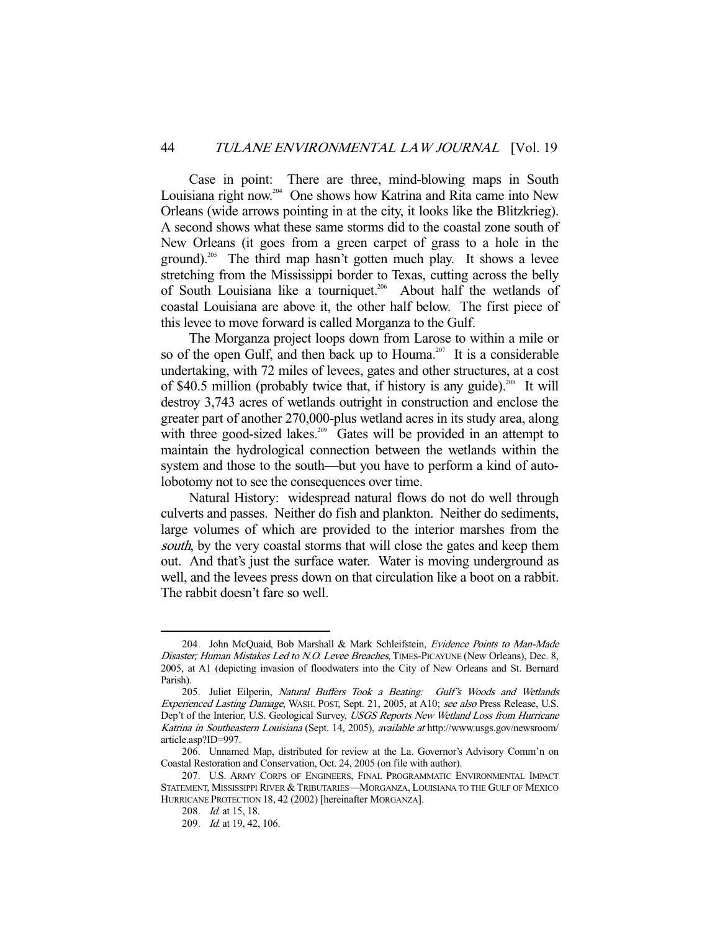Case in point: There are three, mind-blowing maps in South Louisiana right now.<sup>204</sup> One shows how Katrina and Rita came into New Orleans (wide arrows pointing in at the city, it looks like the Blitzkrieg). A second shows what these same storms did to the coastal zone south of New Orleans (it goes from a green carpet of grass to a hole in the ground).<sup>205</sup> The third map hasn't gotten much play. It shows a levee stretching from the Mississippi border to Texas, cutting across the belly of South Louisiana like a tourniquet.<sup>206</sup> About half the wetlands of coastal Louisiana are above it, the other half below. The first piece of this levee to move forward is called Morganza to the Gulf.

 The Morganza project loops down from Larose to within a mile or so of the open Gulf, and then back up to Houma.<sup>207</sup> It is a considerable undertaking, with 72 miles of levees, gates and other structures, at a cost of \$40.5 million (probably twice that, if history is any guide).<sup>208</sup> It will destroy 3,743 acres of wetlands outright in construction and enclose the greater part of another 270,000-plus wetland acres in its study area, along with three good-sized lakes.<sup>209</sup> Gates will be provided in an attempt to maintain the hydrological connection between the wetlands within the system and those to the south—but you have to perform a kind of autolobotomy not to see the consequences over time.

 Natural History: widespread natural flows do not do well through culverts and passes. Neither do fish and plankton. Neither do sediments, large volumes of which are provided to the interior marshes from the south, by the very coastal storms that will close the gates and keep them out. And that's just the surface water. Water is moving underground as well, and the levees press down on that circulation like a boot on a rabbit. The rabbit doesn't fare so well.

<sup>204.</sup> John McQuaid, Bob Marshall & Mark Schleifstein, Evidence Points to Man-Made Disaster; Human Mistakes Led to N.O. Levee Breaches, TIMES-PICAYUNE (New Orleans), Dec. 8, 2005, at A1 (depicting invasion of floodwaters into the City of New Orleans and St. Bernard Parish).

 <sup>205.</sup> Juliet Eilperin, Natural Buffers Took a Beating: Gulf's Woods and Wetlands Experienced Lasting Damage, WASH. POST, Sept. 21, 2005, at A10; see also Press Release, U.S. Dep't of the Interior, U.S. Geological Survey, USGS Reports New Wetland Loss from Hurricane Katrina in Southeastern Louisiana (Sept. 14, 2005), available at http://www.usgs.gov/newsroom/ article.asp?ID=997.

 <sup>206.</sup> Unnamed Map, distributed for review at the La. Governor's Advisory Comm'n on Coastal Restoration and Conservation, Oct. 24, 2005 (on file with author).

 <sup>207.</sup> U.S. ARMY CORPS OF ENGINEERS, FINAL PROGRAMMATIC ENVIRONMENTAL IMPACT STATEMENT, MISSISSIPPI RIVER &TRIBUTARIES—MORGANZA, LOUISIANA TO THE GULF OF MEXICO HURRICANE PROTECTION 18, 42 (2002) [hereinafter MORGANZA].

 <sup>208.</sup> Id. at 15, 18.

<sup>209.</sup> *Id.* at 19, 42, 106.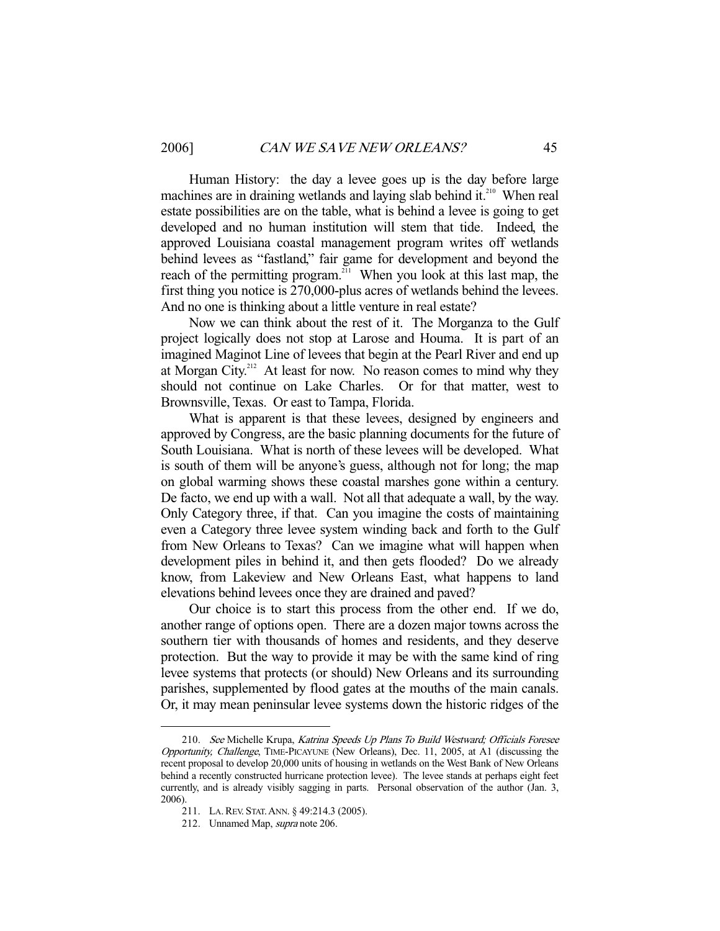Human History: the day a levee goes up is the day before large machines are in draining wetlands and laying slab behind it.<sup>210</sup> When real estate possibilities are on the table, what is behind a levee is going to get developed and no human institution will stem that tide. Indeed, the approved Louisiana coastal management program writes off wetlands behind levees as "fastland," fair game for development and beyond the reach of the permitting program.<sup>211</sup> When you look at this last map, the first thing you notice is 270,000-plus acres of wetlands behind the levees. And no one is thinking about a little venture in real estate?

 Now we can think about the rest of it. The Morganza to the Gulf project logically does not stop at Larose and Houma. It is part of an imagined Maginot Line of levees that begin at the Pearl River and end up at Morgan City.<sup>212</sup> At least for now. No reason comes to mind why they should not continue on Lake Charles. Or for that matter, west to Brownsville, Texas. Or east to Tampa, Florida.

 What is apparent is that these levees, designed by engineers and approved by Congress, are the basic planning documents for the future of South Louisiana. What is north of these levees will be developed. What is south of them will be anyone's guess, although not for long; the map on global warming shows these coastal marshes gone within a century. De facto, we end up with a wall. Not all that adequate a wall, by the way. Only Category three, if that. Can you imagine the costs of maintaining even a Category three levee system winding back and forth to the Gulf from New Orleans to Texas? Can we imagine what will happen when development piles in behind it, and then gets flooded? Do we already know, from Lakeview and New Orleans East, what happens to land elevations behind levees once they are drained and paved?

 Our choice is to start this process from the other end. If we do, another range of options open. There are a dozen major towns across the southern tier with thousands of homes and residents, and they deserve protection. But the way to provide it may be with the same kind of ring levee systems that protects (or should) New Orleans and its surrounding parishes, supplemented by flood gates at the mouths of the main canals. Or, it may mean peninsular levee systems down the historic ridges of the

<sup>210.</sup> See Michelle Krupa, Katrina Speeds Up Plans To Build Westward; Officials Foresee Opportunity, Challenge, TIME-PICAYUNE (New Orleans), Dec. 11, 2005, at A1 (discussing the recent proposal to develop 20,000 units of housing in wetlands on the West Bank of New Orleans behind a recently constructed hurricane protection levee). The levee stands at perhaps eight feet currently, and is already visibly sagging in parts. Personal observation of the author (Jan. 3, 2006).

 <sup>211.</sup> LA.REV. STAT.ANN. § 49:214.3 (2005).

 <sup>212.</sup> Unnamed Map, supra note 206.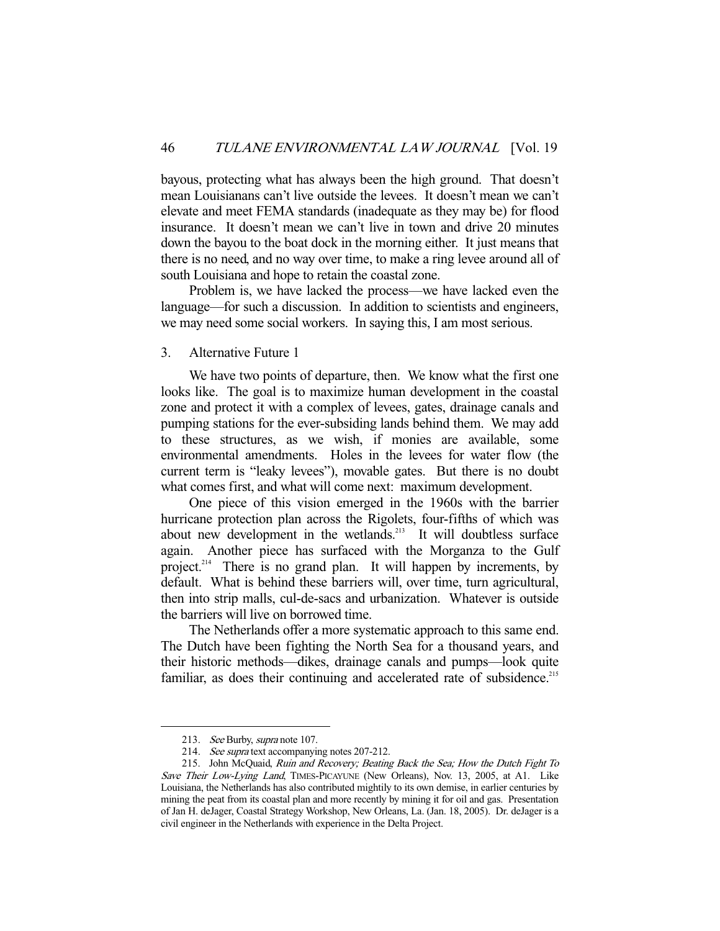bayous, protecting what has always been the high ground. That doesn't mean Louisianans can't live outside the levees. It doesn't mean we can't elevate and meet FEMA standards (inadequate as they may be) for flood insurance. It doesn't mean we can't live in town and drive 20 minutes down the bayou to the boat dock in the morning either. It just means that there is no need, and no way over time, to make a ring levee around all of south Louisiana and hope to retain the coastal zone.

 Problem is, we have lacked the process—we have lacked even the language—for such a discussion. In addition to scientists and engineers, we may need some social workers. In saying this, I am most serious.

#### 3. Alternative Future 1

 We have two points of departure, then. We know what the first one looks like. The goal is to maximize human development in the coastal zone and protect it with a complex of levees, gates, drainage canals and pumping stations for the ever-subsiding lands behind them. We may add to these structures, as we wish, if monies are available, some environmental amendments. Holes in the levees for water flow (the current term is "leaky levees"), movable gates. But there is no doubt what comes first, and what will come next: maximum development.

 One piece of this vision emerged in the 1960s with the barrier hurricane protection plan across the Rigolets, four-fifths of which was about new development in the wetlands.<sup>213</sup> It will doubtless surface again. Another piece has surfaced with the Morganza to the Gulf project.<sup>214</sup> There is no grand plan. It will happen by increments, by default. What is behind these barriers will, over time, turn agricultural, then into strip malls, cul-de-sacs and urbanization. Whatever is outside the barriers will live on borrowed time.

 The Netherlands offer a more systematic approach to this same end. The Dutch have been fighting the North Sea for a thousand years, and their historic methods—dikes, drainage canals and pumps—look quite familiar, as does their continuing and accelerated rate of subsidence.<sup>215</sup>

<sup>213.</sup> See Burby, supra note 107.

 <sup>214.</sup> See supra text accompanying notes 207-212.

<sup>215.</sup> John McQuaid, Ruin and Recovery; Beating Back the Sea; How the Dutch Fight To Save Their Low-Lying Land, TIMES-PICAYUNE (New Orleans), Nov. 13, 2005, at A1. Like Louisiana, the Netherlands has also contributed mightily to its own demise, in earlier centuries by mining the peat from its coastal plan and more recently by mining it for oil and gas. Presentation of Jan H. deJager, Coastal Strategy Workshop, New Orleans, La. (Jan. 18, 2005). Dr. deJager is a civil engineer in the Netherlands with experience in the Delta Project.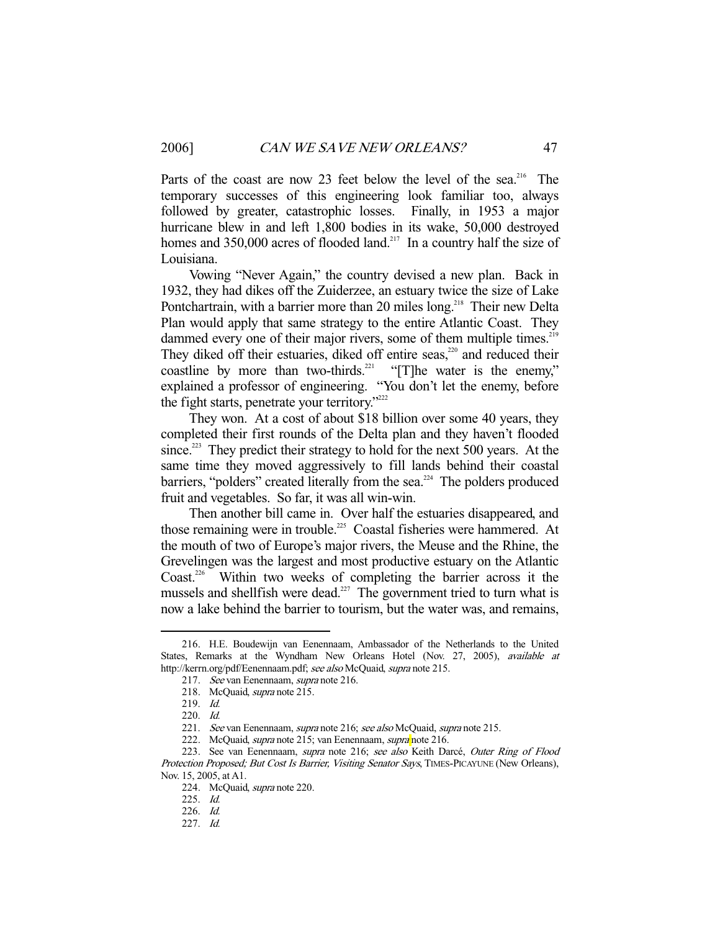Parts of the coast are now 23 feet below the level of the sea.<sup>216</sup> The temporary successes of this engineering look familiar too, always followed by greater, catastrophic losses. Finally, in 1953 a major hurricane blew in and left 1,800 bodies in its wake, 50,000 destroyed homes and  $350,000$  acres of flooded land.<sup>217</sup> In a country half the size of Louisiana.

 Vowing "Never Again," the country devised a new plan. Back in 1932, they had dikes off the Zuiderzee, an estuary twice the size of Lake Pontchartrain, with a barrier more than 20 miles long.<sup>218</sup> Their new Delta Plan would apply that same strategy to the entire Atlantic Coast. They dammed every one of their major rivers, some of them multiple times.<sup>219</sup> They diked off their estuaries, diked off entire seas,<sup>220</sup> and reduced their coastline by more than two-thirds.<sup>221</sup> "[T]he water is the enemy," explained a professor of engineering. "You don't let the enemy, before the fight starts, penetrate your territory."<sup>222</sup>

 They won. At a cost of about \$18 billion over some 40 years, they completed their first rounds of the Delta plan and they haven't flooded since.<sup>223</sup> They predict their strategy to hold for the next 500 years. At the same time they moved aggressively to fill lands behind their coastal barriers, "polders" created literally from the sea.<sup>224</sup> The polders produced fruit and vegetables. So far, it was all win-win.

 Then another bill came in. Over half the estuaries disappeared, and those remaining were in trouble.<sup>225</sup> Coastal fisheries were hammered. At the mouth of two of Europe's major rivers, the Meuse and the Rhine, the Grevelingen was the largest and most productive estuary on the Atlantic Coast.<sup>226</sup> Within two weeks of completing the barrier across it the mussels and shellfish were dead.<sup>227</sup> The government tried to turn what is now a lake behind the barrier to tourism, but the water was, and remains,

 <sup>216.</sup> H.E. Boudewijn van Eenennaam, Ambassador of the Netherlands to the United States, Remarks at the Wyndham New Orleans Hotel (Nov. 27, 2005), available at http://kerrn.org/pdf/Eenennaam.pdf; see also McQuaid, supra note 215.

 <sup>217.</sup> See van Eenennaam, supra note 216.

 <sup>218.</sup> McQuaid, supra note 215.

 <sup>219.</sup> Id.

 <sup>220.</sup> Id.

<sup>221.</sup> See van Eenennaam, supra note 216; see also McQuaid, supra note 215.

<sup>222.</sup> McQuaid, *supra* note 215; van Eenennaam, *supra* note 216.

<sup>223.</sup> See van Eenennaam, *supra* note 216; see also Keith Darcé, Outer Ring of Flood Protection Proposed; But Cost Is Barrier, Visiting Senator Says, TIMES-PICAYUNE (New Orleans), Nov. 15, 2005, at A1.

 <sup>224.</sup> McQuaid, supra note 220.

 <sup>225.</sup> Id.

 <sup>226.</sup> Id.

 <sup>227.</sup> Id.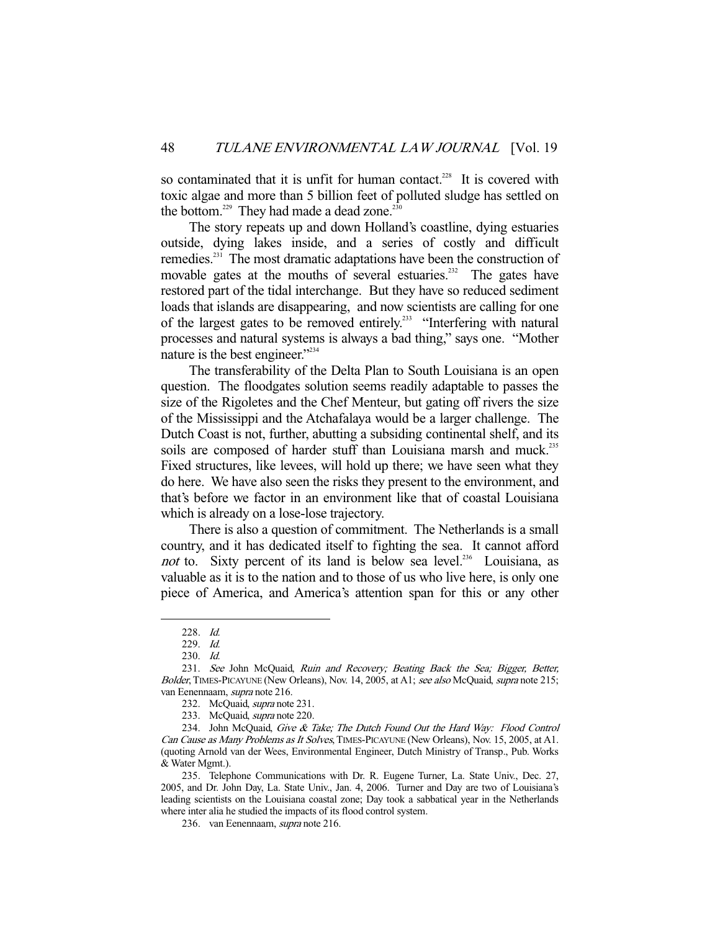so contaminated that it is unfit for human contact.<sup>228</sup> It is covered with toxic algae and more than 5 billion feet of polluted sludge has settled on the bottom.<sup>229</sup> They had made a dead zone.<sup>23</sup>

 The story repeats up and down Holland's coastline, dying estuaries outside, dying lakes inside, and a series of costly and difficult remedies.<sup>231</sup> The most dramatic adaptations have been the construction of movable gates at the mouths of several estuaries.<sup>232</sup> The gates have restored part of the tidal interchange. But they have so reduced sediment loads that islands are disappearing, and now scientists are calling for one of the largest gates to be removed entirely.<sup>233</sup> "Interfering with natural processes and natural systems is always a bad thing," says one. "Mother nature is the best engineer."<sup>234</sup>

 The transferability of the Delta Plan to South Louisiana is an open question. The floodgates solution seems readily adaptable to passes the size of the Rigoletes and the Chef Menteur, but gating off rivers the size of the Mississippi and the Atchafalaya would be a larger challenge. The Dutch Coast is not, further, abutting a subsiding continental shelf, and its soils are composed of harder stuff than Louisiana marsh and muck.<sup>235</sup> Fixed structures, like levees, will hold up there; we have seen what they do here. We have also seen the risks they present to the environment, and that's before we factor in an environment like that of coastal Louisiana which is already on a lose-lose trajectory.

 There is also a question of commitment. The Netherlands is a small country, and it has dedicated itself to fighting the sea. It cannot afford not to. Sixty percent of its land is below sea level.<sup>236</sup> Louisiana, as valuable as it is to the nation and to those of us who live here, is only one piece of America, and America's attention span for this or any other

 <sup>228.</sup> Id.

 <sup>229.</sup> Id.

 <sup>230.</sup> Id.

<sup>231.</sup> See John McQuaid, Ruin and Recovery; Beating Back the Sea; Bigger, Better, Bolder, TIMES-PICAYUNE (New Orleans), Nov. 14, 2005, at A1; see also McQuaid, supra note 215; van Eenennaam, supra note 216.

 <sup>232.</sup> McQuaid, supra note 231.

 <sup>233.</sup> McQuaid, supra note 220.

<sup>234.</sup> John McQuaid, Give & Take; The Dutch Found Out the Hard Way: Flood Control Can Cause as Many Problems as It Solves, TIMES-PICAYUNE (New Orleans), Nov. 15, 2005, at A1. (quoting Arnold van der Wees, Environmental Engineer, Dutch Ministry of Transp., Pub. Works & Water Mgmt.).

 <sup>235.</sup> Telephone Communications with Dr. R. Eugene Turner, La. State Univ., Dec. 27, 2005, and Dr. John Day, La. State Univ., Jan. 4, 2006. Turner and Day are two of Louisiana's leading scientists on the Louisiana coastal zone; Day took a sabbatical year in the Netherlands where inter alia he studied the impacts of its flood control system.

 <sup>236.</sup> van Eenennaam, supra note 216.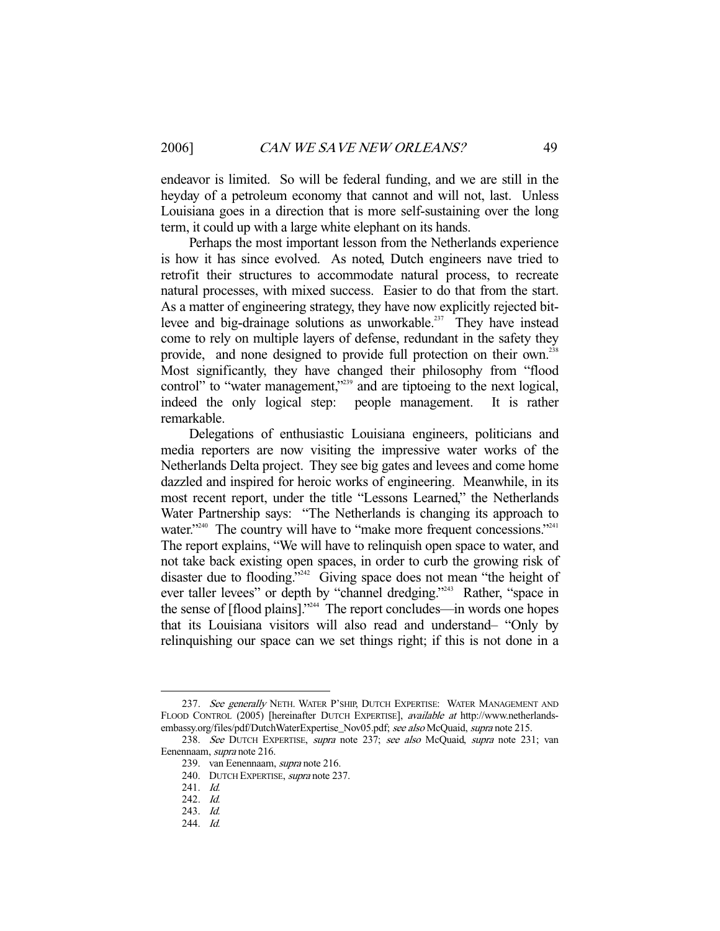endeavor is limited. So will be federal funding, and we are still in the heyday of a petroleum economy that cannot and will not, last. Unless Louisiana goes in a direction that is more self-sustaining over the long term, it could up with a large white elephant on its hands.

 Perhaps the most important lesson from the Netherlands experience is how it has since evolved. As noted, Dutch engineers nave tried to retrofit their structures to accommodate natural process, to recreate natural processes, with mixed success. Easier to do that from the start. As a matter of engineering strategy, they have now explicitly rejected bitlevee and big-drainage solutions as unworkable.<sup>237</sup> They have instead come to rely on multiple layers of defense, redundant in the safety they provide, and none designed to provide full protection on their own.<sup>238</sup> Most significantly, they have changed their philosophy from "flood control" to "water management,"<sup>239</sup> and are tiptoeing to the next logical, indeed the only logical step: people management. It is rather remarkable.

 Delegations of enthusiastic Louisiana engineers, politicians and media reporters are now visiting the impressive water works of the Netherlands Delta project. They see big gates and levees and come home dazzled and inspired for heroic works of engineering. Meanwhile, in its most recent report, under the title "Lessons Learned," the Netherlands Water Partnership says: "The Netherlands is changing its approach to water."<sup>240</sup> The country will have to "make more frequent concessions."<sup>241</sup> The report explains, "We will have to relinquish open space to water, and not take back existing open spaces, in order to curb the growing risk of disaster due to flooding."<sup>242</sup> Giving space does not mean "the height of ever taller levees" or depth by "channel dredging."<sup>243</sup> Rather, "space in the sense of [flood plains]."<sup>244</sup> The report concludes—in words one hopes that its Louisiana visitors will also read and understand– "Only by relinquishing our space can we set things right; if this is not done in a

<sup>237.</sup> See generally NETH. WATER P'SHIP, DUTCH EXPERTISE: WATER MANAGEMENT AND FLOOD CONTROL (2005) [hereinafter DUTCH EXPERTISE], available at http://www.netherlandsembassy.org/files/pdf/DutchWaterExpertise\_Nov05.pdf; see also McQuaid, supra note 215.

<sup>238.</sup> See DUTCH EXPERTISE, supra note 237; see also McQuaid, supra note 231; van Eenennaam, supra note 216.

 <sup>239.</sup> van Eenennaam, supra note 216.

<sup>240.</sup> DUTCH EXPERTISE, *supra* note 237.

 <sup>241.</sup> Id.

 <sup>242.</sup> Id.

 <sup>243.</sup> Id.

 <sup>244.</sup> Id.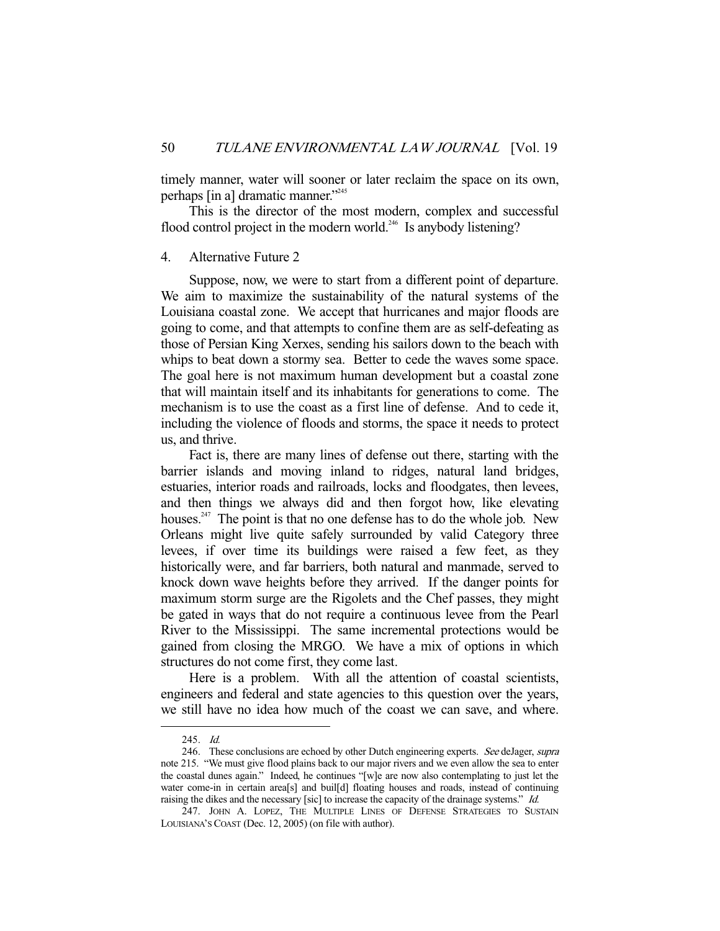timely manner, water will sooner or later reclaim the space on its own, perhaps [in a] dramatic manner."245

 This is the director of the most modern, complex and successful flood control project in the modern world.<sup>246</sup> Is anybody listening?

# 4. Alternative Future 2

 Suppose, now, we were to start from a different point of departure. We aim to maximize the sustainability of the natural systems of the Louisiana coastal zone. We accept that hurricanes and major floods are going to come, and that attempts to confine them are as self-defeating as those of Persian King Xerxes, sending his sailors down to the beach with whips to beat down a stormy sea. Better to cede the waves some space. The goal here is not maximum human development but a coastal zone that will maintain itself and its inhabitants for generations to come. The mechanism is to use the coast as a first line of defense. And to cede it, including the violence of floods and storms, the space it needs to protect us, and thrive.

 Fact is, there are many lines of defense out there, starting with the barrier islands and moving inland to ridges, natural land bridges, estuaries, interior roads and railroads, locks and floodgates, then levees, and then things we always did and then forgot how, like elevating houses.<sup>247</sup> The point is that no one defense has to do the whole job. New Orleans might live quite safely surrounded by valid Category three levees, if over time its buildings were raised a few feet, as they historically were, and far barriers, both natural and manmade, served to knock down wave heights before they arrived. If the danger points for maximum storm surge are the Rigolets and the Chef passes, they might be gated in ways that do not require a continuous levee from the Pearl River to the Mississippi. The same incremental protections would be gained from closing the MRGO. We have a mix of options in which structures do not come first, they come last.

 Here is a problem. With all the attention of coastal scientists, engineers and federal and state agencies to this question over the years, we still have no idea how much of the coast we can save, and where.

 <sup>245.</sup> Id.

<sup>246.</sup> These conclusions are echoed by other Dutch engineering experts. See deJager, supra note 215. "We must give flood plains back to our major rivers and we even allow the sea to enter the coastal dunes again." Indeed, he continues "[w]e are now also contemplating to just let the water come-in in certain area[s] and buil[d] floating houses and roads, instead of continuing raising the dikes and the necessary [sic] to increase the capacity of the drainage systems." Id.

 <sup>247.</sup> JOHN A. LOPEZ, THE MULTIPLE LINES OF DEFENSE STRATEGIES TO SUSTAIN LOUISIANA'S COAST (Dec. 12, 2005) (on file with author).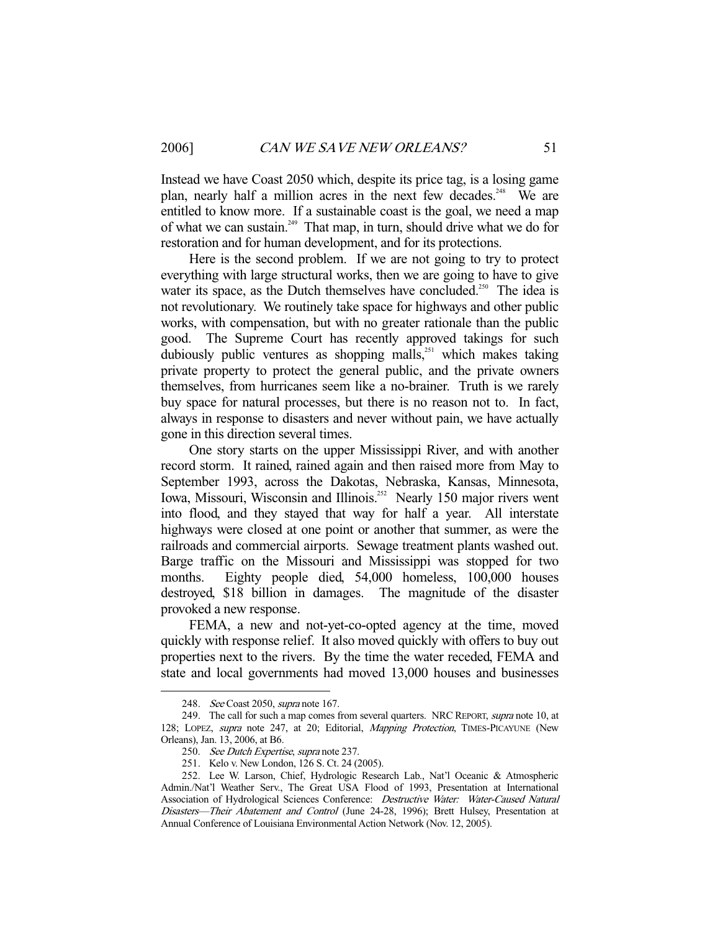Instead we have Coast 2050 which, despite its price tag, is a losing game plan, nearly half a million acres in the next few decades.<sup>248</sup> We are entitled to know more. If a sustainable coast is the goal, we need a map of what we can sustain.249 That map, in turn, should drive what we do for restoration and for human development, and for its protections.

 Here is the second problem. If we are not going to try to protect everything with large structural works, then we are going to have to give water its space, as the Dutch themselves have concluded.<sup>250</sup> The idea is not revolutionary. We routinely take space for highways and other public works, with compensation, but with no greater rationale than the public good. The Supreme Court has recently approved takings for such dubiously public ventures as shopping malls,<sup>251</sup> which makes taking private property to protect the general public, and the private owners themselves, from hurricanes seem like a no-brainer. Truth is we rarely buy space for natural processes, but there is no reason not to. In fact, always in response to disasters and never without pain, we have actually gone in this direction several times.

 One story starts on the upper Mississippi River, and with another record storm. It rained, rained again and then raised more from May to September 1993, across the Dakotas, Nebraska, Kansas, Minnesota, Iowa, Missouri, Wisconsin and Illinois.<sup>252</sup> Nearly 150 major rivers went into flood, and they stayed that way for half a year. All interstate highways were closed at one point or another that summer, as were the railroads and commercial airports. Sewage treatment plants washed out. Barge traffic on the Missouri and Mississippi was stopped for two months. Eighty people died, 54,000 homeless, 100,000 houses destroyed, \$18 billion in damages. The magnitude of the disaster provoked a new response.

 FEMA, a new and not-yet-co-opted agency at the time, moved quickly with response relief. It also moved quickly with offers to buy out properties next to the rivers. By the time the water receded, FEMA and state and local governments had moved 13,000 houses and businesses

<sup>248.</sup> See Coast 2050, supra note 167.

<sup>249.</sup> The call for such a map comes from several quarters. NRC REPORT, supra note 10, at 128; LOPEZ, supra note 247, at 20; Editorial, Mapping Protection, TIMES-PICAYUNE (New Orleans), Jan. 13, 2006, at B6.

<sup>250.</sup> See Dutch Expertise, supra note 237.

 <sup>251.</sup> Kelo v. New London, 126 S. Ct. 24 (2005).

 <sup>252.</sup> Lee W. Larson, Chief, Hydrologic Research Lab., Nat'l Oceanic & Atmospheric Admin./Nat'l Weather Serv., The Great USA Flood of 1993, Presentation at International Association of Hydrological Sciences Conference: Destructive Water: Water-Caused Natural Disasters—Their Abatement and Control (June 24-28, 1996); Brett Hulsey, Presentation at Annual Conference of Louisiana Environmental Action Network (Nov. 12, 2005).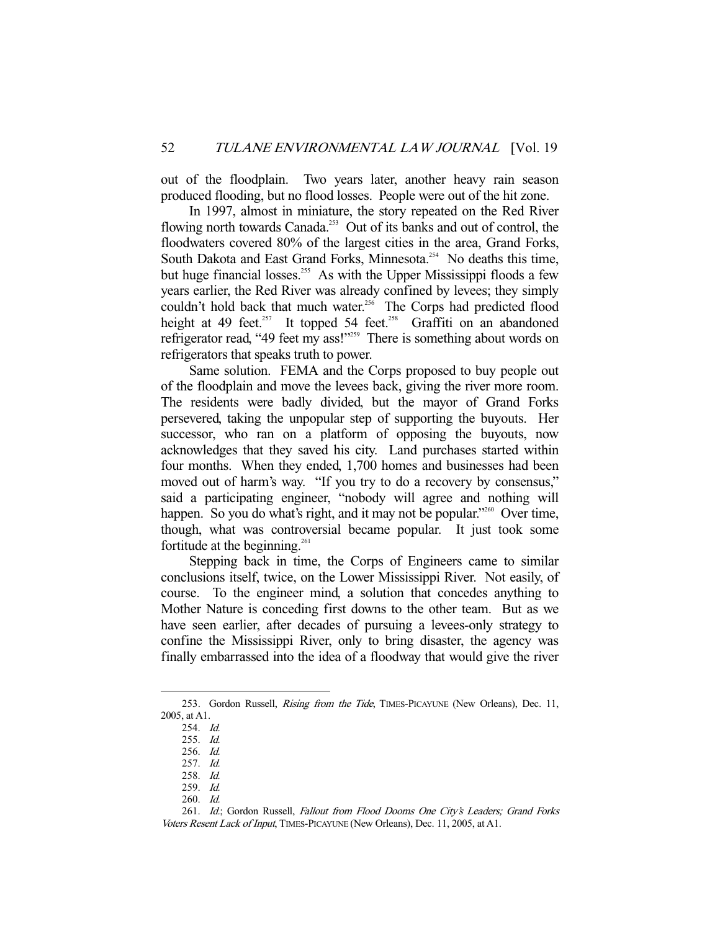out of the floodplain. Two years later, another heavy rain season produced flooding, but no flood losses. People were out of the hit zone.

 In 1997, almost in miniature, the story repeated on the Red River flowing north towards Canada.<sup>253</sup> Out of its banks and out of control, the floodwaters covered 80% of the largest cities in the area, Grand Forks, South Dakota and East Grand Forks, Minnesota.<sup>254</sup> No deaths this time, but huge financial losses.<sup>255</sup> As with the Upper Mississippi floods a few years earlier, the Red River was already confined by levees; they simply couldn't hold back that much water.<sup>256</sup> The Corps had predicted flood height at 49 feet.<sup>257</sup> It topped 54 feet.<sup>258</sup> Graffiti on an abandoned refrigerator read, "49 feet my ass!"259 There is something about words on refrigerators that speaks truth to power.

 Same solution. FEMA and the Corps proposed to buy people out of the floodplain and move the levees back, giving the river more room. The residents were badly divided, but the mayor of Grand Forks persevered, taking the unpopular step of supporting the buyouts. Her successor, who ran on a platform of opposing the buyouts, now acknowledges that they saved his city. Land purchases started within four months. When they ended, 1,700 homes and businesses had been moved out of harm's way. "If you try to do a recovery by consensus," said a participating engineer, "nobody will agree and nothing will happen. So you do what's right, and it may not be popular."<sup>260</sup> Over time, though, what was controversial became popular. It just took some fortitude at the beginning.<sup>261</sup>

 Stepping back in time, the Corps of Engineers came to similar conclusions itself, twice, on the Lower Mississippi River. Not easily, of course. To the engineer mind, a solution that concedes anything to Mother Nature is conceding first downs to the other team. But as we have seen earlier, after decades of pursuing a levees-only strategy to confine the Mississippi River, only to bring disaster, the agency was finally embarrassed into the idea of a floodway that would give the river

<sup>253.</sup> Gordon Russell, *Rising from the Tide*, TIMES-PICAYUNE (New Orleans), Dec. 11, 2005, at A1.

 <sup>254.</sup> Id.

 <sup>255.</sup> Id.

 <sup>256.</sup> Id.

 <sup>257.</sup> Id.

 <sup>258.</sup> Id.

 <sup>259.</sup> Id.

 <sup>260.</sup> Id.

 <sup>261.</sup> Id.; Gordon Russell, Fallout from Flood Dooms One City's Leaders; Grand Forks Voters Resent Lack of Input, TIMES-PICAYUNE (New Orleans), Dec. 11, 2005, at A1.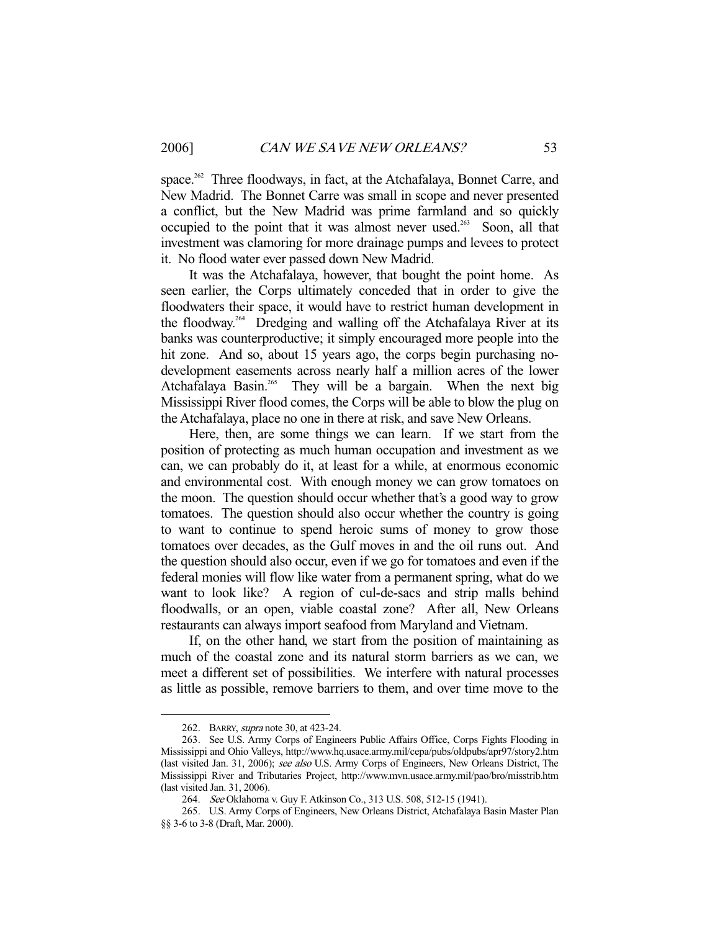space.<sup>262</sup> Three floodways, in fact, at the Atchafalaya, Bonnet Carre, and New Madrid. The Bonnet Carre was small in scope and never presented a conflict, but the New Madrid was prime farmland and so quickly occupied to the point that it was almost never used.<sup>263</sup> Soon, all that investment was clamoring for more drainage pumps and levees to protect it. No flood water ever passed down New Madrid.

 It was the Atchafalaya, however, that bought the point home. As seen earlier, the Corps ultimately conceded that in order to give the floodwaters their space, it would have to restrict human development in the floodway.264 Dredging and walling off the Atchafalaya River at its banks was counterproductive; it simply encouraged more people into the hit zone. And so, about 15 years ago, the corps begin purchasing nodevelopment easements across nearly half a million acres of the lower Atchafalaya Basin.<sup>265</sup> They will be a bargain. When the next big Mississippi River flood comes, the Corps will be able to blow the plug on the Atchafalaya, place no one in there at risk, and save New Orleans.

 Here, then, are some things we can learn. If we start from the position of protecting as much human occupation and investment as we can, we can probably do it, at least for a while, at enormous economic and environmental cost. With enough money we can grow tomatoes on the moon. The question should occur whether that's a good way to grow tomatoes. The question should also occur whether the country is going to want to continue to spend heroic sums of money to grow those tomatoes over decades, as the Gulf moves in and the oil runs out. And the question should also occur, even if we go for tomatoes and even if the federal monies will flow like water from a permanent spring, what do we want to look like? A region of cul-de-sacs and strip malls behind floodwalls, or an open, viable coastal zone? After all, New Orleans restaurants can always import seafood from Maryland and Vietnam.

 If, on the other hand, we start from the position of maintaining as much of the coastal zone and its natural storm barriers as we can, we meet a different set of possibilities. We interfere with natural processes as little as possible, remove barriers to them, and over time move to the

 <sup>262.</sup> BARRY, supra note 30, at 423-24.

 <sup>263.</sup> See U.S. Army Corps of Engineers Public Affairs Office, Corps Fights Flooding in Mississippi and Ohio Valleys, http://www.hq.usace.army.mil/cepa/pubs/oldpubs/apr97/story2.htm (last visited Jan. 31, 2006); see also U.S. Army Corps of Engineers, New Orleans District, The Mississippi River and Tributaries Project, http://www.mvn.usace.army.mil/pao/bro/misstrib.htm (last visited Jan. 31, 2006).

<sup>264.</sup> See Oklahoma v. Guy F. Atkinson Co., 313 U.S. 508, 512-15 (1941).

 <sup>265.</sup> U.S. Army Corps of Engineers, New Orleans District, Atchafalaya Basin Master Plan §§ 3-6 to 3-8 (Draft, Mar. 2000).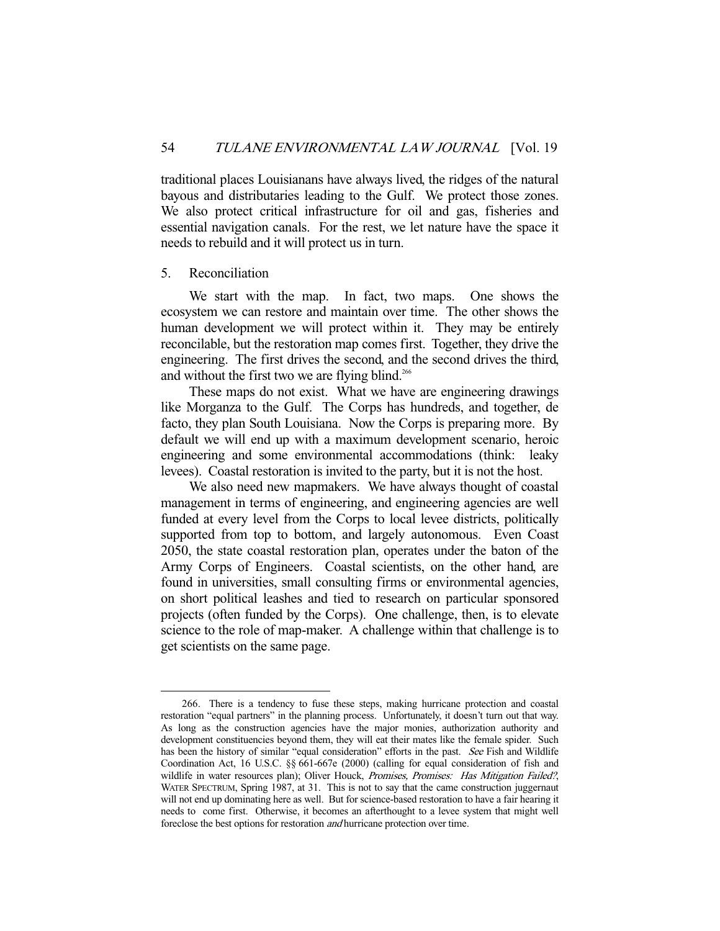traditional places Louisianans have always lived, the ridges of the natural bayous and distributaries leading to the Gulf. We protect those zones. We also protect critical infrastructure for oil and gas, fisheries and essential navigation canals. For the rest, we let nature have the space it needs to rebuild and it will protect us in turn.

# 5. Reconciliation

-

 We start with the map. In fact, two maps. One shows the ecosystem we can restore and maintain over time. The other shows the human development we will protect within it. They may be entirely reconcilable, but the restoration map comes first. Together, they drive the engineering. The first drives the second, and the second drives the third, and without the first two we are flying blind.<sup>266</sup>

 These maps do not exist. What we have are engineering drawings like Morganza to the Gulf. The Corps has hundreds, and together, de facto, they plan South Louisiana. Now the Corps is preparing more. By default we will end up with a maximum development scenario, heroic engineering and some environmental accommodations (think: leaky levees). Coastal restoration is invited to the party, but it is not the host.

 We also need new mapmakers. We have always thought of coastal management in terms of engineering, and engineering agencies are well funded at every level from the Corps to local levee districts, politically supported from top to bottom, and largely autonomous. Even Coast 2050, the state coastal restoration plan, operates under the baton of the Army Corps of Engineers. Coastal scientists, on the other hand, are found in universities, small consulting firms or environmental agencies, on short political leashes and tied to research on particular sponsored projects (often funded by the Corps). One challenge, then, is to elevate science to the role of map-maker. A challenge within that challenge is to get scientists on the same page.

 <sup>266.</sup> There is a tendency to fuse these steps, making hurricane protection and coastal restoration "equal partners" in the planning process. Unfortunately, it doesn't turn out that way. As long as the construction agencies have the major monies, authorization authority and development constituencies beyond them, they will eat their mates like the female spider. Such has been the history of similar "equal consideration" efforts in the past. See Fish and Wildlife Coordination Act, 16 U.S.C. §§ 661-667e (2000) (calling for equal consideration of fish and wildlife in water resources plan); Oliver Houck, Promises, Promises: Has Mitigation Failed?, WATER SPECTRUM, Spring 1987, at 31. This is not to say that the came construction juggernaut will not end up dominating here as well. But for science-based restoration to have a fair hearing it needs to come first. Otherwise, it becomes an afterthought to a levee system that might well foreclose the best options for restoration and hurricane protection over time.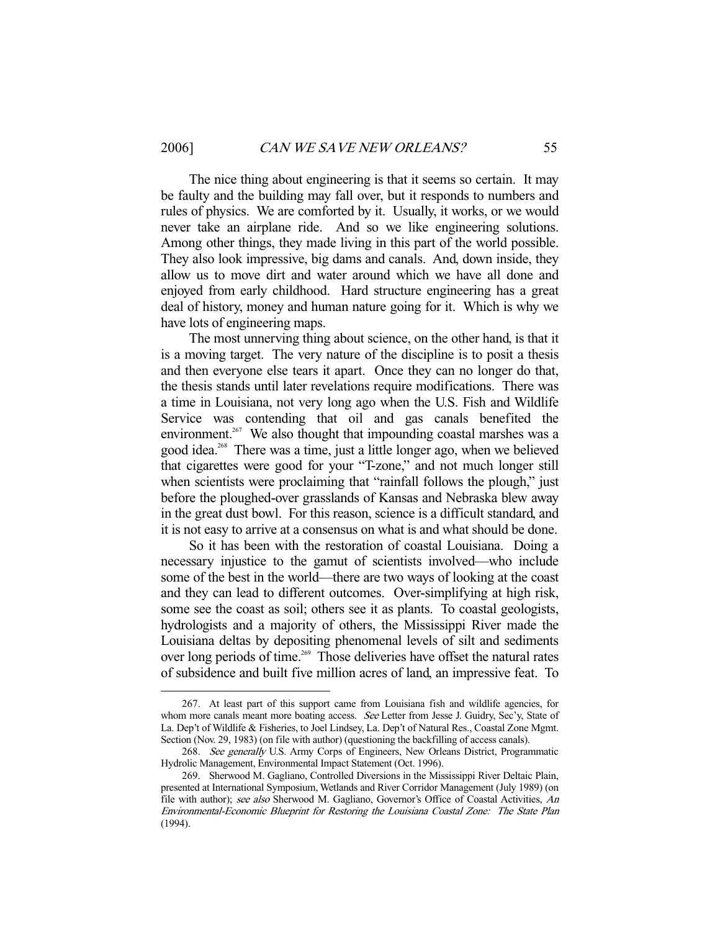-

 The nice thing about engineering is that it seems so certain. It may be faulty and the building may fall over, but it responds to numbers and rules of physics. We are comforted by it. Usually, it works, or we would never take an airplane ride. And so we like engineering solutions. Among other things, they made living in this part of the world possible. They also look impressive, big dams and canals. And, down inside, they allow us to move dirt and water around which we have all done and enjoyed from early childhood. Hard structure engineering has a great deal of history, money and human nature going for it. Which is why we have lots of engineering maps.

 The most unnerving thing about science, on the other hand, is that it is a moving target. The very nature of the discipline is to posit a thesis and then everyone else tears it apart. Once they can no longer do that, the thesis stands until later revelations require modifications. There was a time in Louisiana, not very long ago when the U.S. Fish and Wildlife Service was contending that oil and gas canals benefited the environment.<sup>267</sup> We also thought that impounding coastal marshes was a good idea.<sup>268</sup> There was a time, just a little longer ago, when we believed that cigarettes were good for your "T-zone," and not much longer still when scientists were proclaiming that "rainfall follows the plough," just before the ploughed-over grasslands of Kansas and Nebraska blew away in the great dust bowl. For this reason, science is a difficult standard, and it is not easy to arrive at a consensus on what is and what should be done.

 So it has been with the restoration of coastal Louisiana. Doing a necessary injustice to the gamut of scientists involved—who include some of the best in the world—there are two ways of looking at the coast and they can lead to different outcomes. Over-simplifying at high risk, some see the coast as soil; others see it as plants. To coastal geologists, hydrologists and a majority of others, the Mississippi River made the Louisiana deltas by depositing phenomenal levels of silt and sediments over long periods of time.<sup>269</sup> Those deliveries have offset the natural rates of subsidence and built five million acres of land, an impressive feat. To

 <sup>267.</sup> At least part of this support came from Louisiana fish and wildlife agencies, for whom more canals meant more boating access. See Letter from Jesse J. Guidry, Sec'y, State of La. Dep't of Wildlife & Fisheries, to Joel Lindsey, La. Dep't of Natural Res., Coastal Zone Mgmt. Section (Nov. 29, 1983) (on file with author) (questioning the backfilling of access canals).

<sup>268.</sup> See generally U.S. Army Corps of Engineers, New Orleans District, Programmatic Hydrolic Management, Environmental Impact Statement (Oct. 1996).

 <sup>269.</sup> Sherwood M. Gagliano, Controlled Diversions in the Mississippi River Deltaic Plain, presented at International Symposium, Wetlands and River Corridor Management (July 1989) (on file with author); see also Sherwood M. Gagliano, Governor's Office of Coastal Activities, An Environmental-Economic Blueprint for Restoring the Louisiana Coastal Zone: The State Plan (1994).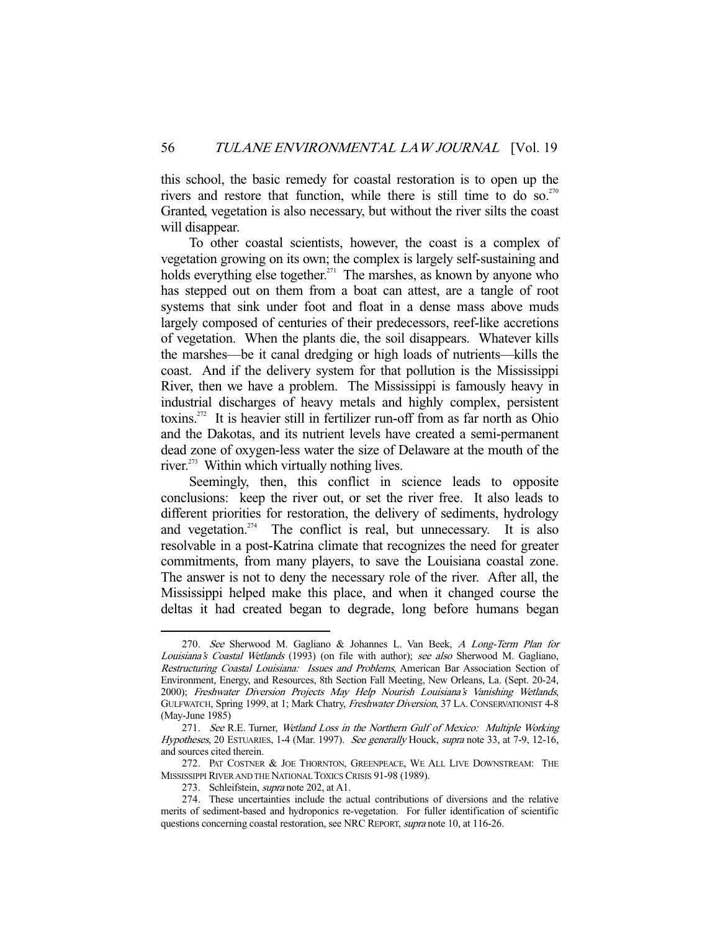this school, the basic remedy for coastal restoration is to open up the rivers and restore that function, while there is still time to do so.<sup>270</sup> Granted, vegetation is also necessary, but without the river silts the coast will disappear.

 To other coastal scientists, however, the coast is a complex of vegetation growing on its own; the complex is largely self-sustaining and holds everything else together.<sup>271</sup> The marshes, as known by anyone who has stepped out on them from a boat can attest, are a tangle of root systems that sink under foot and float in a dense mass above muds largely composed of centuries of their predecessors, reef-like accretions of vegetation. When the plants die, the soil disappears. Whatever kills the marshes—be it canal dredging or high loads of nutrients—kills the coast. And if the delivery system for that pollution is the Mississippi River, then we have a problem. The Mississippi is famously heavy in industrial discharges of heavy metals and highly complex, persistent toxins.<sup>272</sup> It is heavier still in fertilizer run-off from as far north as Ohio and the Dakotas, and its nutrient levels have created a semi-permanent dead zone of oxygen-less water the size of Delaware at the mouth of the river.<sup>273</sup> Within which virtually nothing lives.

 Seemingly, then, this conflict in science leads to opposite conclusions: keep the river out, or set the river free. It also leads to different priorities for restoration, the delivery of sediments, hydrology and vegetation.<sup>274</sup> The conflict is real, but unnecessary. It is also resolvable in a post-Katrina climate that recognizes the need for greater commitments, from many players, to save the Louisiana coastal zone. The answer is not to deny the necessary role of the river. After all, the Mississippi helped make this place, and when it changed course the deltas it had created began to degrade, long before humans began

<sup>270.</sup> See Sherwood M. Gagliano & Johannes L. Van Beek, A Long-Term Plan for Louisiana's Coastal Wetlands (1993) (on file with author); see also Sherwood M. Gagliano, Restructuring Coastal Louisiana: Issues and Problems, American Bar Association Section of Environment, Energy, and Resources, 8th Section Fall Meeting, New Orleans, La. (Sept. 20-24, 2000); Freshwater Diversion Projects May Help Nourish Louisiana's Vanishing Wetlands, GULFWATCH, Spring 1999, at 1; Mark Chatry, Freshwater Diversion, 37 LA. CONSERVATIONIST 4-8 (May-June 1985)

 <sup>271.</sup> See R.E. Turner, Wetland Loss in the Northern Gulf of Mexico: Multiple Working Hypotheses, 20 ESTUARIES, 1-4 (Mar. 1997). See generally Houck, supra note 33, at 7-9, 12-16, and sources cited therein.

<sup>272.</sup> PAT COSTNER & JOE THORNTON, GREENPEACE, WE ALL LIVE DOWNSTREAM: THE MISSISSIPPI RIVER AND THE NATIONAL TOXICS CRISIS 91-98 (1989).

<sup>273.</sup> Schleifstein, *supra* note 202, at A1.

 <sup>274.</sup> These uncertainties include the actual contributions of diversions and the relative merits of sediment-based and hydroponics re-vegetation. For fuller identification of scientific questions concerning coastal restoration, see NRC REPORT, supra note 10, at 116-26.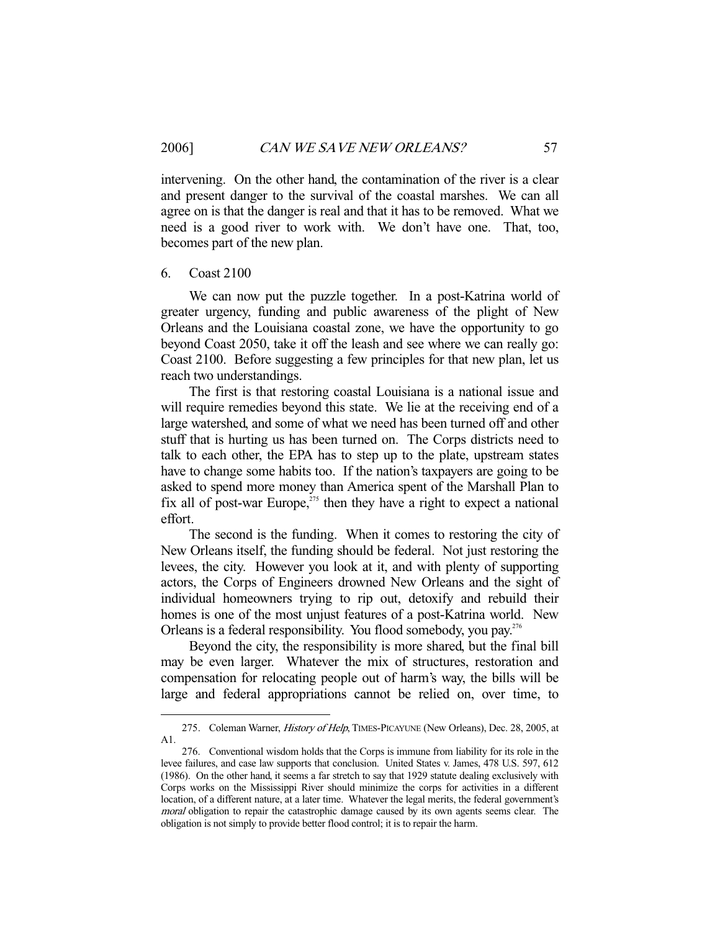intervening. On the other hand, the contamination of the river is a clear and present danger to the survival of the coastal marshes. We can all agree on is that the danger is real and that it has to be removed. What we need is a good river to work with. We don't have one. That, too, becomes part of the new plan.

#### 6. Coast 2100

-

 We can now put the puzzle together. In a post-Katrina world of greater urgency, funding and public awareness of the plight of New Orleans and the Louisiana coastal zone, we have the opportunity to go beyond Coast 2050, take it off the leash and see where we can really go: Coast 2100. Before suggesting a few principles for that new plan, let us reach two understandings.

 The first is that restoring coastal Louisiana is a national issue and will require remedies beyond this state. We lie at the receiving end of a large watershed, and some of what we need has been turned off and other stuff that is hurting us has been turned on. The Corps districts need to talk to each other, the EPA has to step up to the plate, upstream states have to change some habits too. If the nation's taxpayers are going to be asked to spend more money than America spent of the Marshall Plan to fix all of post-war Europe, $z_{15}$  then they have a right to expect a national effort.

 The second is the funding. When it comes to restoring the city of New Orleans itself, the funding should be federal. Not just restoring the levees, the city. However you look at it, and with plenty of supporting actors, the Corps of Engineers drowned New Orleans and the sight of individual homeowners trying to rip out, detoxify and rebuild their homes is one of the most unjust features of a post-Katrina world. New Orleans is a federal responsibility. You flood somebody, you pay.<sup>276</sup>

 Beyond the city, the responsibility is more shared, but the final bill may be even larger. Whatever the mix of structures, restoration and compensation for relocating people out of harm's way, the bills will be large and federal appropriations cannot be relied on, over time, to

<sup>275.</sup> Coleman Warner, History of Help, TIMES-PICAYUNE (New Orleans), Dec. 28, 2005, at A1.

 <sup>276.</sup> Conventional wisdom holds that the Corps is immune from liability for its role in the levee failures, and case law supports that conclusion. United States v. James, 478 U.S. 597, 612 (1986). On the other hand, it seems a far stretch to say that 1929 statute dealing exclusively with Corps works on the Mississippi River should minimize the corps for activities in a different location, of a different nature, at a later time. Whatever the legal merits, the federal government's moral obligation to repair the catastrophic damage caused by its own agents seems clear. The obligation is not simply to provide better flood control; it is to repair the harm.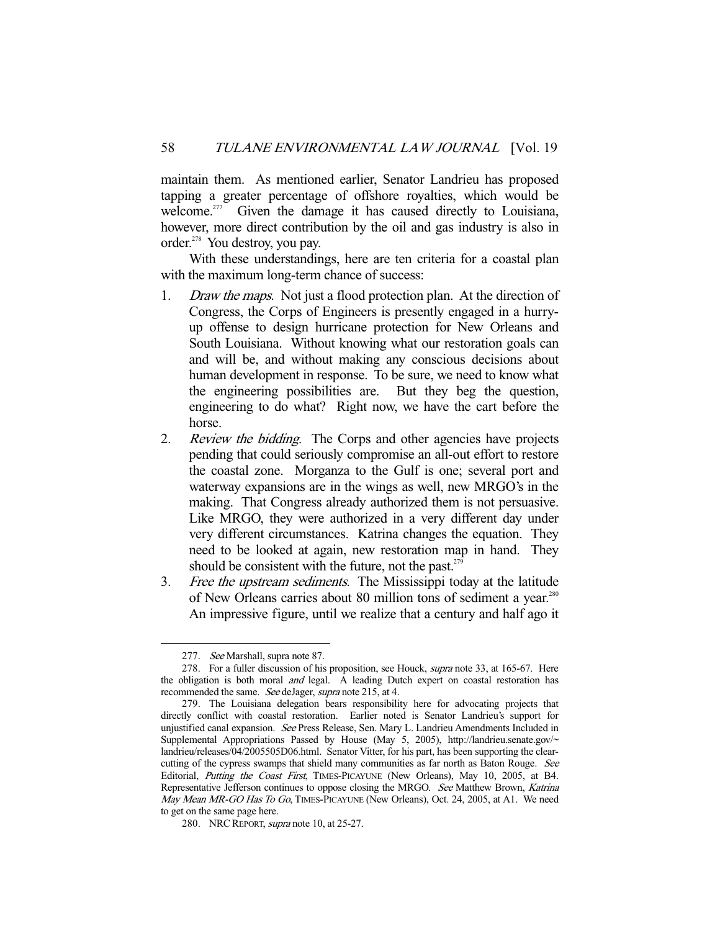maintain them. As mentioned earlier, Senator Landrieu has proposed tapping a greater percentage of offshore royalties, which would be welcome.<sup>277</sup> Given the damage it has caused directly to Louisiana, however, more direct contribution by the oil and gas industry is also in order.<sup>278</sup> You destroy, you pay.

 With these understandings, here are ten criteria for a coastal plan with the maximum long-term chance of success:

- 1. Draw the maps. Not just a flood protection plan. At the direction of Congress, the Corps of Engineers is presently engaged in a hurryup offense to design hurricane protection for New Orleans and South Louisiana. Without knowing what our restoration goals can and will be, and without making any conscious decisions about human development in response. To be sure, we need to know what the engineering possibilities are. But they beg the question, engineering to do what? Right now, we have the cart before the horse.
- 2. *Review the bidding*. The Corps and other agencies have projects pending that could seriously compromise an all-out effort to restore the coastal zone. Morganza to the Gulf is one; several port and waterway expansions are in the wings as well, new MRGO's in the making. That Congress already authorized them is not persuasive. Like MRGO, they were authorized in a very different day under very different circumstances. Katrina changes the equation. They need to be looked at again, new restoration map in hand. They should be consistent with the future, not the past. $279$
- 3. Free the upstream sediments. The Mississippi today at the latitude of New Orleans carries about 80 million tons of sediment a year.<sup>280</sup> An impressive figure, until we realize that a century and half ago it

 <sup>277.</sup> See Marshall, supra note 87.

 <sup>278.</sup> For a fuller discussion of his proposition, see Houck, supra note 33, at 165-67. Here the obligation is both moral and legal. A leading Dutch expert on coastal restoration has recommended the same. See deJager, supra note 215, at 4.

 <sup>279.</sup> The Louisiana delegation bears responsibility here for advocating projects that directly conflict with coastal restoration. Earlier noted is Senator Landrieu's support for unjustified canal expansion. See Press Release, Sen. Mary L. Landrieu Amendments Included in Supplemental Appropriations Passed by House (May 5, 2005), http://landrieu.senate.gov/~ landrieu/releases/04/2005505D06.html. Senator Vitter, for his part, has been supporting the clearcutting of the cypress swamps that shield many communities as far north as Baton Rouge. See Editorial, Putting the Coast First, TIMES-PICAYUNE (New Orleans), May 10, 2005, at B4. Representative Jefferson continues to oppose closing the MRGO. See Matthew Brown, Katrina May Mean MR-GO Has To Go, TIMES-PICAYUNE (New Orleans), Oct. 24, 2005, at A1. We need to get on the same page here.

<sup>280.</sup> NRC REPORT, *supra* note 10, at 25-27.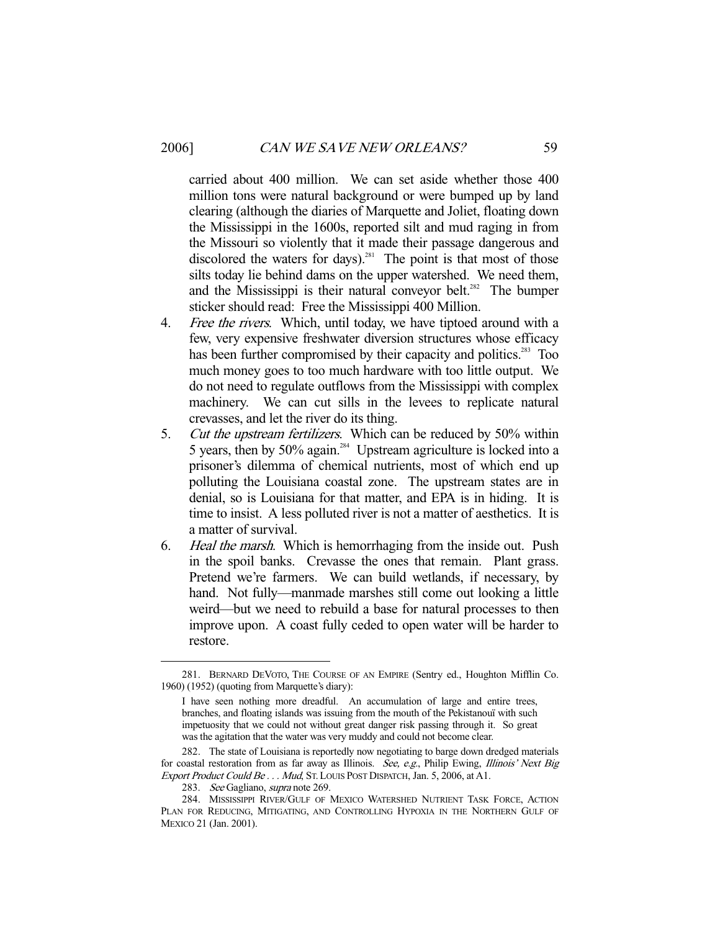carried about 400 million. We can set aside whether those 400 million tons were natural background or were bumped up by land clearing (although the diaries of Marquette and Joliet, floating down the Mississippi in the 1600s, reported silt and mud raging in from the Missouri so violently that it made their passage dangerous and discolored the waters for days).<sup>281</sup> The point is that most of those silts today lie behind dams on the upper watershed. We need them, and the Mississippi is their natural conveyor belt.<sup>282</sup> The bumper sticker should read: Free the Mississippi 400 Million.

- 4. Free the rivers. Which, until today, we have tiptoed around with a few, very expensive freshwater diversion structures whose efficacy has been further compromised by their capacity and politics.<sup>283</sup> Too much money goes to too much hardware with too little output. We do not need to regulate outflows from the Mississippi with complex machinery. We can cut sills in the levees to replicate natural crevasses, and let the river do its thing.
- 5. Cut the upstream fertilizers. Which can be reduced by 50% within 5 years, then by 50% again.<sup>284</sup> Upstream agriculture is locked into a prisoner's dilemma of chemical nutrients, most of which end up polluting the Louisiana coastal zone. The upstream states are in denial, so is Louisiana for that matter, and EPA is in hiding. It is time to insist. A less polluted river is not a matter of aesthetics. It is a matter of survival.
- 6. Heal the marsh. Which is hemorrhaging from the inside out. Push in the spoil banks. Crevasse the ones that remain. Plant grass. Pretend we're farmers. We can build wetlands, if necessary, by hand. Not fully—manmade marshes still come out looking a little weird—but we need to rebuild a base for natural processes to then improve upon. A coast fully ceded to open water will be harder to restore.

 <sup>281.</sup> BERNARD DEVOTO, THE COURSE OF AN EMPIRE (Sentry ed., Houghton Mifflin Co. 1960) (1952) (quoting from Marquette's diary):

I have seen nothing more dreadful. An accumulation of large and entire trees, branches, and floating islands was issuing from the mouth of the Pekistanouï with such impetuosity that we could not without great danger risk passing through it. So great was the agitation that the water was very muddy and could not become clear.

 <sup>282.</sup> The state of Louisiana is reportedly now negotiating to barge down dredged materials for coastal restoration from as far away as Illinois. See, e.g., Philip Ewing, Illinois' Next Big Export Product Could Be . . . Mud, ST. LOUIS POST DISPATCH, Jan. 5, 2006, at A1.

<sup>283.</sup> See Gagliano, supra note 269.

 <sup>284.</sup> MISSISSIPPI RIVER/GULF OF MEXICO WATERSHED NUTRIENT TASK FORCE, ACTION PLAN FOR REDUCING, MITIGATING, AND CONTROLLING HYPOXIA IN THE NORTHERN GULF OF MEXICO 21 (Jan. 2001).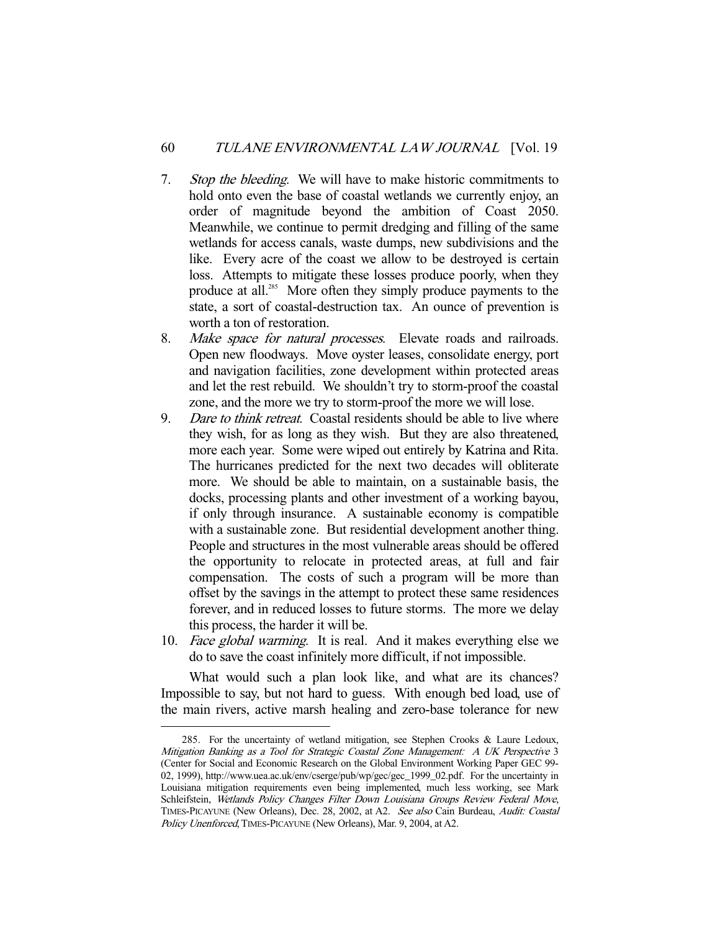- 7. Stop the bleeding. We will have to make historic commitments to hold onto even the base of coastal wetlands we currently enjoy, an order of magnitude beyond the ambition of Coast 2050. Meanwhile, we continue to permit dredging and filling of the same wetlands for access canals, waste dumps, new subdivisions and the like. Every acre of the coast we allow to be destroyed is certain loss. Attempts to mitigate these losses produce poorly, when they produce at all.<sup>285</sup> More often they simply produce payments to the state, a sort of coastal-destruction tax. An ounce of prevention is worth a ton of restoration.
- 8. Make space for natural processes. Elevate roads and railroads. Open new floodways. Move oyster leases, consolidate energy, port and navigation facilities, zone development within protected areas and let the rest rebuild. We shouldn't try to storm-proof the coastal zone, and the more we try to storm-proof the more we will lose.
- 9. Dare to think retreat. Coastal residents should be able to live where they wish, for as long as they wish. But they are also threatened, more each year. Some were wiped out entirely by Katrina and Rita. The hurricanes predicted for the next two decades will obliterate more. We should be able to maintain, on a sustainable basis, the docks, processing plants and other investment of a working bayou, if only through insurance. A sustainable economy is compatible with a sustainable zone. But residential development another thing. People and structures in the most vulnerable areas should be offered the opportunity to relocate in protected areas, at full and fair compensation. The costs of such a program will be more than offset by the savings in the attempt to protect these same residences forever, and in reduced losses to future storms. The more we delay this process, the harder it will be.
- 10. Face global warming. It is real. And it makes everything else we do to save the coast infinitely more difficult, if not impossible.

 What would such a plan look like, and what are its chances? Impossible to say, but not hard to guess. With enough bed load, use of the main rivers, active marsh healing and zero-base tolerance for new

<sup>285.</sup> For the uncertainty of wetland mitigation, see Stephen Crooks & Laure Ledoux, Mitigation Banking as a Tool for Strategic Coastal Zone Management: A UK Perspective 3 (Center for Social and Economic Research on the Global Environment Working Paper GEC 99- 02, 1999), http://www.uea.ac.uk/env/cserge/pub/wp/gec/gec\_1999\_02.pdf. For the uncertainty in Louisiana mitigation requirements even being implemented, much less working, see Mark Schleifstein, Wetlands Policy Changes Filter Down Louisiana Groups Review Federal Move, TIMES-PICAYUNE (New Orleans), Dec. 28, 2002, at A2. See also Cain Burdeau, Audit: Coastal Policy Unenforced, TIMES-PICAYUNE (New Orleans), Mar. 9, 2004, at A2.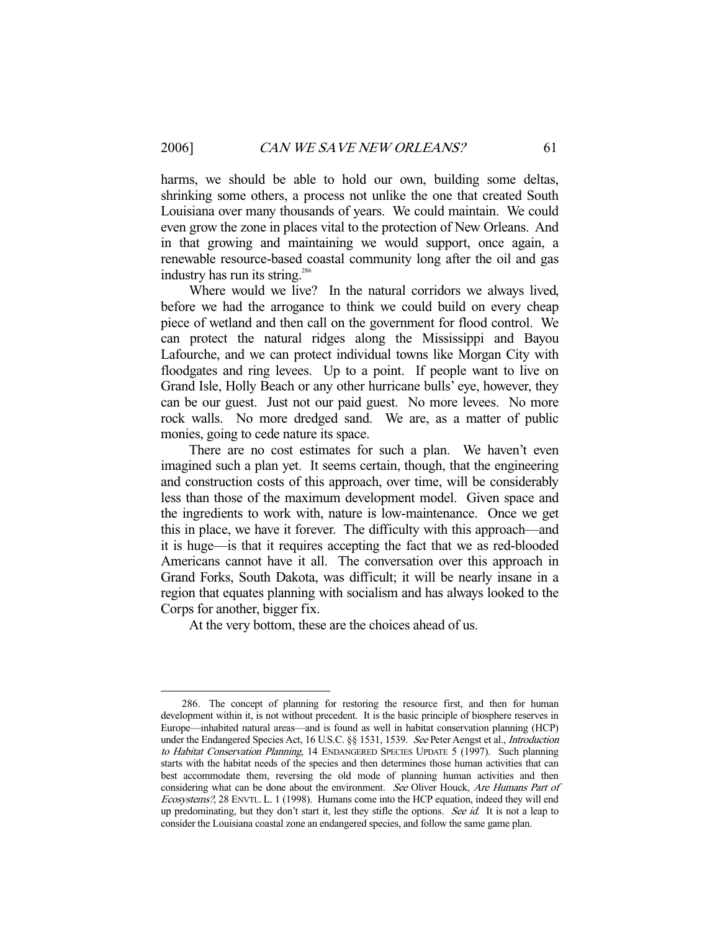harms, we should be able to hold our own, building some deltas, shrinking some others, a process not unlike the one that created South Louisiana over many thousands of years. We could maintain. We could even grow the zone in places vital to the protection of New Orleans. And in that growing and maintaining we would support, once again, a renewable resource-based coastal community long after the oil and gas industry has run its string.<sup>286</sup>

 Where would we live? In the natural corridors we always lived, before we had the arrogance to think we could build on every cheap piece of wetland and then call on the government for flood control. We can protect the natural ridges along the Mississippi and Bayou Lafourche, and we can protect individual towns like Morgan City with floodgates and ring levees. Up to a point. If people want to live on Grand Isle, Holly Beach or any other hurricane bulls' eye, however, they can be our guest. Just not our paid guest. No more levees. No more rock walls. No more dredged sand. We are, as a matter of public monies, going to cede nature its space.

 There are no cost estimates for such a plan. We haven't even imagined such a plan yet. It seems certain, though, that the engineering and construction costs of this approach, over time, will be considerably less than those of the maximum development model. Given space and the ingredients to work with, nature is low-maintenance. Once we get this in place, we have it forever. The difficulty with this approach—and it is huge—is that it requires accepting the fact that we as red-blooded Americans cannot have it all. The conversation over this approach in Grand Forks, South Dakota, was difficult; it will be nearly insane in a region that equates planning with socialism and has always looked to the Corps for another, bigger fix.

At the very bottom, these are the choices ahead of us.

 <sup>286.</sup> The concept of planning for restoring the resource first, and then for human development within it, is not without precedent. It is the basic principle of biosphere reserves in Europe—inhabited natural areas—and is found as well in habitat conservation planning (HCP) under the Endangered Species Act, 16 U.S.C. §§ 1531, 1539. See Peter Aengst et al., Introduction to Habitat Conservation Planning, 14 ENDANGERED SPECIES UPDATE 5 (1997). Such planning starts with the habitat needs of the species and then determines those human activities that can best accommodate them, reversing the old mode of planning human activities and then considering what can be done about the environment. See Oliver Houck, Are Humans Part of Ecosystems?, 28 ENVTL. L. 1 (1998). Humans come into the HCP equation, indeed they will end up predominating, but they don't start it, lest they stifle the options. See id. It is not a leap to consider the Louisiana coastal zone an endangered species, and follow the same game plan.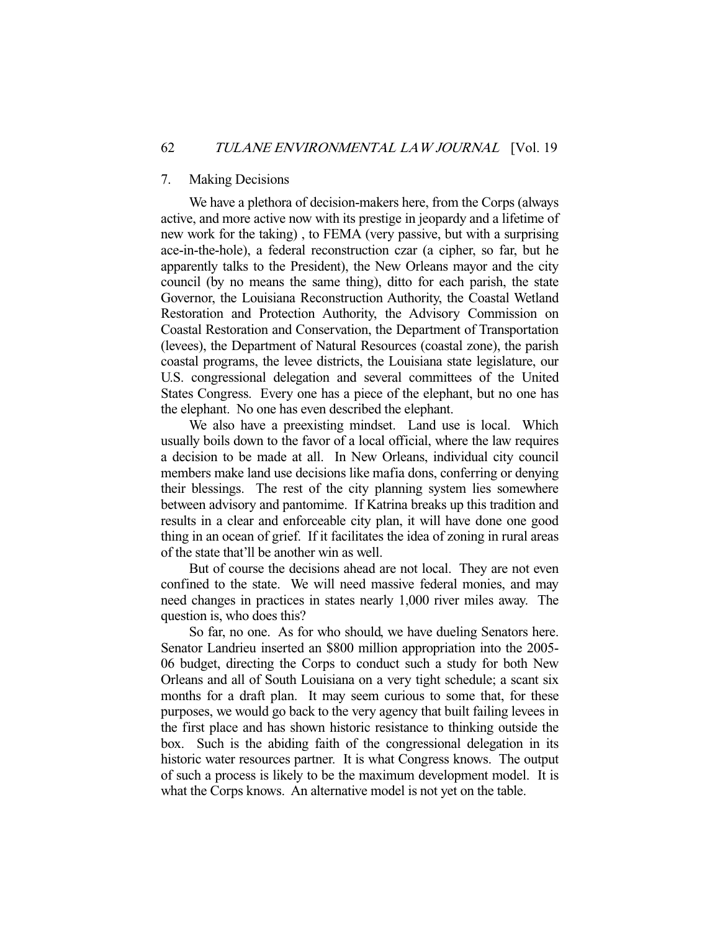# 7. Making Decisions

 We have a plethora of decision-makers here, from the Corps (always active, and more active now with its prestige in jeopardy and a lifetime of new work for the taking) , to FEMA (very passive, but with a surprising ace-in-the-hole), a federal reconstruction czar (a cipher, so far, but he apparently talks to the President), the New Orleans mayor and the city council (by no means the same thing), ditto for each parish, the state Governor, the Louisiana Reconstruction Authority, the Coastal Wetland Restoration and Protection Authority, the Advisory Commission on Coastal Restoration and Conservation, the Department of Transportation (levees), the Department of Natural Resources (coastal zone), the parish coastal programs, the levee districts, the Louisiana state legislature, our U.S. congressional delegation and several committees of the United States Congress. Every one has a piece of the elephant, but no one has the elephant. No one has even described the elephant.

 We also have a preexisting mindset. Land use is local. Which usually boils down to the favor of a local official, where the law requires a decision to be made at all. In New Orleans, individual city council members make land use decisions like mafia dons, conferring or denying their blessings. The rest of the city planning system lies somewhere between advisory and pantomime. If Katrina breaks up this tradition and results in a clear and enforceable city plan, it will have done one good thing in an ocean of grief. If it facilitates the idea of zoning in rural areas of the state that'll be another win as well.

 But of course the decisions ahead are not local. They are not even confined to the state. We will need massive federal monies, and may need changes in practices in states nearly 1,000 river miles away. The question is, who does this?

 So far, no one. As for who should, we have dueling Senators here. Senator Landrieu inserted an \$800 million appropriation into the 2005- 06 budget, directing the Corps to conduct such a study for both New Orleans and all of South Louisiana on a very tight schedule; a scant six months for a draft plan. It may seem curious to some that, for these purposes, we would go back to the very agency that built failing levees in the first place and has shown historic resistance to thinking outside the box. Such is the abiding faith of the congressional delegation in its historic water resources partner. It is what Congress knows. The output of such a process is likely to be the maximum development model. It is what the Corps knows. An alternative model is not yet on the table.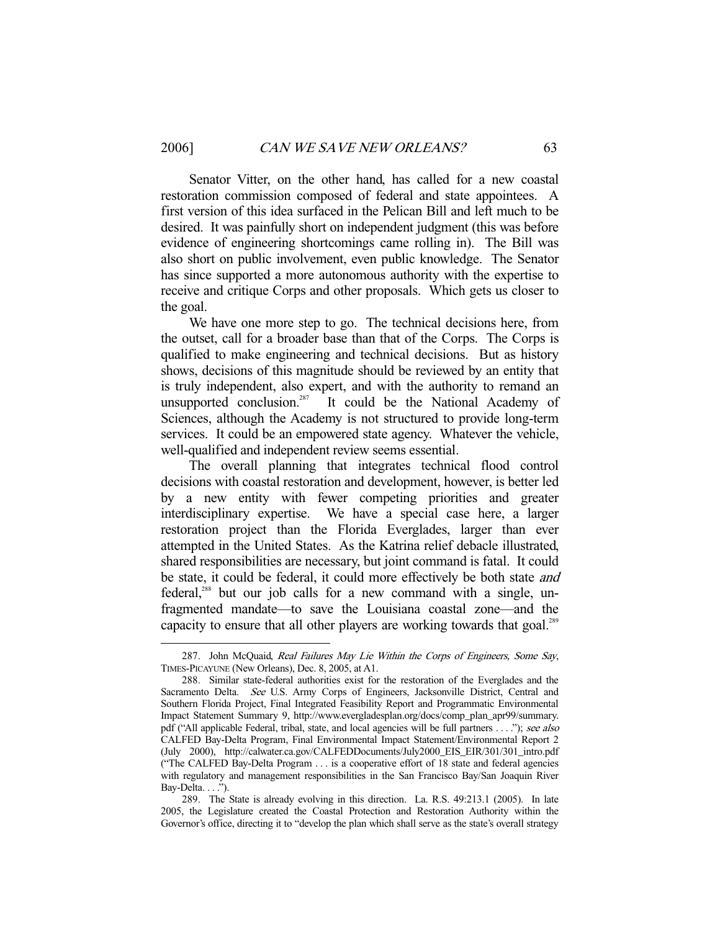-

 Senator Vitter, on the other hand, has called for a new coastal restoration commission composed of federal and state appointees. A first version of this idea surfaced in the Pelican Bill and left much to be desired. It was painfully short on independent judgment (this was before evidence of engineering shortcomings came rolling in). The Bill was also short on public involvement, even public knowledge. The Senator has since supported a more autonomous authority with the expertise to receive and critique Corps and other proposals. Which gets us closer to the goal.

 We have one more step to go. The technical decisions here, from the outset, call for a broader base than that of the Corps. The Corps is qualified to make engineering and technical decisions. But as history shows, decisions of this magnitude should be reviewed by an entity that is truly independent, also expert, and with the authority to remand an unsupported conclusion.<sup>287</sup> It could be the National Academy of Sciences, although the Academy is not structured to provide long-term services. It could be an empowered state agency. Whatever the vehicle, well-qualified and independent review seems essential.

 The overall planning that integrates technical flood control decisions with coastal restoration and development, however, is better led by a new entity with fewer competing priorities and greater interdisciplinary expertise. We have a special case here, a larger restoration project than the Florida Everglades, larger than ever attempted in the United States. As the Katrina relief debacle illustrated, shared responsibilities are necessary, but joint command is fatal. It could be state, it could be federal, it could more effectively be both state and federal,<sup>288</sup> but our job calls for a new command with a single, unfragmented mandate—to save the Louisiana coastal zone—and the capacity to ensure that all other players are working towards that goal.<sup>289</sup>

<sup>287.</sup> John McQuaid, Real Failures May Lie Within the Corps of Engineers, Some Say, TIMES-PICAYUNE (New Orleans), Dec. 8, 2005, at A1.

 <sup>288.</sup> Similar state-federal authorities exist for the restoration of the Everglades and the Sacramento Delta. See U.S. Army Corps of Engineers, Jacksonville District, Central and Southern Florida Project, Final Integrated Feasibility Report and Programmatic Environmental Impact Statement Summary 9, http://www.evergladesplan.org/docs/comp\_plan\_apr99/summary. pdf ("All applicable Federal, tribal, state, and local agencies will be full partners . . . ."); see also CALFED Bay-Delta Program, Final Environmental Impact Statement/Environmental Report 2 (July 2000), http://calwater.ca.gov/CALFEDDocuments/July2000\_EIS\_EIR/301/301\_intro.pdf ("The CALFED Bay-Delta Program . . . is a cooperative effort of 18 state and federal agencies with regulatory and management responsibilities in the San Francisco Bay/San Joaquin River Bay-Delta. . . .").

 <sup>289.</sup> The State is already evolving in this direction. La. R.S. 49:213.1 (2005). In late 2005, the Legislature created the Coastal Protection and Restoration Authority within the Governor's office, directing it to "develop the plan which shall serve as the state's overall strategy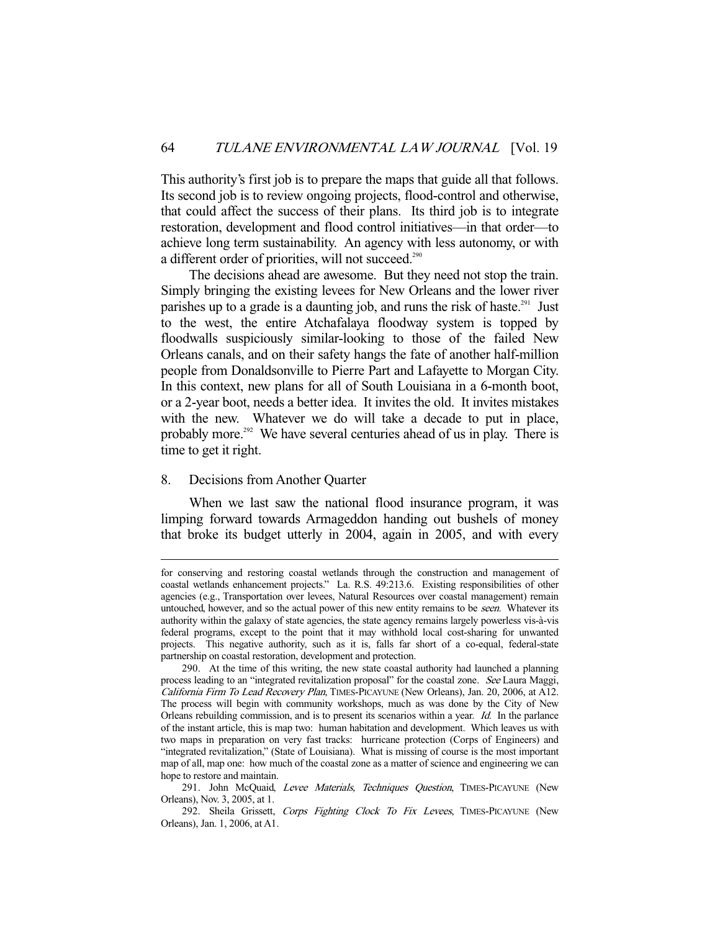This authority's first job is to prepare the maps that guide all that follows. Its second job is to review ongoing projects, flood-control and otherwise, that could affect the success of their plans. Its third job is to integrate restoration, development and flood control initiatives—in that order—to achieve long term sustainability. An agency with less autonomy, or with a different order of priorities, will not succeed.<sup>290</sup>

 The decisions ahead are awesome. But they need not stop the train. Simply bringing the existing levees for New Orleans and the lower river parishes up to a grade is a daunting job, and runs the risk of haste.<sup>291</sup> Just to the west, the entire Atchafalaya floodway system is topped by floodwalls suspiciously similar-looking to those of the failed New Orleans canals, and on their safety hangs the fate of another half-million people from Donaldsonville to Pierre Part and Lafayette to Morgan City. In this context, new plans for all of South Louisiana in a 6-month boot, or a 2-year boot, needs a better idea. It invites the old. It invites mistakes with the new. Whatever we do will take a decade to put in place, probably more.<sup>292</sup> We have several centuries ahead of us in play. There is time to get it right.

# 8. Decisions from Another Quarter

-

 When we last saw the national flood insurance program, it was limping forward towards Armageddon handing out bushels of money that broke its budget utterly in 2004, again in 2005, and with every

for conserving and restoring coastal wetlands through the construction and management of coastal wetlands enhancement projects." La. R.S. 49:213.6. Existing responsibilities of other agencies (e.g., Transportation over levees, Natural Resources over coastal management) remain untouched, however, and so the actual power of this new entity remains to be seen. Whatever its authority within the galaxy of state agencies, the state agency remains largely powerless vis-à-vis federal programs, except to the point that it may withhold local cost-sharing for unwanted projects. This negative authority, such as it is, falls far short of a co-equal, federal-state partnership on coastal restoration, development and protection.

 <sup>290.</sup> At the time of this writing, the new state coastal authority had launched a planning process leading to an "integrated revitalization proposal" for the coastal zone. See Laura Maggi, California Firm To Lead Recovery Plan, TIMES-PICAYUNE (New Orleans), Jan. 20, 2006, at A12. The process will begin with community workshops, much as was done by the City of New Orleans rebuilding commission, and is to present its scenarios within a year. Id. In the parlance of the instant article, this is map two: human habitation and development. Which leaves us with two maps in preparation on very fast tracks: hurricane protection (Corps of Engineers) and "integrated revitalization," (State of Louisiana). What is missing of course is the most important map of all, map one: how much of the coastal zone as a matter of science and engineering we can hope to restore and maintain.

<sup>291.</sup> John McQuaid, Levee Materials, Techniques Question, TIMES-PICAYUNE (New Orleans), Nov. 3, 2005, at 1.

<sup>292.</sup> Sheila Grissett, Corps Fighting Clock To Fix Levees, TIMES-PICAYUNE (New Orleans), Jan. 1, 2006, at A1.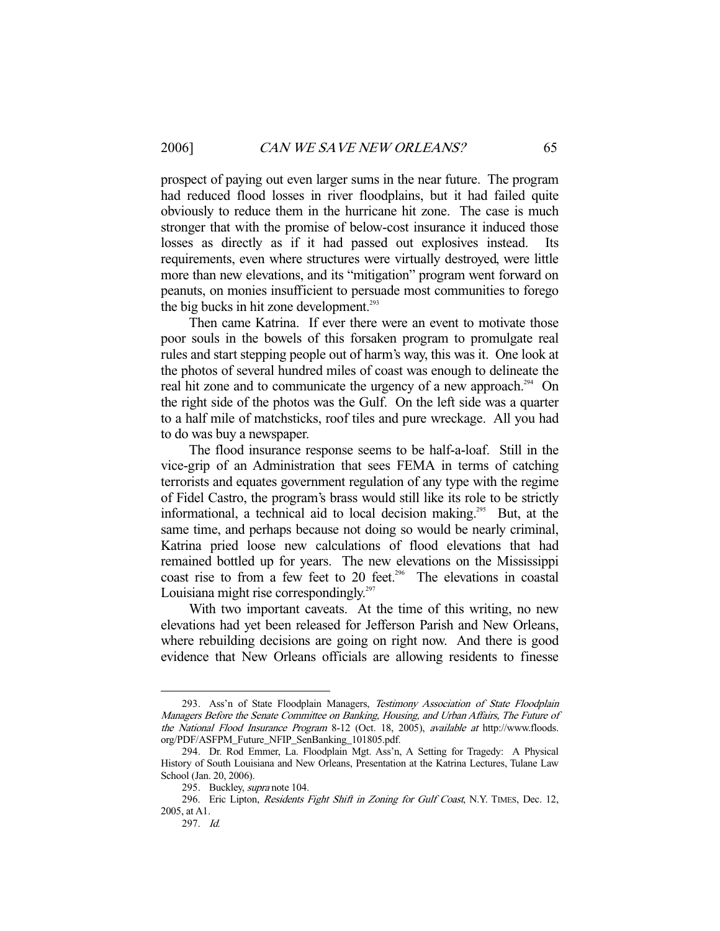prospect of paying out even larger sums in the near future. The program had reduced flood losses in river floodplains, but it had failed quite obviously to reduce them in the hurricane hit zone. The case is much stronger that with the promise of below-cost insurance it induced those losses as directly as if it had passed out explosives instead. Its requirements, even where structures were virtually destroyed, were little more than new elevations, and its "mitigation" program went forward on peanuts, on monies insufficient to persuade most communities to forego the big bucks in hit zone development.<sup>293</sup>

 Then came Katrina. If ever there were an event to motivate those poor souls in the bowels of this forsaken program to promulgate real rules and start stepping people out of harm's way, this was it. One look at the photos of several hundred miles of coast was enough to delineate the real hit zone and to communicate the urgency of a new approach.<sup>294</sup> On the right side of the photos was the Gulf. On the left side was a quarter to a half mile of matchsticks, roof tiles and pure wreckage. All you had to do was buy a newspaper.

 The flood insurance response seems to be half-a-loaf. Still in the vice-grip of an Administration that sees FEMA in terms of catching terrorists and equates government regulation of any type with the regime of Fidel Castro, the program's brass would still like its role to be strictly informational, a technical aid to local decision making.<sup>295</sup> But, at the same time, and perhaps because not doing so would be nearly criminal, Katrina pried loose new calculations of flood elevations that had remained bottled up for years. The new elevations on the Mississippi coast rise to from a few feet to 20 feet.<sup>296</sup> The elevations in coastal Louisiana might rise correspondingly.<sup>297</sup>

 With two important caveats. At the time of this writing, no new elevations had yet been released for Jefferson Parish and New Orleans, where rebuilding decisions are going on right now. And there is good evidence that New Orleans officials are allowing residents to finesse

<sup>293.</sup> Ass'n of State Floodplain Managers, Testimony Association of State Floodplain Managers Before the Senate Committee on Banking, Housing, and Urban Affairs, The Future of the National Flood Insurance Program 8-12 (Oct. 18, 2005), available at http://www.floods. org/PDF/ASFPM\_Future\_NFIP\_SenBanking\_101805.pdf.

 <sup>294.</sup> Dr. Rod Emmer, La. Floodplain Mgt. Ass'n, A Setting for Tragedy: A Physical History of South Louisiana and New Orleans, Presentation at the Katrina Lectures, Tulane Law School (Jan. 20, 2006).

<sup>295.</sup> Buckley, *supra* note 104.

<sup>296.</sup> Eric Lipton, Residents Fight Shift in Zoning for Gulf Coast, N.Y. TIMES, Dec. 12, 2005, at A1.

 <sup>297.</sup> Id.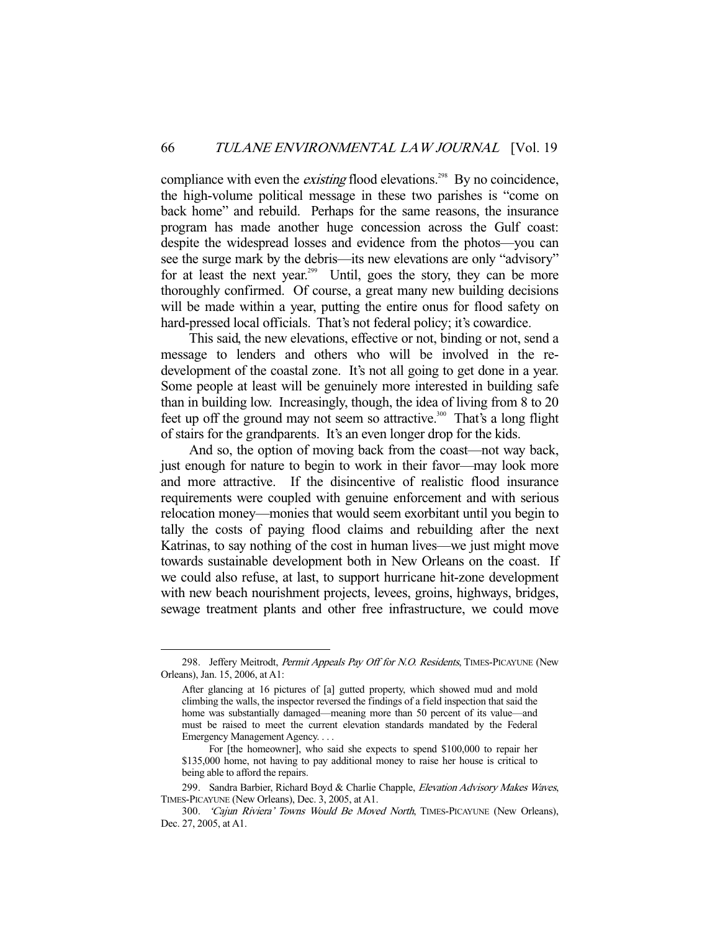compliance with even the *existing* flood elevations.<sup>298</sup> By no coincidence, the high-volume political message in these two parishes is "come on back home" and rebuild. Perhaps for the same reasons, the insurance program has made another huge concession across the Gulf coast: despite the widespread losses and evidence from the photos—you can see the surge mark by the debris—its new elevations are only "advisory" for at least the next year.<sup>299</sup> Until, goes the story, they can be more thoroughly confirmed. Of course, a great many new building decisions will be made within a year, putting the entire onus for flood safety on hard-pressed local officials. That's not federal policy; it's cowardice.

 This said, the new elevations, effective or not, binding or not, send a message to lenders and others who will be involved in the redevelopment of the coastal zone. It's not all going to get done in a year. Some people at least will be genuinely more interested in building safe than in building low. Increasingly, though, the idea of living from 8 to 20 feet up off the ground may not seem so attractive.<sup>300</sup> That's a long flight of stairs for the grandparents. It's an even longer drop for the kids.

 And so, the option of moving back from the coast—not way back, just enough for nature to begin to work in their favor—may look more and more attractive. If the disincentive of realistic flood insurance requirements were coupled with genuine enforcement and with serious relocation money—monies that would seem exorbitant until you begin to tally the costs of paying flood claims and rebuilding after the next Katrinas, to say nothing of the cost in human lives—we just might move towards sustainable development both in New Orleans on the coast. If we could also refuse, at last, to support hurricane hit-zone development with new beach nourishment projects, levees, groins, highways, bridges, sewage treatment plants and other free infrastructure, we could move

<sup>298.</sup> Jeffery Meitrodt, Permit Appeals Pay Off for N.O. Residents, TIMES-PICAYUNE (New Orleans), Jan. 15, 2006, at A1:

After glancing at 16 pictures of [a] gutted property, which showed mud and mold climbing the walls, the inspector reversed the findings of a field inspection that said the home was substantially damaged—meaning more than 50 percent of its value—and must be raised to meet the current elevation standards mandated by the Federal Emergency Management Agency. . . .

For [the homeowner], who said she expects to spend \$100,000 to repair her \$135,000 home, not having to pay additional money to raise her house is critical to being able to afford the repairs.

<sup>299.</sup> Sandra Barbier, Richard Boyd & Charlie Chapple, Elevation Advisory Makes Waves, TIMES-PICAYUNE (New Orleans), Dec. 3, 2005, at A1.

<sup>300. &#</sup>x27;Cajun Riviera' Towns Would Be Moved North, TIMES-PICAYUNE (New Orleans), Dec. 27, 2005, at A1.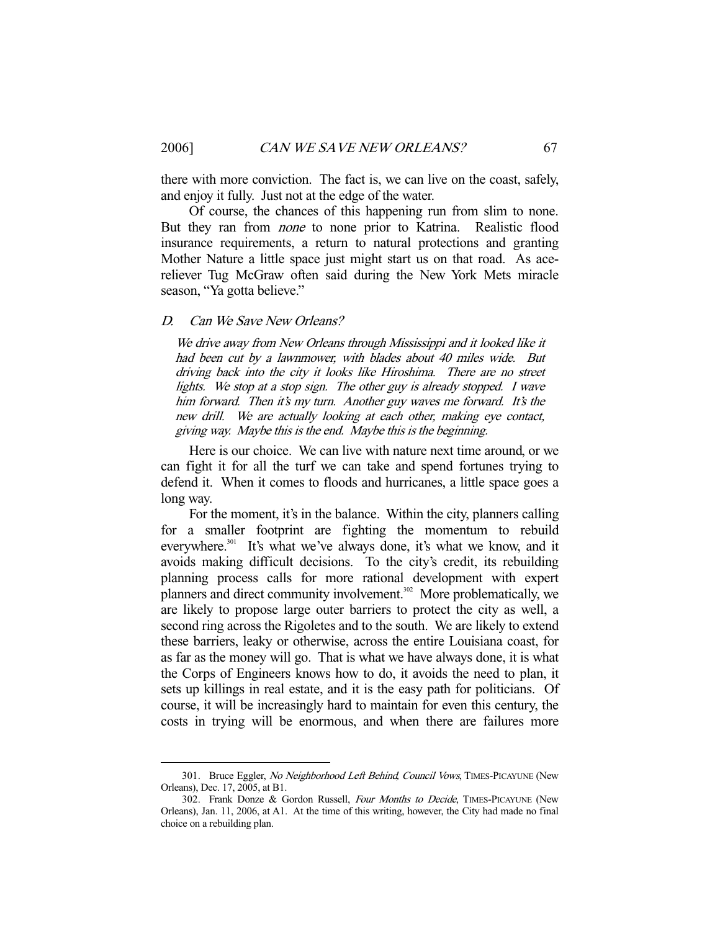there with more conviction. The fact is, we can live on the coast, safely, and enjoy it fully. Just not at the edge of the water.

 Of course, the chances of this happening run from slim to none. But they ran from none to none prior to Katrina. Realistic flood insurance requirements, a return to natural protections and granting Mother Nature a little space just might start us on that road. As acereliever Tug McGraw often said during the New York Mets miracle season, "Ya gotta believe."

#### D. Can We Save New Orleans?

We drive away from New Orleans through Mississippi and it looked like it had been cut by a lawnmower, with blades about 40 miles wide. But driving back into the city it looks like Hiroshima. There are no street lights. We stop at a stop sign. The other guy is already stopped. I wave him forward. Then it's my turn. Another guy waves me forward. It's the new drill. We are actually looking at each other, making eye contact, giving way. Maybe this is the end. Maybe this is the beginning.

 Here is our choice. We can live with nature next time around, or we can fight it for all the turf we can take and spend fortunes trying to defend it. When it comes to floods and hurricanes, a little space goes a long way.

 For the moment, it's in the balance. Within the city, planners calling for a smaller footprint are fighting the momentum to rebuild everywhere.<sup>301</sup> It's what we've always done, it's what we know, and it avoids making difficult decisions. To the city's credit, its rebuilding planning process calls for more rational development with expert planners and direct community involvement.<sup>302</sup> More problematically, we are likely to propose large outer barriers to protect the city as well, a second ring across the Rigoletes and to the south. We are likely to extend these barriers, leaky or otherwise, across the entire Louisiana coast, for as far as the money will go. That is what we have always done, it is what the Corps of Engineers knows how to do, it avoids the need to plan, it sets up killings in real estate, and it is the easy path for politicians. Of course, it will be increasingly hard to maintain for even this century, the costs in trying will be enormous, and when there are failures more

<sup>301.</sup> Bruce Eggler, No Neighborhood Left Behind, Council Vows, TIMES-PICAYUNE (New Orleans), Dec. 17, 2005, at B1.

<sup>302.</sup> Frank Donze & Gordon Russell, Four Months to Decide, TIMES-PICAYUNE (New Orleans), Jan. 11, 2006, at A1. At the time of this writing, however, the City had made no final choice on a rebuilding plan.